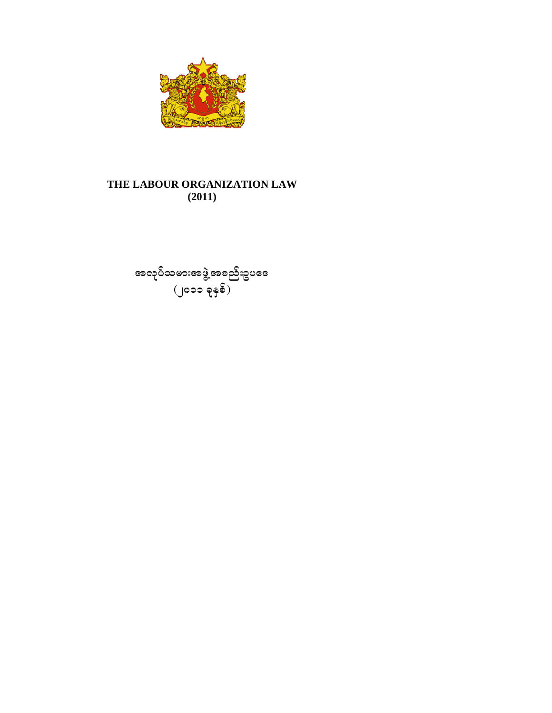

### **THE LABOUR ORGANIZATION LAW**  $(2011)$

အလ â လ âပ်သမားအဖ ွဲ (၂၀၁၁ ဖွဲ့အစည်းဥပ ခုနှစ်) äဒ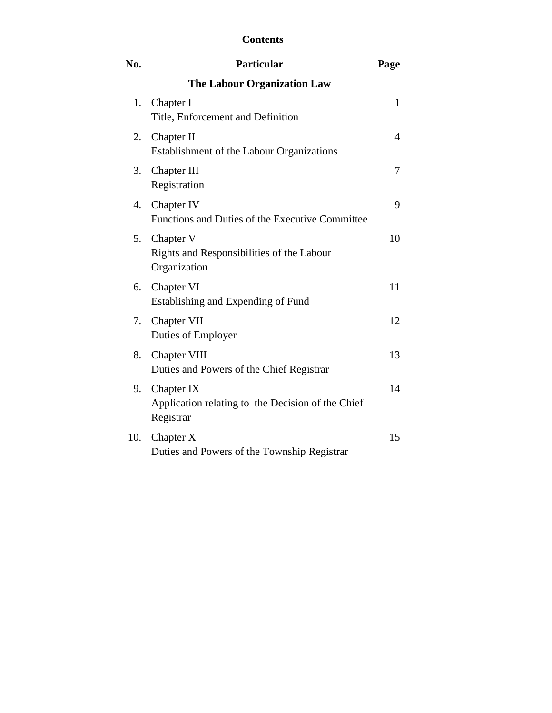## **Contents**

| No. | <b>Particular</b>                                                            | Page           |
|-----|------------------------------------------------------------------------------|----------------|
|     | <b>The Labour Organization Law</b>                                           |                |
| 1.  | Chapter I<br>Title, Enforcement and Definition                               | $\mathbf{1}$   |
| 2.  | Chapter II<br>Establishment of the Labour Organizations                      | $\overline{4}$ |
| 3.  | Chapter III<br>Registration                                                  | 7              |
| 4.  | Chapter IV<br>Functions and Duties of the Executive Committee                | 9              |
| 5.  | Chapter V<br>Rights and Responsibilities of the Labour<br>Organization       | 10             |
| 6.  | Chapter VI<br>Establishing and Expending of Fund                             | 11             |
| 7.  | Chapter VII<br>Duties of Employer                                            | 12             |
| 8.  | Chapter VIII<br>Duties and Powers of the Chief Registrar                     | 13             |
| 9.  | Chapter IX<br>Application relating to the Decision of the Chief<br>Registrar | 14             |
| 10. | Chapter X<br>Duties and Powers of the Township Registrar                     | 15             |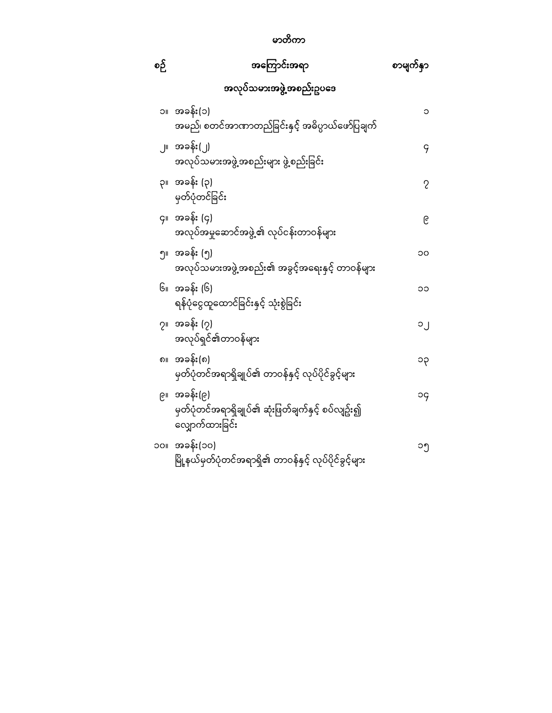## မာတိကာ

| စဉ်         | အကြောင်းအရာ                                                                          | စာမျက်နှာ      |
|-------------|--------------------------------------------------------------------------------------|----------------|
|             | အလုပ်သမားအဖွဲ့အစည်းဥပဒေ                                                              |                |
| ۱C          | အခန်း(၁)<br>အမည်၊ စတင်အာဏာတည်ခြင်းနှင့် အဓိပ္ပာယ်ဖော်ပြချက်                          | ၁              |
|             | ၂။ အခန်း(၂)<br>အလုပ်သမားအဖွဲ့အစည်းများ ဖွဲ့စည်းခြင်း                                 | 9              |
|             | ၃။ အခန်း (၃)<br>မှတ်ပုံတင်ခြင် <mark>း</mark>                                        | $\overline{c}$ |
|             | ၄။ အခန်း (၄)<br>အလုပ်အမှုဆောင်အဖွဲ့၏ လုပ်ငန်းတာဝန်မ <mark>ျား</mark>                 | ၉              |
|             | ၅။ အခန်း (၅)<br>အလုပ်သမားအဖွဲ့အစည်း၏ အခွင့်အရေးနှင့် တာဝန်များ                       | ၁၀             |
|             | ၆။ အခန်း (၆)<br>ရန်ပုံငွေထူထောင်ခြင်းနှင့် သုံးစွဲခြင်း                              | ၁၁             |
|             | ၇။ အခန်း (၇)<br>အလုပ်ရှင်၏တာဝန်များ                                                  | ၁၂             |
| ၈။          | အခန်း(၈)<br>မှတ်ပုံတင်အရာရှိချုပ် <mark>င</mark> ်္ခ၊ တာဝန်နှင့် လုပ်ပိုင်ခွင့်များ  | ၁၃             |
|             | ၉။ အခန်း(၉)<br>မှတ်ပုံတင်အရာရှိချုပ်၏ ဆုံးဖြတ်ချက်နှင့် စပ်လျဥ်း၍<br>လျှောက်ထားခြင်း | рc             |
| <b>IIOC</b> | အခန်း(၁၀)<br>မြို့နယ်မှတ်ပုံတင်အရာရှိ၏ တာဝန်နှင့် လုပ်ပိုင်ခွင့်မျာ <mark>း</mark>   | ၁၅             |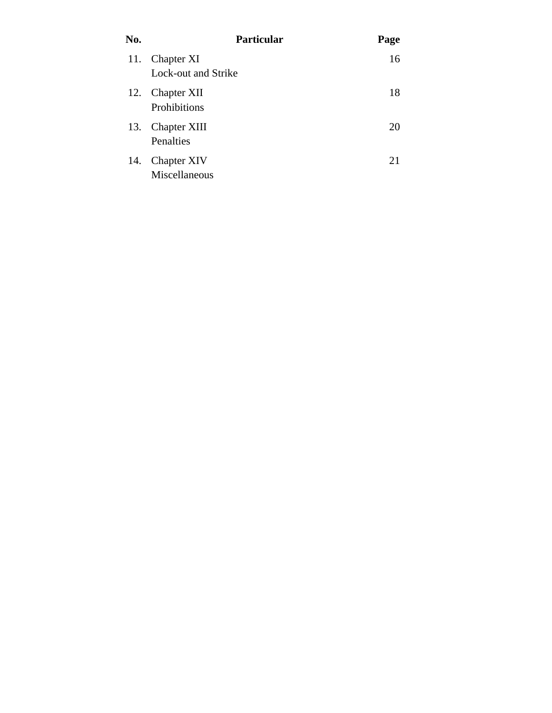| No. | <b>Particular</b>                   | Page |
|-----|-------------------------------------|------|
| 11. | Chapter XI<br>Lock-out and Strike   | 16   |
| 12. | <b>Chapter XII</b><br>Prohibitions  | 18   |
| 13. | <b>Chapter XIII</b><br>Penalties    | 20   |
| 14. | <b>Chapter XIV</b><br>Miscellaneous | 21   |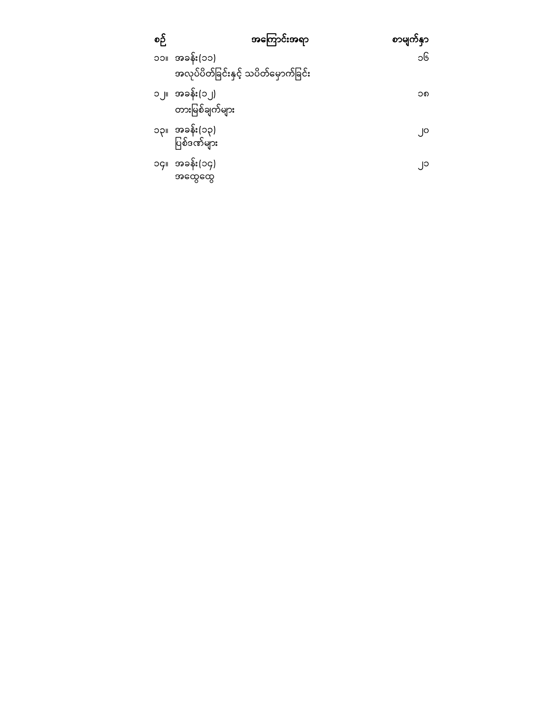| စဉ် | အကြောင်းအရာ                          | စာမျက်နှာ |
|-----|--------------------------------------|-----------|
|     | ၁၁။ အခန်း(၁၁)                        | ၁၆        |
|     | အလုပ်ပိတ်ခြင်းနှင့် သပိတ်မှောက်ခြင်း |           |
|     | ၁၂။ အခန်း(၁၂)                        | ၁၈        |
|     | တားမြစ်ချက်များ                      |           |
|     | ၁၃။ အခန်း(၁၃)                        | ၂ဝ        |
|     | ပြစ်ဒဏ်များ                          |           |
|     | ၁၄။ အခန်း(၁၄)                        | ္၂၁       |
|     | အထွေထွေ                              |           |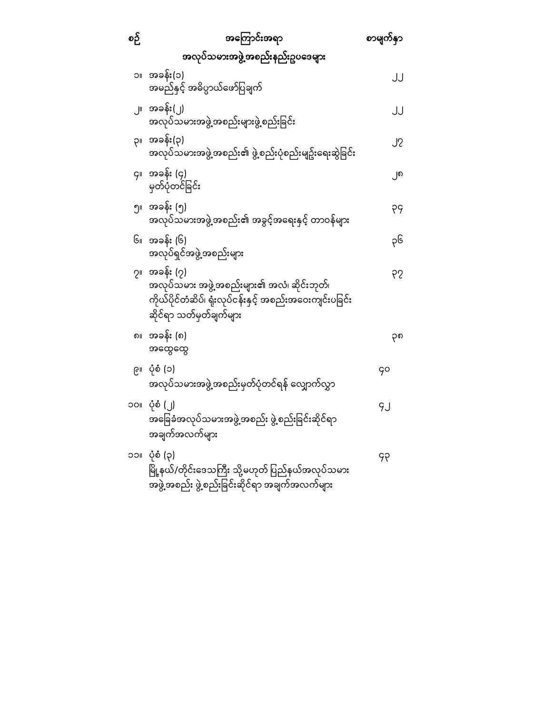| စဉ် | အကြောင်းအရာ                                                                                                                                       | စာမျက်နှာ |
|-----|---------------------------------------------------------------------------------------------------------------------------------------------------|-----------|
|     | အလုပ်သမားအဖွဲ့အစည်းနည်းဥပဒေများ                                                                                                                   |           |
| JС  | အခန်း(၁)<br>အမည်နှင့် အဓိပ္ပာယ်ဖော်ပြချက်                                                                                                         | JJ        |
|     | ၂။ အခန်း(၂)<br>အလုပ်သမားအဖွဲ့အစည်းများဖွဲ့စည်းခြင်း                                                                                               | JJ        |
| ΙÇ  | အခန်း(၃)<br>အလုပ်သမားအဖွဲ့အစည်း၏ ဖွဲ့စည်းပုံစည်းမျဥ်းရေးဆွဲခြင်း                                                                                  | ၂၇        |
|     | ၄။ အခန်း (၄)<br>မှတ်ပုံတင်ခြင်း                                                                                                                   | ၂၈        |
|     | ၅။ အခန်း (၅)<br>အလုပ်သမားအဖွဲ့အစည်း၏ အခွင့်အရေးနှင့် တာဝန်များ                                                                                    | ၃၄        |
|     | ၆။ အခန်း (၆)<br>အလုပ်ရှင်အဖွဲ့အစည်းများ                                                                                                           | ၃၆        |
|     | ၇။ အခန်း (၇)<br>အလုပ်သမား အဖွဲ့အစည်းများ၏ အလံ၊ ဆိုင်းဘုတ်၊<br>ကိုယ်ပိုင်တံဆိပ်၊ ရုံးလုပ်ငန်းနှင့် အစည်းအဝေးကျင်းပခြင်း<br>ဆိုင်ရာ သတ်မှတ်ချက်များ | 92        |
| ၈။  | အခန်း (၈)<br>အထွေထွေ                                                                                                                              | ၃၈        |
| ၉။  | ပုံစံ (၁)<br>အလုပ်သမားအဖွဲ့အစည်းမှတ်ပုံတင်ရန် လျှောက်လွှာ                                                                                         | 90        |
|     | ၁၀။ ပုံစံ (၂)<br>အခြေခံအလုပ်သမားအဖွဲ့ အစည်း ဖွဲ့စည်းခြင်းဆိုင်ရာ<br>အချက်အလက်များ                                                                 | 9J        |
| ၁၁။ | ပုံစံ (၃)<br>မြို့နယ်/တိုင်းဒေသကြီး သို့မဟုတ် ပြည်နယ်အလုပ်သမား<br>အဖွဲ့အစည်း ဖွဲ့စည်းခြင်းဆိုင်ရာ အချက်အလက်များ                                   | ၄၃        |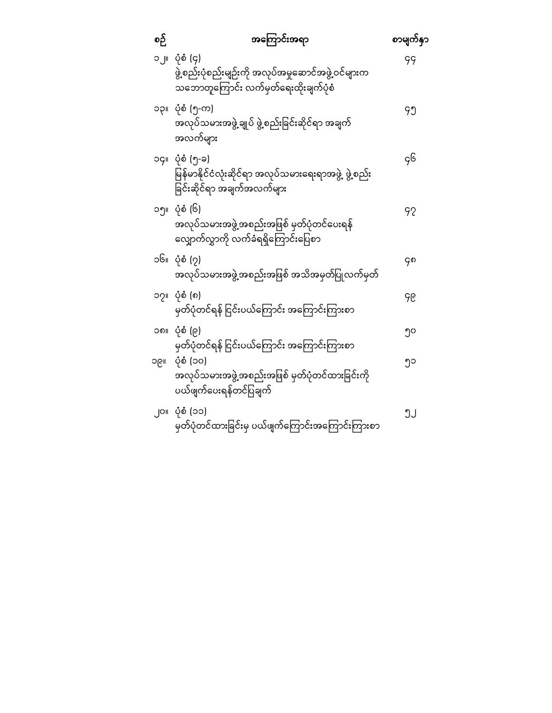| စဉ် | <b>အကြောင်းအရာ</b>                                                                                        | စာမျက်နှာ |
|-----|-----------------------------------------------------------------------------------------------------------|-----------|
| ၁၂။ | ပုံစံ (၄)<br>ဖွဲ့စည်းပုံစည်းမျဉ်းကို အလုပ်အမှုဆောင်အဖွဲ့ဝင်များက<br>သဘောတူကြောင်း လက်မှတ်ရေးထိုးချက်ပုံစံ | 99        |
|     | ၁၃။ ပုံစံ (၅-က)<br>အလုပ်သမားအဖွဲ့ ချုပ် ဖွဲ့စည်းခြင်းဆိုင်ရာ အချက်<br>အလက်များ                            | ၄၅        |
|     | ၁၄။ ပုံစံ (၅-ခ)<br>မြန်မာနိုင်ငံလုံးဆိုင်ရာ အလုပ်သမားရေးရာအဖွဲ့ ဖွဲ့စည်း<br>ခြင်းဆိုင်ရာ အချက်အလက်များ    | ç၆        |
|     | ၁၅။ ပုံစံ (၆)<br>အလုပ်သမားအဖွဲ့အစည်းအဖြစ် မှတ်ပုံတင်ပေးရန်<br>လျှောက်လွှာကို လက်ခံရရှိကြောင်းပြေစာ        | 92        |
|     | ၁၆။ ပုံစံ (၇)<br>အလုပ်သမားအဖွဲ့အစည်းအဖြစ် အသိအမှတ်ပြုလက်မှတ်                                              | ၄၈        |
| ၁၇။ | ပုံစံ (၈)<br>မှတ်ပုံတင်ရန် ငြင်းပယ်ကြောင်း အကြောင်းကြားစာ                                                 | ၄၉        |
|     | ၁၈။ ပုံစံ (၉)<br>မှတ်ပုံတင်ရန် ငြင်းပယ်ကြောင်း အကြောင်းကြားစာ                                             | ၅၀        |
| ၁၉။ | ပုံစံ (၁၀)<br>အလုပ်သမားအဖွဲ့အစည်းအဖြစ် မှတ်ပုံတင်ထားခြင်းကို<br>ပယ်ဖျက်ပေးရန်တင်ပြချက <mark>်</mark>      | ၅၁        |
| ၂၀။ | ပုံစံ (၁၁)<br>မှတ်ပုံတင်ထားခြင်းမှ ပယ်ဖျက်ကြောင်းအကြောင်းကြားစာ                                           | ຶງປ       |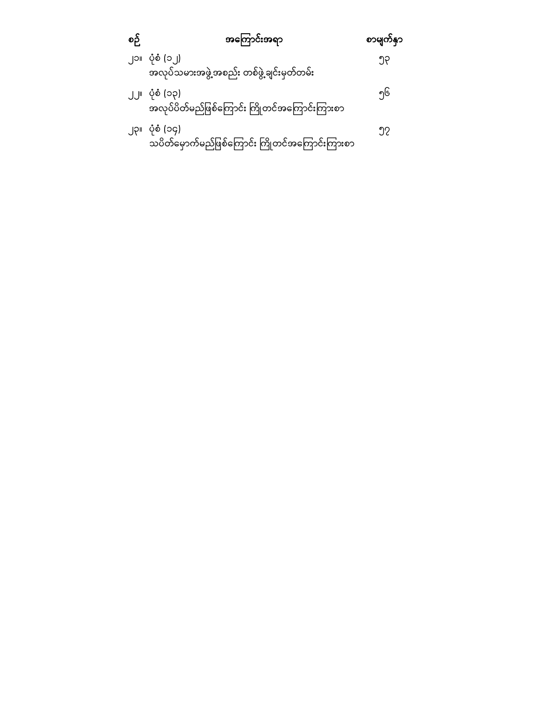| စဉ် | အကြောင်းအရာ                                                       | စာမျက်နှာ |
|-----|-------------------------------------------------------------------|-----------|
|     | ၂၁။ ပုံစံ (၁၂)<br>အလုပ်သမားအဖွဲ့အစည်း တစ်ဖွဲ့ချင်းမှတ်တမ်း        | ၅၃        |
|     | ၂၂။ ပုံစံ (၁၃)<br>အလုပ်ပိတ်မည်ဖြစ်ကြောင်း ကြိုတင်အကြောင်းကြားစာ   | ၅၆        |
|     | ၂၃။ ပုံစံ (၁၄)<br>သပိတ်မှောက်မည်ဖြစ်ကြောင်း ကြိုတင်အကြောင်းကြားစာ | ງ?        |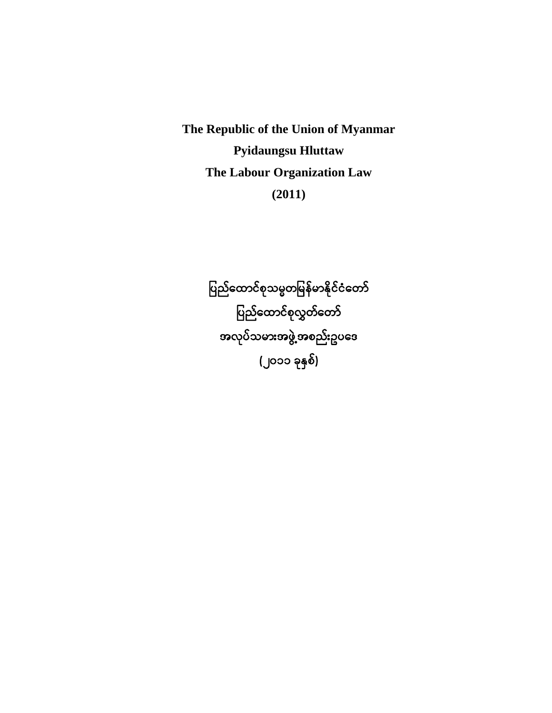**The Republic of the Union of Myanmar Pyidaungsu Hluttaw The Labour Organization Law (2011)**

> ပြည်ထောင်စုသမ္မတမြန်မာနိုင်ငံတော် ပြည်ထောင်စုလွှတ်တော် အလုပ်သမားအဖွဲ့အစည်းဥပေဒ (၂၀၁၁ ခုနှစ်)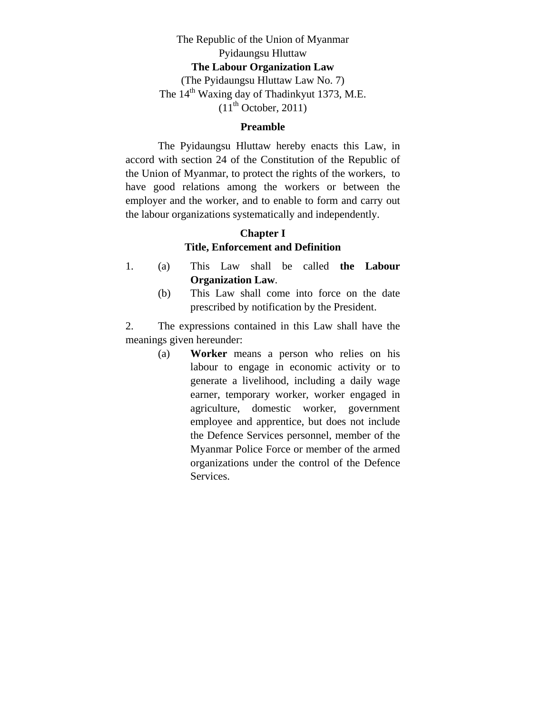## The Republic of the Union of Myanmar Pyidaungsu Hluttaw **The Labour Organization Law**  (The Pyidaungsu Hluttaw Law No. 7) The 14<sup>th</sup> Waxing day of Thadinkyut 1373, M.E.  $(11<sup>th</sup> October, 2011)$

#### **Preamble**

 The Pyidaungsu Hluttaw hereby enacts this Law, in accord with section 24 of the Constitution of the Republic of the Union of Myanmar, to protect the rights of the workers, to have good relations among the workers or between the employer and the worker, and to enable to form and carry out the labour organizations systematically and independently.

## **Chapter I Title, Enforcement and Definition**

- 1. (a) This Law shall be called **the Labour Organization Law**.
	- (b) This Law shall come into force on the date prescribed by notification by the President.

2. The expressions contained in this Law shall have the meanings given hereunder:

> (a) **Worker** means a person who relies on his labour to engage in economic activity or to generate a livelihood, including a daily wage earner, temporary worker, worker engaged in agriculture, domestic worker, government employee and apprentice, but does not include the Defence Services personnel, member of the Myanmar Police Force or member of the armed organizations under the control of the Defence Services.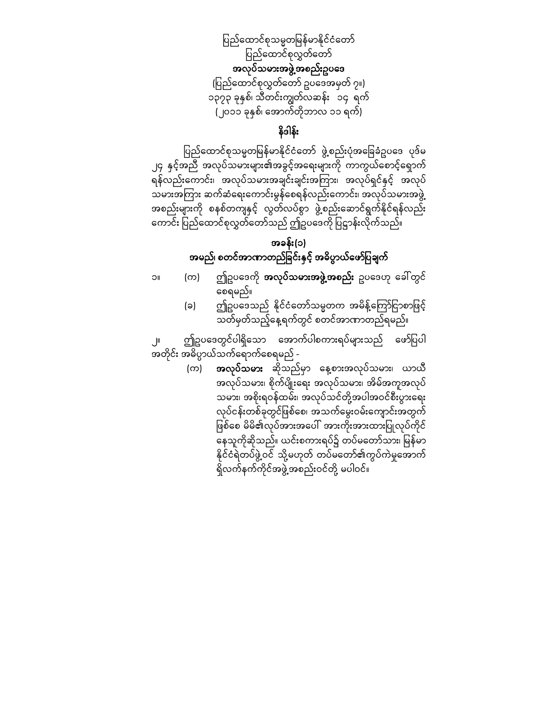ပြည်ထောင်စုသမ္မတမြန်မာနိုင်ငံတော် ပြည်ထောင်စုလွှတ်တော် အလုပ်သမားအဖွဲ့အစည်းဥပေဒ (ပြည်ထောင်စုလွှတ်တော် ဥပဒေအမှတ် ၇။) ၁၃၇၃ ခုနှစ်၊ သီတင်းကျွတ်လဆန်း ၁၄ ရက် (၂၀၁၁ ခုနှစ်၊ ေအာက်တိုဘာလ ၁၁ ရက်)

# နိဒါန်း

ပြည်ထောင်စုသမ္မတမြန်မာနိုင်ငံတော် ဖွဲ့စည်းပုံအခြေခံဥပဒေ ပုဒ်မ ၂၄ နှင့်အညီ အလုပ်သမားများ၏အခွင့်အေရးများကို ကာကွယ်ေစာင့်ေရှာက် ရန်လည်းကောင်း၊ အလုပ်သမားအချင်းချင်းအကြား၊ အလုပ်ရှင်နှင့် အလုပ် သမားအကြား ဆက်ဆံရေးကောင်းမွန်စေရန်လည်းကောင်း၊ အလုပ်သမားအဖွဲ့ အစည်းများကို စနစ်တကျနှင့် လွတ်လပ်စွာ ဖွဲ့စည်းဆောင်ရွက်နိုင်ရန်လည်း ကောင်း ပြည်ထောင်စုလွှတ်တော်သည် ဤဥပဒေကို ပြဋ္ဌာန်းလိုက်သည်။

## အခန်း(၁) အမည်၊ စတင်အာဏာတည်ခြင်းနှင့် အဓိပ္ပာယ်ဖော်ပြချက်

- 
- ၁။ (က) ဤဥပဒေကို **အလုပ်သမားအဖွဲ့အစည်း** ဥပဒေဟု ခေါ်တွင် ေစရမည်။
	- (ခ) ဤဥပဒေသည် နိုင်ငံတော်သမ္မတက အမိန့်ကြော်ငြာစာဖြင့် သတ်မှတ်သည့်ေန့ရက်တွင် စတင်အာဏာတည်ရမည်။

ဤဥပဒေတွင်ပါရှိသော အောက်ပါစကားရပ်များသည် ဖော်ပြပါ အတိုင်း အဓိပ္ပာယ်သက်ေရာက်ေစရမည် -

> (က) အလုပ်သမား ဆိုသည်မှာ ေန့စားအလုပ်သမား၊ ယာယီ အလုပ်သမား၊ စိုက်ပျိုးေရး အလုပ်သမား၊ အိမ်အကူအလုပ် သမား၊ အစိုးရဝန်ထမ်း၊ အလုပ်သင်တို့အပါအဝင်စီးပွားေရး လုပ်ငန်းတစ်ခုတွင်ဖြစ်စေ၊ အသက်မွေးဝမ်းကျောင်းအတွက် ဖြစ်စေ မိမိ၏လုပ်အားအပေါ် အားကိုးအားထားပြုလုပ်ကိုင် နေသူကိုဆိုသည်။ ယင်းစကားရပ်၌ တပ်မတော်သား၊ မြန်မာ နိုင်ငံရဲတပ်ဖွဲ့ဝင် သို့မဟုတ် တပ်မတော်၏ကွပ်ကဲမှုအောက် ရှိလက်နက်ကိုင်အဖွဲ့အစည်းဝင်တို့ မပါဝင်။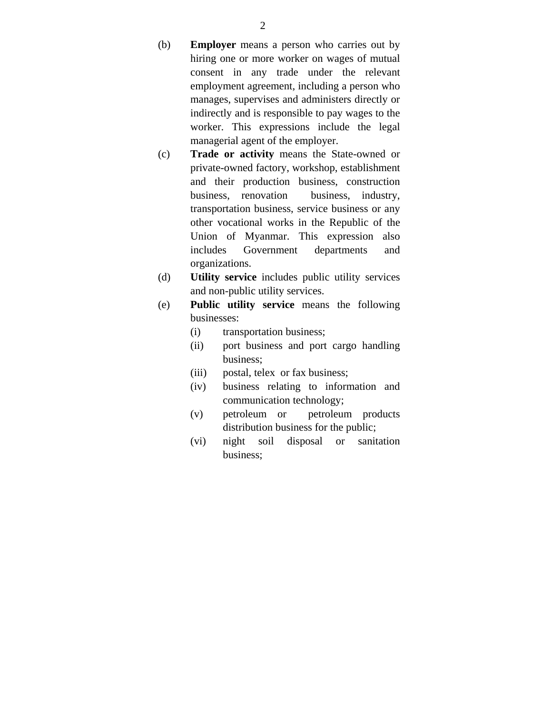(b) **Employer** means a person who carries out by hiring one or more worker on wages of mutual consent in any trade under the relevant employment agreement, including a person who manages, supervises and administers directly or indirectly and is responsible to pay wages to the worker. This expressions include the legal managerial agent of the employer.

- (c) **Trade or activity** means the State-owned or private-owned factory, workshop, establishment and their production business, construction business, renovation business, industry, transportation business, service business or any other vocational works in the Republic of the Union of Myanmar. This expression also includes Government departments and organizations.
- (d) **Utility service** includes public utility services and non-public utility services.
- (e) **Public utility service** means the following businesses:
	- (i) transportation business;
	- (ii) port business and port cargo handling business;
	- (iii) postal, telex or fax business;
	- (iv) business relating to information and communication technology;
	- (v) petroleum or petroleum products distribution business for the public;
	- (vi) night soil disposal or sanitation business;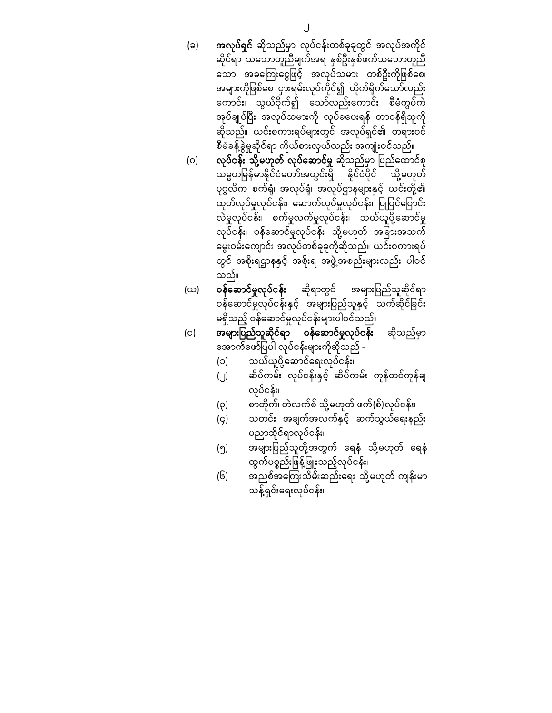- (ခ) **အလုပ်ရှင်** ဆိုသည်မှာ လုပ်ငန်းတစ်ခုခုတွင် အလုပ်အကိုင် ဆိုင်ရာ သဘောတူညီချက်အရ နှစ်ဦးနှစ်ဖက်သဘောတူညီ သော အခကြေးငွေဖြင့် အလုပ်သမား တစ်ဦးကိုဖြစ်စေ၊ အများကိုဖြစ်စေ ငှားရမ်းလုပ်ကိုင်၍ တိုက်ရိုက်သော်လည်း ေကာင်း၊ သွယ်ဝိုက်၍ ေသာ်လည်းေကာင်း စီမံကွပ်ကဲ အုပ်ချုပ်ပြီး အလုပ်သမားကို လုပ်ခပေးရန် တာဝန်ရှိသူကို ဆိုသည်။ ယင်းစကားရပ်များတွင် အလုပ်ရ ှင်၏ တရားဝင် စီမံခန့်ခွဲမှုဆိုင ်ရာ ကိုယ်စားလှယ်လည်း အကျုံးဝင်သည်။
- (ဂ) လု**ပ်ငန်း သို့မဟုတ် လုပ်ဆောင်မှု** ဆိုသည်မှာ ပြည်ထောင်စု သမ္မတမြန်မာနိုင်ငံတော်အတွင်းရှိ နိုင်ငံပိုင် သို့မဟုတ် ပုဂ္ဂလိက စက်ရုံ၊ အလုပ်ရုံ၊ အလုပ်ဌာနများနှင့် ယင်းတို့၏ ထုတ်လုပ်မှုလုပ်ငန်း၊ ဆောက်လုပ်မှုလုပ်ငန်း၊ ပြုပြင်ပြောင်း လဲမှုလုပ်ငန်း၊ စက်မှုလက်မှုလုပ်ငန်း၊ သယ်ယူပို့ေဆာင်မှု လုပ်ငန်း၊ ဝန်ဆောင်မှုလုပ်ငန်း သို့မဟုတ် အခြားအသက် မွေးဝမ်းကျောင်း အလုပ်တစ်ခုခုကိုဆိုသည်။ ယင်းစကားရပ် တွင် အစိုးရဌာနနှင့် အစိုးရ အဖွဲ့အစည်းများလည်း ပါဝင် သည်။
- (ဃ) **ဝန်ဆောင်မှုလုပ်ငန်း** ဆိုရာတွင် အများပြည်သူဆိုင်ရာ ဝန်ဆောင်မှုလုပ်ငန်းနှင့် အများပြည်သူနှင့် သက်ဆိုင်ခြင်း မရှိသည့် ဝန်ေဆာင်မှုလုပ်ငန်းများပါဝင်သည်။
- (င) **အများပြည်သူဆိုင်ရာ ဝန်ဆောင်မှုလုပ်ငန်း** ဆိုသည်မှာ ေအာက်ေဖာ်ပြ ပါ လုပ်ငန်းများကိုဆိုသည် -
	- (၁) သယ်ယူပို့ဆောင်ရေးလုပ်ငန်း၊
	- (၂) ဆိပ်ကမ်း လုပ်ငန်းနှင့် ဆိပ်ကမ်း ကုန်တင်ကုန်ချ လုပ်ငန်း၊
	- (၃) စာတိုက်၊ တဲလက်စ် သို့မဟုတ် ဖက်(စ်)လုပ်ငန်း၊
	- (၄) သတင်း အချက်အလက်နှင့် ဆက်သွယ်ေရးနည်း ပညာဆိုင်ရာလုပ်ငန်း၊
	- (၅) အများပြ ည်သူတို့အတွက် ေရနံ သို့မဟုတ် ေရနံ ထွက်ပစ္စည်းဖြန့်ဖြူးသည့်လုပ်ငန်း၊
	- (၆) အညစ်အေကြ းသိမ်းဆည်းေရး သို့မဟုတ် ကျန်းမာ သန့်ရှင်းေရးလုပ်ငန်း၊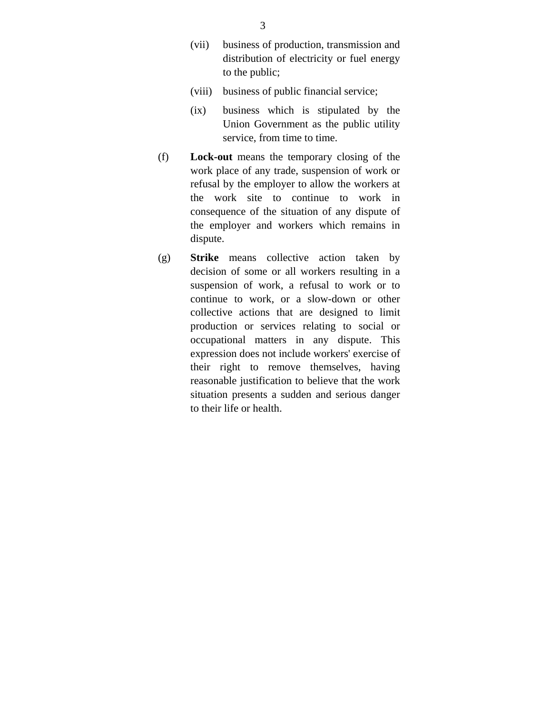- (vii) business of production, transmission and distribution of electricity or fuel energy to the public;
- (viii) business of public financial service;
- (ix) business which is stipulated by the Union Government as the public utility service, from time to time.
- (f) **Lock-out** means the temporary closing of the work place of any trade, suspension of work or refusal by the employer to allow the workers at the work site to continue to work in consequence of the situation of any dispute of the employer and workers which remains in dispute.
- (g) **Strike** means collective action taken by decision of some or all workers resulting in a suspension of work, a refusal to work or to continue to work, or a slow-down or other collective actions that are designed to limit production or services relating to social or occupational matters in any dispute. This expression does not include workers' exercise of their right to remove themselves, having reasonable justification to believe that the work situation presents a sudden and serious danger to their life or health.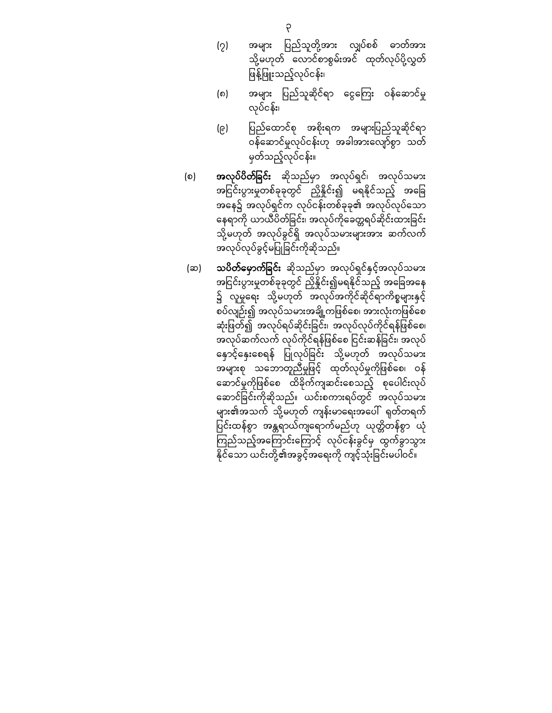- (၇) အများ ပြည်သူတို့အား လျှပ်စစ် ဓာတ်အား သို့မဟုတ် ေလာင်စာစွမ်းအင် ထုတ်လုပ်ပို့လွှတ် ဖြန့်ဖြူးသည့်လုပ်ငန်း၊
- (၈) အများ ပြည်သူဆိုင်ရာ ငွေကြေး ဝန်ဆောင်မှု လုပ်ငန်း၊
- (၉) ပြည်ထောင်စု အစိုးရက အများပြည်သူဆိုင်ရာ ဝန်ေဆာင်မှုလုပ်ငန်းဟု အခါအားေလျာ်စွာ သတ် မှတ်သည့်လုပ်ငန်း။
- (စ) **အလုပ်ပိတ်ခြင်း** ဆိုသည်မှာ အလုပ်ရှင်၊ အလုပ်သမား အငြင်းပွားမှုတစ်ခုခုတွင် ညှိနိူင်း၍ မရနိုင်သည့် အခြေ အနေ၌ အလုပ်ရှင်က လုပ်ငန်းတစ်ခုခု၏ အလုပ်လုပ်သော နေရာကို ယာယီပိတ်ခြင်း၊ အလုပ်ကိုခေတ္တရပ်ဆိုင်းထားခြင်း သို့မဟုတ် အလုပ်ခွင်ရှိ အလုပ်သမားများအား ဆက်လက် အလုပ်လုပ်ခွင့်မပြုခြင်းကိုဆိုသည်။
- (ဆ) သ**ပိတ်မှောက်ခြင်း** ဆိုသည်မှာ အလုပ်ရှင်နှင့်အလုပ်သမား အငြင်းပွားမှုတစ်ခုခုတွင် ညှိနိုင်း၍မရနိုင်သည့် အခြေအနေ ၌ လူမှုရေး သို့မဟုတ် အလုပ်အကိုင်ဆိုင်ရာကိစ္စများနှင့် စပ်လျဉ်း၍ အလုပ်သမားအချို့ကဖြစ်စေ၊ အားလုံးကဖြစ်စေ ဆုံးဖြတ်၍ အလုပ်ရပ်ဆိုင်းခြင်း၊ အလုပ်လုပ်ကိုင်ရန်ဖြစ်စေ၊ အလုပ်ဆက်လက် လုပ်ကိုင်ရန်ဖြစ်စေ ငြင်းဆန်ခြင်း၊ အလုပ် နောင့်နှေးစေရန် ပြုလုပ်ခြင်း သို့မဟုတ် အလုပ်သမား အများစု သဘောတူညီမှုဖြင့် ထုတ်လုပ်မှုကိုဖြစ်စေ၊ ဝန် ေဆာင်မှုကိုဖြ စ်ေစ ထိခိုက်ကျဆင်းေစသည် ့စုေပါင်းလုပ် ေဆာင်ခြ င်းကိုဆိုသည်။ ယင်းစကားရပ်တွင် အလုပ်သမား များ၏အသက် သို့မဟုတ် ကျန်းမာေရးအေပါ် ရုတ်တရက် ပြင်းထန်စွာ အန္တရာယ်ကျရောက်မည်ဟု ယုတ္တိတန်စွာ ယုံ ကြည်သည့်အကြောင်းကြောင့် လုပ်ငန်းခွင်မှ ထွက်ခွာသွား နိုင်သော ယင်းတို့၏အခွင့်အရေးကို ကျင့်သုံးခြင်းမပါဝင်။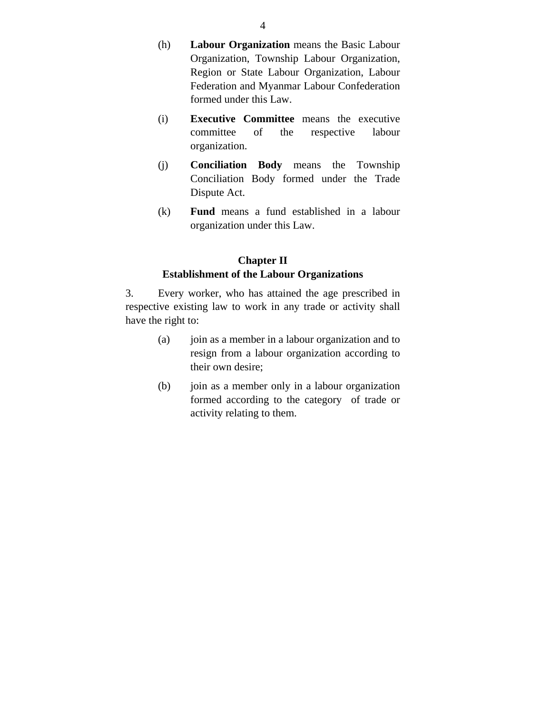- (h) **Labour Organization** means the Basic Labour Organization, Township Labour Organization, Region or State Labour Organization, Labour Federation and Myanmar Labour Confederation formed under this Law.
- (i) **Executive Committee** means the executive committee of the respective labour organization.
- (j) **Conciliation Body** means the Township Conciliation Body formed under the Trade Dispute Act.
- (k) **Fund** means a fund established in a labour organization under this Law.

### **Chapter II Establishment of the Labour Organizations**

3. Every worker, who has attained the age prescribed in respective existing law to work in any trade or activity shall have the right to:

- (a) join as a member in a labour organization and to resign from a labour organization according to their own desire;
- (b) join as a member only in a labour organization formed according to the category of trade or activity relating to them.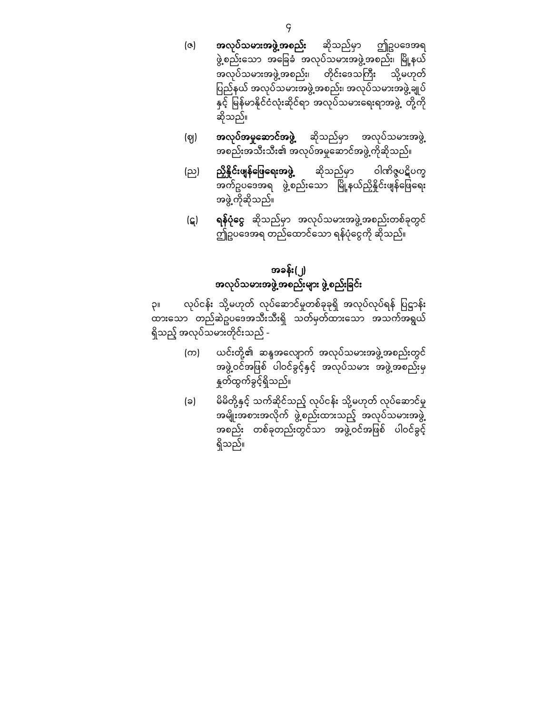- (ဇ) အလုပ်သမားအဖွဲ့အစည်း ဆိုသည်မှာ ဤဥပေဒအရ ဖွဲ့စည်းသော အခြေခံ အလုပ်သမားအဖွဲ့အစည်း၊ မြို့နယ် အလုပ်သမားအဖွဲ့အစည်း၊ တိုင်းဒေသကြီး သို့မဟုတ် ြ ည်နယ် ပ အလုပ်သမားအဖွဲ့အစည်း၊ အလုပ်သမားအဖွဲ့ချုပ် နှင့် မြန်မာနိုင်ငံလုံးဆိုင်ရာ အလုပ်သမားရေးရာအဖွဲ့ တို့ကို ဆိုသည်။
- (ဈ) **အလုပ်အမှုဆောင်အဖွဲ့** ဆိုသည်မှာ အလုပ်သမားအဖွဲ့ အစည်းအသီးသီး၏ အလုပ်အမှုေဆာင်အဖွဲ့ကိုဆိုသည်။
- (ည) **ညှိနိုင်းဖျန်ဖြေရေးအဖွဲ့** ဆိုသည်မှာ ဝါဏိဇ္ဇပဋိပက္ခ အက်ဥပေဒအရ ဖွဲ့စည်းေသာ ြ ို့နယ်ညှိနိှုင်းဖျန်ေဖ မ ြ ေရး အဖွဲ့ကိုဆိုသည်။
- (ဋ) ရ**န်ပုံငွေ** ဆိုသည်မှာ အလုပ်သမားအဖွဲ့အစည်းတစ်ခုတွင် ဤဥပေဒအရ တည်ေထာင်ေသာ ရန်ပုံေင ွကို ဆိုသည်။

# အခန်း(၂) အလုပ်သမားအဖွဲ့အစည်းများ ဖွဲ့စည်းခြင်း

၃။ လုပ်ငန်း သို့မဟုတ် လုပ်ဆောင်မှုတစ်ခုခုရှိ အလုပ်လုပ်ရန် ပြဋ္ဌာန်း ်<br>ထားသော တည်ဆဲဥပဒေအသီးသီးရှိ သတ်မှတ်ထားသော အသက်အရွယ် ရှိသည့် အလုပ်သမားတိုင်းသည် -

- (က) ပောင်းတို့၏ ဆန္ဒအလျောက် အလုပ်သမားအဖွဲ့အစည်းတွင် အဖွဲ့ဝင်အဖြစ် ပါဝင်ခွင့်နှင့် အလုပ်သမား အဖွဲ့အစည်းမှ နှုတ်ထွက်ခွင် ့ရှိသည်။
- (ခ) မိမိတို့နှင့် သက်ဆိုင်သည့် လုပ်ငန်း သို့မဟုတ် လုပ်ဆောင်မှု အမျိုးအစားအလိုက် ဖွဲ့စည်းထားသည့် အလုပ်သမားအဖွဲ့ အစည်း တစ်ခုတည်းတွင်သာ အဖွဲ့ဝင်အဖြစ် ပါဝင်ခွင့် ရှိသည်။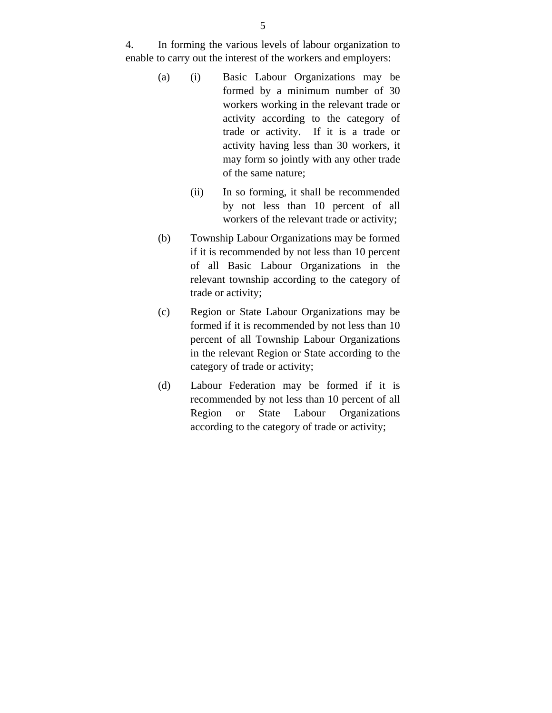4. In forming the various levels of labour organization to enable to carry out the interest of the workers and employers:

- (a) (i) Basic Labour Organizations may be formed by a minimum number of 30 workers working in the relevant trade or activity according to the category of trade or activity. If it is a trade or activity having less than 30 workers, it may form so jointly with any other trade of the same nature;
	- (ii) In so forming, it shall be recommended by not less than 10 percent of all workers of the relevant trade or activity;
- (b) Township Labour Organizations may be formed if it is recommended by not less than 10 percent of all Basic Labour Organizations in the relevant township according to the category of trade or activity;
- (c) Region or State Labour Organizations may be formed if it is recommended by not less than 10 percent of all Township Labour Organizations in the relevant Region or State according to the category of trade or activity;
- (d) Labour Federation may be formed if it is recommended by not less than 10 percent of all Region or State Labour Organizations according to the category of trade or activity;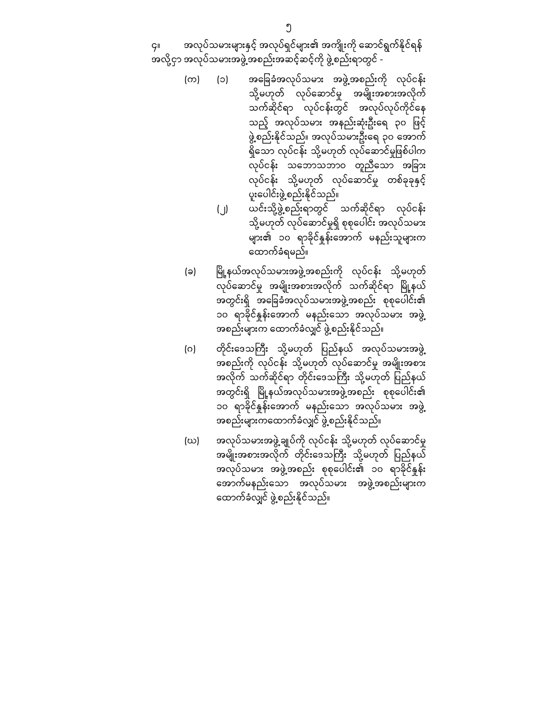၄။ အလုပ်သမားများနှင့် အလုပ်ရှင်များ၏ အကျိုးကို ေဆာင်ရွက်နိုင ်ရန် အလို့ငှာ အလုပ်သမားအဖွဲ့အစည်းအဆင့်ဆင့်ကို ဖွဲ့စည်းရာတွင် -

- (က) (၁) အေခြ ခံအလုပ်သမား အဖွဲ့အစည်းကို လုပ်ငန်း သို့မဟုတ် လုပ်ဆောင်မှု အမျိုးအစားအလိုက် သက်ဆိုင်ရာ လုပ်ငန်းတွင် အလုပ်လုပ်ကိုင်ေန သည့် အလုပ်သမား အနည်းဆုံးဦးရေ ၃၀ ဖြင့် ဖွဲ့စည်းနိုင်သည်။ အလုပ်သမားဦးေရ ၃၀ ေအာက် ရှိသော လုပ်ငန်း သို့မဟုတ် လုပ်ဆောင်မှုဖြစ်ပါက လုပ်ငန်း သဘောသဘာဝ တူညီသော အခြား လုပ်ငန်း သို့မဟုတ် လုပ်ဆောင်မှု တစ်ခုခုနှင့် ပူးေပါင်းဖွဲ့စည်းနိုင်သည်။
	- (၂) ယင်းသို့ဖွဲ့စည်းရာတွင် သက်ဆိုင်ရာ လုပ်ငန်း သို့မဟုတ် လုပ်ေဆာင်မှုရှိ စုစုေပါင်း အလုပ်သမား များ၏ ၁၀ ရာခိုင်နှုန်းေအာက် မနည်းသူများက ေထာက်ခံရမည်။
- (ခ) မြို့နယ်အလုပ်သမားအဖွဲ့အစည်းကို လုပ်ငန်း သို့မဟုတ် လုပ်ေဆာင်မှု အမျိုးအစားအလိုက် သက်ဆိုင်ရာ ြ ို့နယ် မ အတွင်းရှိ အခြေခံအလုပ်သမားအဖွဲ့အစည်း စုစုပေါင်း၏ ၁၀ ရာခိုင်နူန်းအောက် မနည်းသော အလုပ်သမား အဖွဲ့ အစည်းများက ေထာက်ခံလျှင် ဖွဲ့စည်းနိုင်သည်။
- (ဂ) တိုင်းဒေသကြီး သို့မဟုတ် ပြည်နယ် အလုပ်သမားအဖွဲ့ အစည်းကို လုပ်ငန်း သို့မဟုတ် လုပ်ေဆာင်မှု အမျိုးအစား အလိုက် သက်ဆိုင်ရာ တိုင်းဒေသကြီး သို့မဟုတ် ပြည်နယ် အတွင်းရှိ မြို့နယ်အလုပ်သမားအဖွဲ့အစည်း စုစုပေါင်း၏ ၁၀ ရာခိုင်နူန်းအောက် မနည်းသော အလုပ်သမား အဖွဲ့ အစည်းများကေထာက်ခံလျှင် ဖွဲ့စည်းနိုင်သည်။
- (ဃ) အလုပ်သမားအဖွဲ့ချုပ်ကို လုပ်ငန်း သို့မဟုတ် လုပ်ေဆာင်မှု အမျိုးအစားအလိုက် တိုင်းဒေသကြီး သို့မဟုတ် ပြည်နယ် အလုပ်သမား အဖွဲ့အစည်း စုစုပေါင်း၏ ၁၀ ရာခိုင်နူန်း ေအာက်မနည်းေသာ အလုပ်သမား အဖွဲ့အစည်းများက ေထာက်ခံလျှင် ဖွဲ့စည်းနိုင်သည်။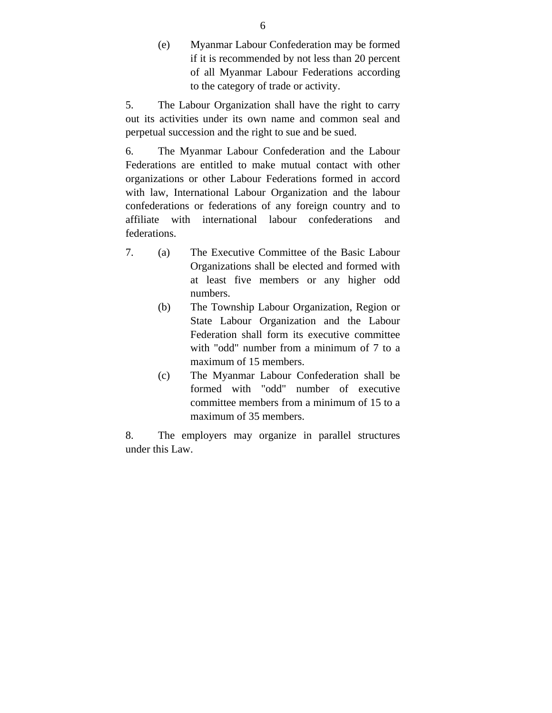(e) Myanmar Labour Confederation may be formed if it is recommended by not less than 20 percent of all Myanmar Labour Federations according to the category of trade or activity.

5. The Labour Organization shall have the right to carry out its activities under its own name and common seal and perpetual succession and the right to sue and be sued.

6. The Myanmar Labour Confederation and the Labour Federations are entitled to make mutual contact with other organizations or other Labour Federations formed in accord with law, International Labour Organization and the labour confederations or federations of any foreign country and to affiliate with international labour confederations and federations.

- 7. (a) The Executive Committee of the Basic Labour Organizations shall be elected and formed with at least five members or any higher odd numbers.
	- (b) The Township Labour Organization, Region or State Labour Organization and the Labour Federation shall form its executive committee with "odd" number from a minimum of 7 to a maximum of 15 members.
	- (c) The Myanmar Labour Confederation shall be formed with "odd" number of executive committee members from a minimum of 15 to a maximum of 35 members.

8. The employers may organize in parallel structures under this Law.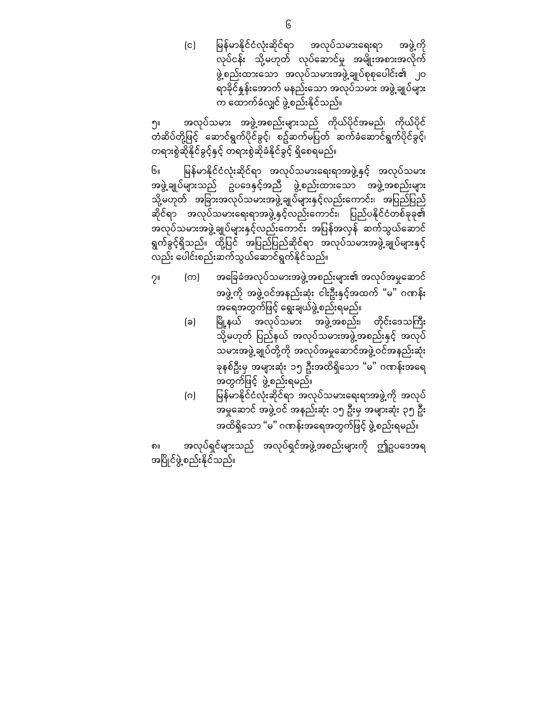(င) မြန်မာနိုင်ငံလုံးဆိုင်ရာ အလုပ်သမားရေးရာ အဖွဲ့ကို လုပ်ငန်း သို့မဟုတ် လုပ်ေဆာင်မှု အမျိုးအစားအလိုက ် ဖွဲ့စည်းထားေသာ အလုပ်သမားအဖွဲ့ချုပ်စုစုေပါင်း၏ ၂၀ ရာခိုင်နှုန်းေအာက် မနည်းေသာ အလုပ်သမား အဖွဲ့ချုပ်များ က ေထာက်ခံလျှင် ဖွဲ့စည်းနိုင်သည်။

၅။ အလုပ်သမား အဖွဲ့အစည်းများသည် ကိုယ်ပိုင်အမည်၊ ကိုယ်ပိုင် တံဆိပ်တို့ဖြင့် ဆောင်ရွက်ပိုင်ခွင့်၊ စဥ်ဆက်မပြတ် ဆက်ခံဆောင်ရွက်ပိုင်ခွင့်၊ တရားစွဲဆိုနိုင်ခွင့်နှင့် တရားစွဲဆိုခံနိုင်ခွင့် ရှိေစရမည်။

၆။ ြ န်မာနိုင ်ငံလုံးဆိုင်ရာ မ အလုပ်သမားေရးရာအဖွဲ့နှင့် အလုပ်သမား အဖွဲ့ချုပ်များသည် ဥပေဒနှင် ့အညီ ဖွဲ့စည်းထားေသာ အဖွဲ့အစည်းများ သို့မဟုတ် အခြားအလုပ်သမားအဖွဲ့ချုပ်များနှင့်လည်းကောင်း၊ အပြည်ပြည် ဆိုင်ရာ အလုပ်သမားရေးရာအဖွဲ့နှင့်လည်းကောင်း၊ ပြည်ပနိုင်ငံတစ်ခုခု၏ အလုပ်သမားအဖွဲ့ချုပ်များနှင့်လည်းကောင်း အပြန်အလှန် ဆက်သွယ်ဆောင် ရွက်ခွင့်ရှိသည်။ ထို့ပြင် အပြည်ပြည်ဆိုင်ရာ အလုပ်သမားအဖွဲ့ချုပ်များနှင့် လည်း ေပါင်းစည်းဆက်သွယ်ေဆာင်ရွက်နိုင်သည်။

- ၇။ (က) အေြခခံအလုပ်သမားအဖွဲ့အစည်းများ၏ အလုပ်အမှုေဆာင် အဖွဲ့ကို အဖွဲ့ဝင်အနည်းဆုံး ငါးဦးနှင့်အထက် "မ" ဂဏန်း အရေအတွက်ဖြင့် ရွေးချယ်ဖွဲ့စည်းရမည်။
	- (ခ) မြို့နယ် အလုပ်သမား အဖွဲ့အစည်း၊ တိုင်းဒေသကြီး သို့မဟုတ် ပြည်နယ် အလုပ်သမားအဖွဲ့အစည်းနှင့် အလုပ် သမားအဖွဲ့ချုပ်တို့ကို အလုပ်အမှုေဆာင်အဖွဲ့ဝင်အနည်းဆုံး ခုနစ်ဦးမှ အများဆုံး ၁၅ ဦးအထိရှိေသာ "မ" ဂဏန်းအေရ အတွက်ဖြင့် ဖွဲ့စည်းရမည်။
	- (ဂ) ြ မြန်မာနိုင်ငံလုံးဆိုင်ရာ အလုပ်သမားရေးရာအဖွဲ့ကို အလုပ် အမှုေဆာင် အဖွဲ့ဝင် အနည ်းဆုံး ၁၅ ဦးမှ အများဆုံး ၃၅ ဦး အထိရှိသော "မ" ဂဏန်းအရေအတွက်ဖြင့် ဖွဲ့စည်းရမည်။

၈။ အလုပ်ရှင်များသည် အလုပ်ရှင်အဖွဲ့အစည်းများကို ဤဥပေဒအရ အပြ ိုင်ဖွဲ့စည်းနိုင ်သည်။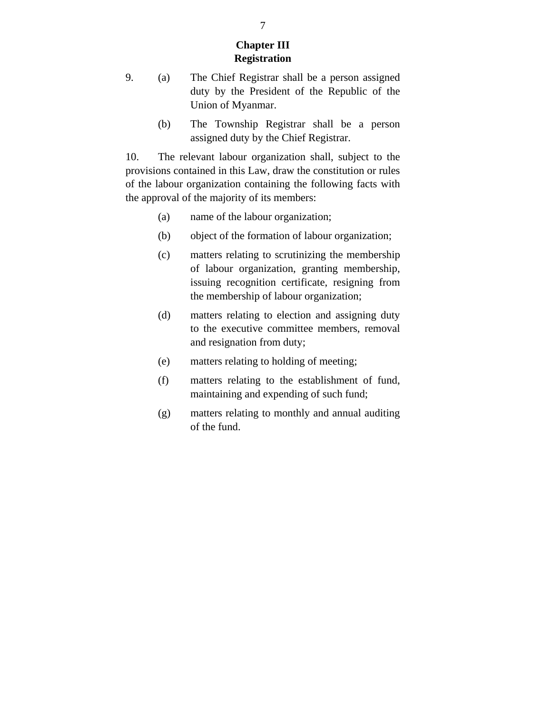### **Chapter III Registration**

- 9. (a) The Chief Registrar shall be a person assigned duty by the President of the Republic of the Union of Myanmar.
	- (b) The Township Registrar shall be a person assigned duty by the Chief Registrar.

10. The relevant labour organization shall, subject to the provisions contained in this Law, draw the constitution or rules of the labour organization containing the following facts with the approval of the majority of its members:

- (a) name of the labour organization;
- (b) object of the formation of labour organization;
- (c) matters relating to scrutinizing the membership of labour organization, granting membership, issuing recognition certificate, resigning from the membership of labour organization;
- (d) matters relating to election and assigning duty to the executive committee members, removal and resignation from duty;
- (e) matters relating to holding of meeting;
- (f) matters relating to the establishment of fund, maintaining and expending of such fund;
- (g) matters relating to monthly and annual auditing of the fund.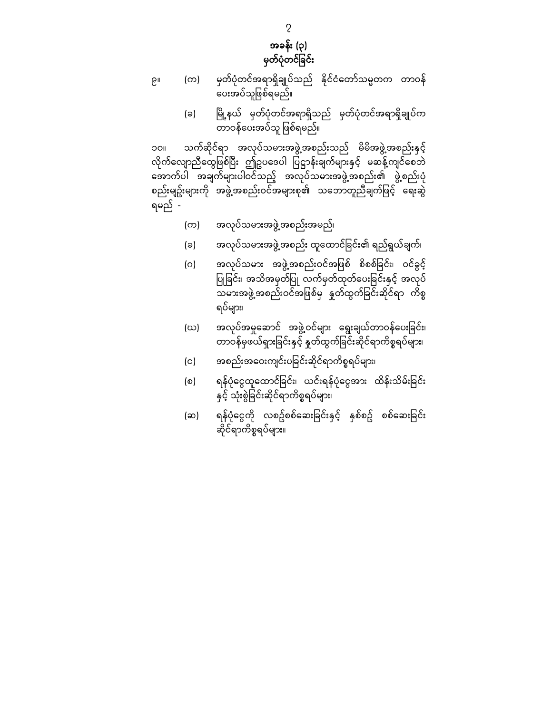

- ၉။ (က) မှတ်ပုံတင်အရာရှိချုပ်သည် နိုင်ငံတော်သမ္မတက တာဝန် -<br>ပေးအပ်သူဖြစ်ရမည်။
	- (ခ) ြ ို့နယ် မ မှတ်ပုံတင်အရာရှိသည် မှတ်ပုံတင်အရာရှိချုပ်က တာဝန်ေပးအပ်သူ ြ စ်ရမည်။ ဖ

၁၀။ သက်ဆိုင်ရာ အလုပ်သမားအဖွဲ့အစည်းသည် မိမိအဖွဲ့အစည်းနှင့် လိုက်လျောညီထွေဖြစ်ပြီး ဤဥပဒေပါ ပြဋ္ဌာန်းချက်များနှင့် မဆန့်ကျင်စေဘဲ ေအာက်ပါ အချက်များပါဝင်သည့် အလုပ်သမားအဖွဲ့အစည်း၏ ဖွဲ့စည်းပုံ စည်းမျဥ်းများကို အဖွဲ့အစည်းဝင်အများစု၏ သဘောတူညီချက်ဖြင့် ရေးဆွဲ ရမည် -

- (က) အလုပ်သမားအဖွဲ့အစည်းအမည်၊
- (ခ) အလုပ်သမားအဖွဲ့အစည်း ထူထောင်ခြင်း၏ ရည်ရွယ်ချက်၊
- (ဂ) အလုပ်သမား အဖွဲ့အစည်းဝင်အဖြစ် စိစစ်ခြင်း၊ ဝင်ခွင့် ပြုခြင်း၊ အသိအမှတ်ပြု လက်မှတ်ထုတ်ပေးခြင်းနှင့် အလုပ် သမားအဖွဲ့အစည်းဝင်အဖြစ်မှ နှုတ်ထွက်ခြင်းဆိုင်ရာ ကိစ္စ ရပ်များ၊
- (ဃ) အလုပ်အမှုဆောင် အဖွဲ့ဝင်များ ရွေးချယ်တာဝန်ပေးခြင်း၊ တာဝန်မှဖယ်ရှားခြင်းနှင့် နှုတ်ထွက်ခြင်းဆိုင်ရာကိစ္စရပ်များ၊
- (င) အစည်းအဝေးကျင်းပခြင်းဆိုင်ရာကိစ္စရပ်များ၊
- (စ) ရန်ပုံငွေထူထောင်ခြင်း၊ ယင်းရန်ပုံငွေအား ထိန်းသိမ်းခြင်း နှင့် သုံးစွဲခြ င ်းဆိုင်ရာကိစ္စရပ်များ၊
- (ဆ) ရန်ပုံငွေကို လစဥ်စစ်ဆေးခြင်းနှင့် နှစ်စဥ် စစ်ဆေးခြင်း ဆိုင်ရာကိစ္စရပ်များ။

၇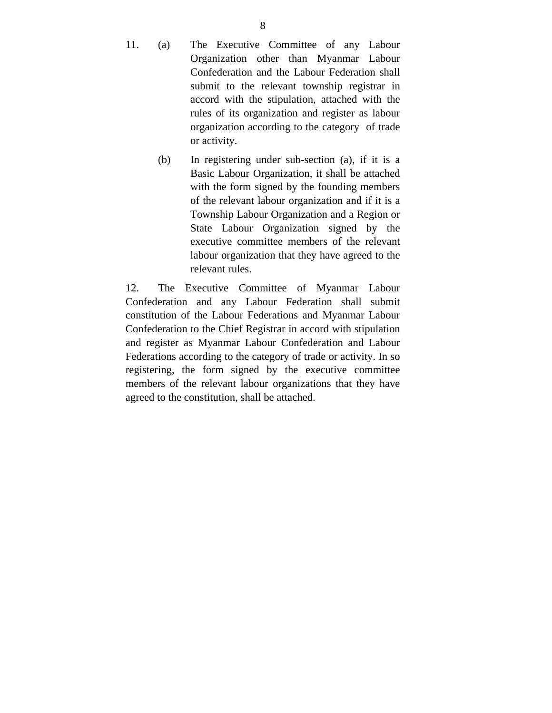- 11. (a) The Executive Committee of any Labour Organization other than Myanmar Labour Confederation and the Labour Federation shall submit to the relevant township registrar in accord with the stipulation, attached with the rules of its organization and register as labour organization according to the category of trade or activity.
	- (b) In registering under sub-section (a), if it is a Basic Labour Organization, it shall be attached with the form signed by the founding members of the relevant labour organization and if it is a Township Labour Organization and a Region or State Labour Organization signed by the executive committee members of the relevant labour organization that they have agreed to the relevant rules.

12. The Executive Committee of Myanmar Labour Confederation and any Labour Federation shall submit constitution of the Labour Federations and Myanmar Labour Confederation to the Chief Registrar in accord with stipulation and register as Myanmar Labour Confederation and Labour Federations according to the category of trade or activity. In so registering, the form signed by the executive committee members of the relevant labour organizations that they have agreed to the constitution, shall be attached.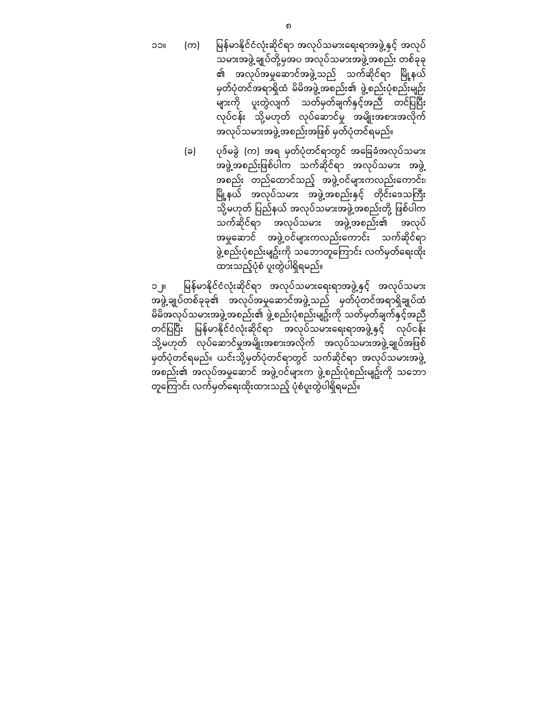၁၁။ (က) မြန်မာနိုင်ငံလုံးဆိုင်ရာ အလုပ်သမားရေးရာအဖွဲ့နှင့် အလုပ် သမားအဖွဲ့ချုပ်တို့မှအပ အလုပ်သမားအဖွဲ့အစည်း တစ်ခုခု ၏ အလုပ်အမှုဆောင်အဖွဲ့သည် သက်ဆိုင်ရာ မြို့နယ် မှတ်ပုံတင်အရာရှိထံ မိမိအဖွဲ့အစည်း၏ ဖွဲ့စည်းပုံစည်းမျဉ်း များကို ပူးတွဲလျက် သတ်မှတ်ချက်နှင့်အညီ တင်ပြပြီး လုပ်ငန်း သို့မဟုတ် လုပ်ဆောင်မှု အမျိုးအစားအလိုက် အလုပ်သမားအဖွဲ့အစည်းအဖြစ် မှတ်ပုံတင်ရမည်။

> (ခ) ပုဒ်မခွဲ (က) အရ မှတ်ပုံတင်ရာတွင် အေခြ ခံအလုပ်သမား အဖွဲ့အစည်းဖြစ်ပါက သက်ဆိုင်ရာ အလုပ်သမား အဖွဲ့ အစည်း တည်ေထာင်သည့် အဖွဲ့ဝင်များကလည်းေကာင်း၊ မြို့နယ် အလုပ်သမား အဖွဲ့အစည်းနှင့် တိုင်းဒေသကြီး သို့မဟုတ် ပြည်နယ် အလုပ်သမားအဖွဲ့အစည်းတို့ ဖြစ်ပါက သက်ဆိုင်ရာ အလုပ်သမား အဖွဲ့အစည်း၏ အလုပ် အမှုေဆာင် အဖွဲ့ဝင်များကလည်းေကာင်း သက်ဆိုင်ရာ ဖွဲ့စည်းပုံစည်းမျဥ်းကို သဘောတူကြောင်း လက်မှတ်ရေးထိုး ထားသည့်ပုံစံ ပူးတွဲပါရှိရမည်။

၁၂။ မြန်မာနိုင်ငံလုံးဆိုင်ရာ အလုပ်သမားရေးရာအဖွဲ့နှင့် အလုပ်သမား အဖွဲ့ချုပ်တစ်ခုခု၏ အလုပ်အမှုေဆာင်အဖွဲ့သည် မှတ်ပုံတင်အရာရှိချုပ်ထံ မိမိအလုပ်သမားအဖွဲ့အစည်း၏ ဖွဲ့စည်းပုံစည်းမျဥ်းကို သတ်မှတ်ချက်နှင့်အညီ တင်ပြပြီး မြန်မာနိုင်ငံလုံးဆိုင်ရာ အလုပ်သမားရေးရာအဖွဲ့နှင့် လုပ်ငန်း သို့မဟုတ် လုပ်ဆောင်မှုအမျိုးအစားအလိုက် အလုပ်သမားအဖွဲ့ချုပ်အဖြစ် မှတ်ပုံတင်ရမည်။ ယင်းသို့မှတ်ပုံတင်ရာတွင် သက်ဆိုင်ရာ အလုပ်သမားအဖွဲ့ အစည်း၏ အလုပ်အမှုေဆာင် အဖွဲ့ဝင်များက ဖွဲ့စည်းပုံစည်းမျဥ်းကို သေဘာ တူကြောင်း လက်မှတ်ရေးထိုးထားသည့် ပုံစံပူးတွဲပါရှိရမည်။

၈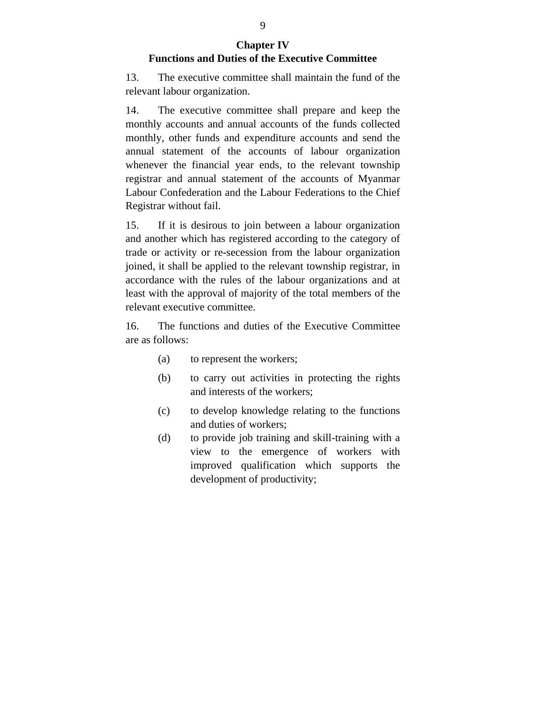### **Chapter IV Functions and Duties of the Executive Committee**

13. The executive committee shall maintain the fund of the relevant labour organization.

14. The executive committee shall prepare and keep the monthly accounts and annual accounts of the funds collected monthly, other funds and expenditure accounts and send the annual statement of the accounts of labour organization whenever the financial year ends, to the relevant township registrar and annual statement of the accounts of Myanmar Labour Confederation and the Labour Federations to the Chief Registrar without fail.

15. If it is desirous to join between a labour organization and another which has registered according to the category of trade or activity or re-secession from the labour organization joined, it shall be applied to the relevant township registrar, in accordance with the rules of the labour organizations and at least with the approval of majority of the total members of the relevant executive committee.

16. The functions and duties of the Executive Committee are as follows:

- (a) to represent the workers;
- (b) to carry out activities in protecting the rights and interests of the workers;
- (c) to develop knowledge relating to the functions and duties of workers;
- (d) to provide job training and skill-training with a view to the emergence of workers with improved qualification which supports the development of productivity;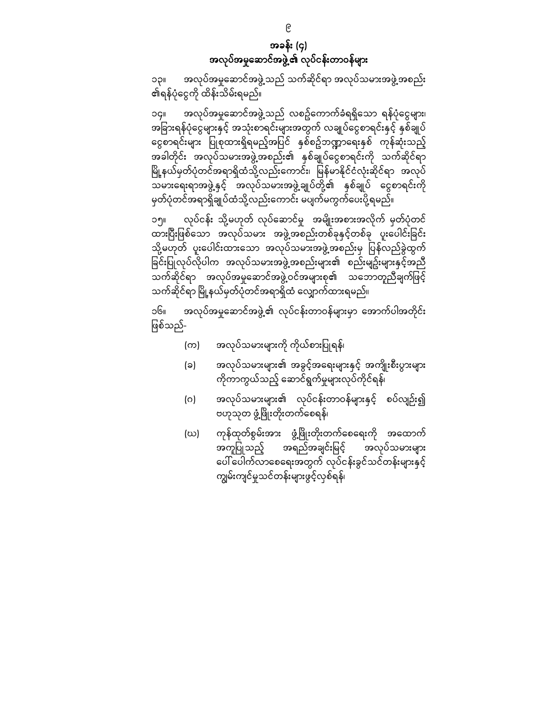အခန်း (၄) အလုပ်အမှုေဆာင်အဖွဲ့၏ လုပ်ငန်းတာဝန်များ

၁၃။ အလုပ်အမှုဆောင်အဖွဲ့သည် သက်ဆိုင်ရာ အလုပ်သမားအဖွဲ့အစည်း ၏ရန်ပုံေငွကို ထိန်းသိမ်းရမည်။

၁၄။ အလုပ်အမှုဆောင်အဖွဲ့ သည် လစဥ်ကောက်ခံရရှိသော ရန်ပုံငွေများ၊ အခြားရန်ပုံငွေများနှင့် အသုံးစာရင်းများအတွက် လချုပ်ငွေစာရင်းနှင့် နှစ်ချုပ် ငွေစာရင်းများ ပြုစုထားရှိရမည့်အပြင် နှစ်စဥ်ဘဏ္ဍာရေးနှစ် ကုန်ဆုံးသည့် အခါတိုင်း အလုပ်သမားအဖွဲ့အစည်း၏ နှစ်ချုပ်ေငွစာရင်းကို သက်ဆိုင်ရာ မြို့နယ်မှတ်ပုံတင်အရာရှိထံသို့လည်းကောင်း၊ မြန်မာနိုင်ငံလုံးဆိုင်ရာ အလုပ် သမားေရးရာအဖွဲ့နှင့် အလုပ်သမားအဖွဲ့ချုပ်တို့၏ နှစ်ချုပ် ေငွစာရင်းကို မှတ်ပုံတင်အရာရှိချုပ်ထံသို့လည်းေကာင်း မပျက်မကွက်ေပးပို့ရမည်။

၁၅။ လုပ်ငန်း သို့မဟုတ် လုပ်ေဆာင်မှု အမျိုးအစားအလိုက် မှတ်ပုံတင် ထားပြီးဖြစ်သော အလုပ်သမား အဖွဲ့အစည်းတစ်ခုနှင့်တစ်ခု ပူးပေါင်းခြင်း သို့မဟုတ် ပူးေပါင်းထားေသာ အလုပ်သမားအဖွဲ့အစည်းမှ ြပန်လည်ခွဲထွက် ခြင်းပြုလုပ်လိုပါက အလုပ်သမားအဖွဲ့အစည်းများ၏ စည်းမျဥ်းများနှင့်အညီ သက်ဆိုင်ရာ အလုပ်အမှုေဆာင်အဖွဲ့ဝင်အများစု၏ သေဘာတူညီချက်ြဖင့် သက်ဆိုင်ရာ မြို့နယ်မှတ်ပုံတင်အရာရှိထံ လျှောက်ထားရမည်။

၁၆။ အလုပ်အမှုေဆာင်အဖွဲ့၏ လုပ်ငန်းတာဝန်များမှာ ေအာက်ပါအတိုင်း ဖြစ်သည်-

- (က) အလုပ်သမားများကို ကိုယ်စားပြုရန်၊
- (ခ) အလုပ်သမားများ၏ အခွင့်အေရးများနှင့် အကျိုးစီးပွားများ ကိုကာကွယ်သည့် ေဆာင်ရွက်မှုများလုပ်ကိုင ်ရန်၊
- (ဂ) အလုပ်သမားများ၏ လုပ်ငန်းတာဝန်များနှင့် စပ်လျဉ်း၍ ဗဟုသုတ ဖွံ့ဖြိုးတိုးတက်စေရန်၊
- (ဃ) ကုန်ထုတ်စွမ်းအား ဖွံ့ဖြိုးတိုးတက်စေရေးကို အထောက် အကူပြုသည့် အရည်အချင်းမြင့် အလုပ်သမားများ ပေါ်ပေါက်လာစေရေးအတွက် လုပ်ငန်းခွင်သင်တန်းများနှင့် ကျွမ်းကျင်မှုသင်တန်းများဖွင့်လှစ်ရန်၊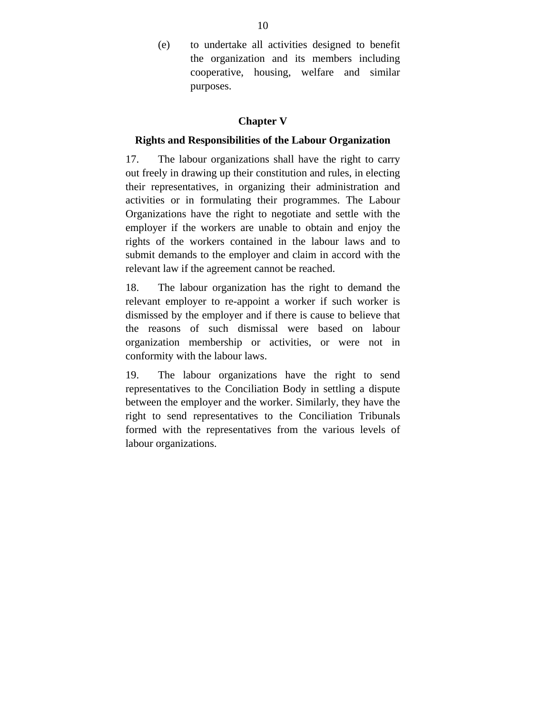(e) to undertake all activities designed to benefit the organization and its members including cooperative, housing, welfare and similar purposes.

### **Chapter V**

### **Rights and Responsibilities of the Labour Organization**

17. The labour organizations shall have the right to carry out freely in drawing up their constitution and rules, in electing their representatives, in organizing their administration and activities or in formulating their programmes. The Labour Organizations have the right to negotiate and settle with the employer if the workers are unable to obtain and enjoy the rights of the workers contained in the labour laws and to submit demands to the employer and claim in accord with the relevant law if the agreement cannot be reached.

18. The labour organization has the right to demand the relevant employer to re-appoint a worker if such worker is dismissed by the employer and if there is cause to believe that the reasons of such dismissal were based on labour organization membership or activities, or were not in conformity with the labour laws.

19. The labour organizations have the right to send representatives to the Conciliation Body in settling a dispute between the employer and the worker. Similarly, they have the right to send representatives to the Conciliation Tribunals formed with the representatives from the various levels of labour organizations.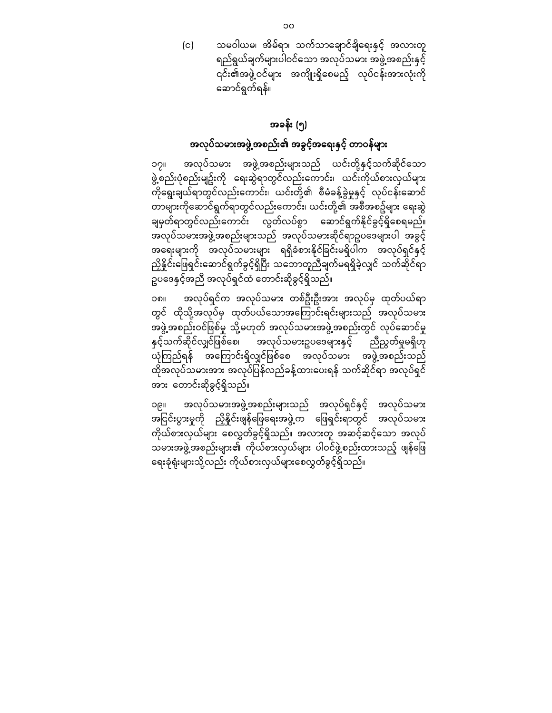(င) သမဝါယမ၊ အိမ်ရာ၊ သက်သာချောင်ချိရေးနှင့် အလားတူ ရည်ရွယ်ချက်များပါဝင်သော အလုပ်သမား အဖွဲ့အစည်းနှင့် ၎င်း၏အဖွဲ့ဝင်များ အကျိုးရှိစေမည့် လုပ်ငန်းအားလုံးကို ေဆာင်ရွက်ရန်။

## အခန်း (၅)

## အလုပ်သမားအဖွဲ့အစည်း၏ အခွင့်အေရးနှင့် တာဝန်များ

၁၇။ အလုပ်သမား အဖွဲ့အစည်းများသည် ယင်းတို့နှင် ့သက်ဆိုင်ေသာ ဖွဲ့စည်းပုံစည်းမျဥ်းကို ေရးဆွဲရာတွင်လည်းေကာင်း၊ ယင်းကိုယ်စားလှယ်များ ကိုေရွးချယ်ရာတွင်လည်းေကာင်း၊ ယင်းတို့၏ စီမံခန ့်ခွဲမှုနှင့် လုပ်ငန်းေဆာင် တာများကိုေဆာင်ရွက်ရာတွင်လည်းေကာင်း၊ ယင်းတို့၏ အစီအစဥ်များ ေရးဆွဲ ချမှတ်ရာတွင်လည်းကောင်း လွတ်လပ်စွာ ဆောင်ရွက်နိုင်ခွင့်ရှိစေရမည်။ အလုပ်သမားအဖွဲ့အစည်းများသည် အလုပ်သမားဆိုင်ရာဥပဒေများပါ အခွင့် အရေးများကို အလုပ်သမားများ ရရှိခံစားနိုင်ခြင်းမရှိပါက အလုပ်ရှင်နှင့် ညှိနှိုင်းဖြေရှင်းဆောင်ရွက်ခွင့်ရှိပြီး သဘောတူညီချက်မရရှိခဲ့လျှင် သက်ဆိုင်ရာ ဥပဒေနှင့်အညီ အလုပ်ရှင်ထံ တောင်းဆိုခွင့်ရှိသည်။

၁၈။ အလုပ်ရှင်က အလုပ်သမား တစ်ဦးဦးအား အလုပ်မှ ထုတ်ပယ်ရာ တွင် ထိုသို့အလုပ်မှ ထုတ်ပယ်သောအကြောင်းရင်းများသည် အလုပ်သမား အဖွဲ့အစည်းဝင်ဖြစ်မှု သို့မဟုတ် အလုပ်သမားအဖွဲ့အစည်းတွင် လုပ်ဆောင်မှု နှင့်သက်ဆိုင်လျှင်ဖြစ်စေ၊ အလုပ်သမားဥပဒေများနှင့် ညီညွတ်မှုမရှိဟု ယုံကြည်ရန် အကြောင်းရှိလျှင်ဖြစ်စေ အလုပ်သမား အဖွဲ့အစည်းသည် ထိုအလုပ်သမားအား အလုပ်ပြ န်လည်ခန့်ထားေပးရန် သက်ဆိုင်ရာ အလုပ်ရှင် အား တောင်းဆိုခွင့်ရှိသည်။

၁၉။ အလုပ်သမားအဖွဲ့အစည်းများသည် အလုပ်ရှင်နှင့် အလုပ်သမား အငြ င်းပွားမှုကို ညှိနိှုင်းဖျန်ေြဖေရးအဖွဲ့က ေဖြ ရှင်းရာတွင် အလုပ်သမား ကိုယ်စားလှယ်များ ေစလွှတ်ခွင့်ရှိသည်။ အလားတူ အဆင့်ဆင့်ေသာ အလုပ် သမားအဖွဲ့အစည်းများ၏ ကိုယ်စားလှယ်များ ပါဝင်ဖွဲ့စည်းထားသည့် ဖျန်ေဖြ ရေးခုံရုံးများသို့လည်း ကိုယ်စားလှယ်များစေလွှတ်ခွင့်ရှိသည်။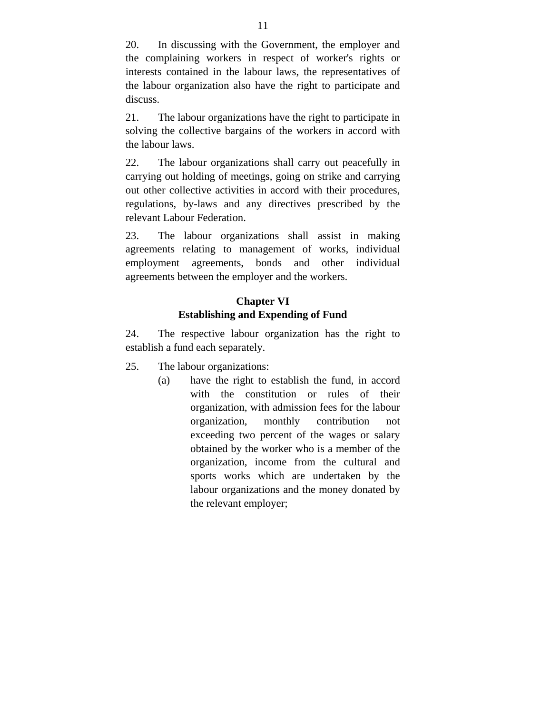20. In discussing with the Government, the employer and the complaining workers in respect of worker's rights or interests contained in the labour laws, the representatives of the labour organization also have the right to participate and discuss.

21. The labour organizations have the right to participate in solving the collective bargains of the workers in accord with the labour laws.

22. The labour organizations shall carry out peacefully in carrying out holding of meetings, going on strike and carrying out other collective activities in accord with their procedures, regulations, by-laws and any directives prescribed by the relevant Labour Federation.

23. The labour organizations shall assist in making agreements relating to management of works, individual employment agreements, bonds and other individual agreements between the employer and the workers.

## **Chapter VI Establishing and Expending of Fund**

24. The respective labour organization has the right to establish a fund each separately.

- 25. The labour organizations:
	- (a) have the right to establish the fund, in accord with the constitution or rules of their organization, with admission fees for the labour organization, monthly contribution not exceeding two percent of the wages or salary obtained by the worker who is a member of the organization, income from the cultural and sports works which are undertaken by the labour organizations and the money donated by the relevant employer;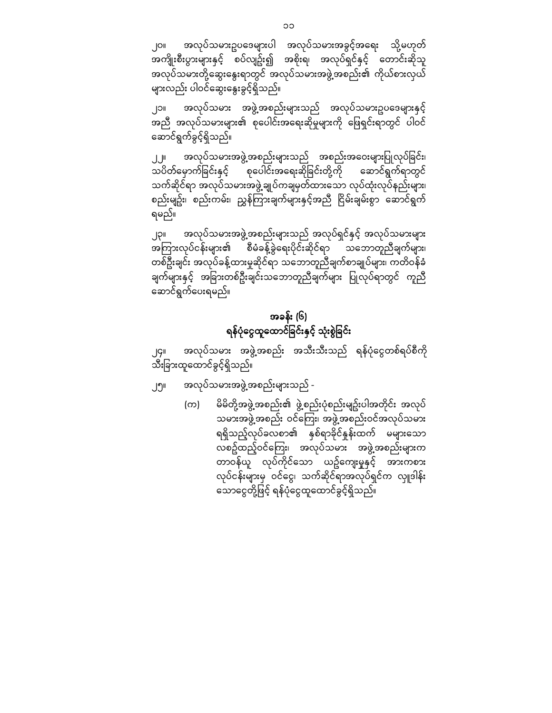၂၀။ အလုပ်သမားဥပဒေများပါ အလုပ်သမားအခွင့်အရေး သို့မဟုတ် အကျိုးစီးပွားများနှင့် စပ်လျဥ်း၍ အစိုးရ၊ အလုပ်ရှင်နှင့် ေတာင်းဆိုသူ အလုပ်သမားတို့ဆွေးနွေးရာတွင် အလုပ်သမားအဖွဲ့အစည်း၏ ကိုယ်စားလှယ် များလည်း ပါဝင်ဆွေးနွေးခွင့်ရှိသည်။

၂၁။ အလုပ်သမား အဖွဲ့အစည်းများသည် အလုပ်သမားဥပေဒများနှင် ့ အညီ အလုပ်သမားများ၏ စုေပါင်းအေရးဆိုမှုများကို ေဖြ ရှင်းရာတွင် ပါဝင် ေဆာင်ရွက်ခွင ့်ရှိသည်။

၂၂။ အလုပ်သမားအဖွဲ့အစည်းများသည် အစည်းအဝေးများပြုလုပ်ခြင်း၊ သပိတ်မှောက်ခြင်းနှင့် စုပေါင်းအရေးဆိုခြင်းတို့ကို ဆောင်ရွက်ရာတွင် သက်ဆိုင်ရာ အလုပ်သမားအဖွဲ့ချုပ်ကချမှတ်ထားေသာ လုပ်ထုံးလုပ်နည်းများ၊ စည်းမျဥ်း၊ စည်းကမ်း၊ ညွှန်ကြားချက်များနှင့်အညီ ငြိမ်းချမ်းစွာ ငဆာင်ရွက် ရမည်။

၂၃။ အလုပ်သမားအဖွဲ့အစည်းများသည် အလုပ်ရှင်နှင့် အလုပ်သမားများ အကြ ားလုပ်ငန်းများ၏ စီမံခန့်ခွဲေရးပိုင်းဆိုင်ရာ သေဘာတူညီချက်များ၊ တစ်ဦးချင်း အလုပ်ခန ့်ထားမှုဆိုင်ရာ သေဘာတူညီချက်စာချုပ်များ၊ ကတိဝန်ခံ ချက်များနှင့် အခြားတစ်ဦးချင်းသဘောတူညီချက်များ ပြုလုပ်ရာတွင် ကူညီ ေဆာင်ရွက်ေပးရမည်။

# အခန်း (၆) ရန်ပုံငွေထူထောင်ခြင်းနှင့် သုံးစွဲခြင်း

၂၄။ အလုပ်သမား အဖွဲ့အစည်း အသီးသီးသည် ရန်ပုံငွေတစ်ရပ်စီကို သီးြခားထူေထာင်ခွင့်ရှိသည်။

- ၂၅။ အလုပ်သမားအဖွဲ့အစည်းများသည် -
	- (က) မိမိတို့အဖွဲ့အစည်း၏ ဖွဲ့စည်းပုံစည်းမျဥ်းပါအတိုင်း အလုပ် သမားအဖွဲ့အစည်း ဝင်ကြေး၊ အဖွဲ့အစည်းဝင်အလုပ်သမား ရရှိသည့်လုပ်ခလစာ၏ နှစ်ရာခိုင်နှုန်းထက် မများေသာ လစဥ်ထည့်ဝင်ေကြ း၊ အလုပ်သမား အဖွဲ့အစည်းများက တာဝန်ယူ လုပ်ကိုင်သော ယဥ်ကျေးမှုနှင့် အားကစား လုပ်ငန်းများမှ ဝင်ေငွ၊ သက်ဆိုင်ရာအလုပ်ရှင်က လှူဒါန်း သောငွေတို့ဖြင့် ရန်ပုံငွေထူထောင်ခွင့်ရှိသည်။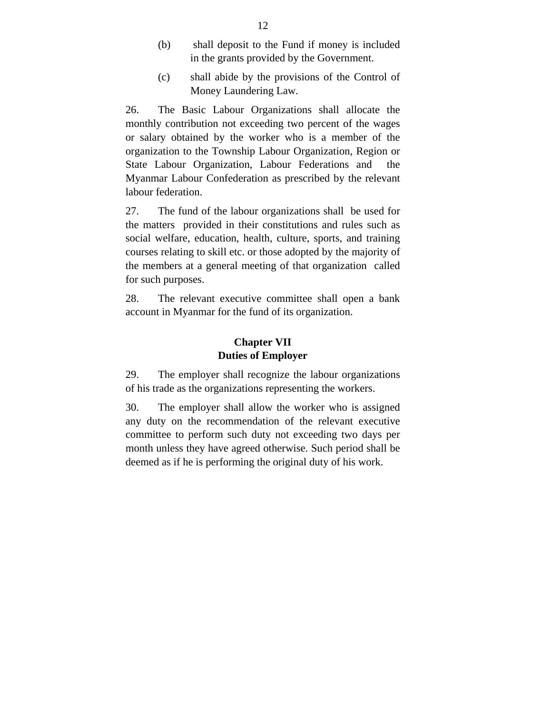- (b) shall deposit to the Fund if money is included in the grants provided by the Government.
- (c) shall abide by the provisions of the Control of Money Laundering Law.

26. The Basic Labour Organizations shall allocate the monthly contribution not exceeding two percent of the wages or salary obtained by the worker who is a member of the organization to the Township Labour Organization, Region or State Labour Organization, Labour Federations and the Myanmar Labour Confederation as prescribed by the relevant labour federation.

27. The fund of the labour organizations shall be used for the matters provided in their constitutions and rules such as social welfare, education, health, culture, sports, and training courses relating to skill etc. or those adopted by the majority of the members at a general meeting of that organization called for such purposes.

28. The relevant executive committee shall open a bank account in Myanmar for the fund of its organization.

### **Chapter VII Duties of Employer**

29. The employer shall recognize the labour organizations of his trade as the organizations representing the workers.

30. The employer shall allow the worker who is assigned any duty on the recommendation of the relevant executive committee to perform such duty not exceeding two days per month unless they have agreed otherwise. Such period shall be deemed as if he is performing the original duty of his work.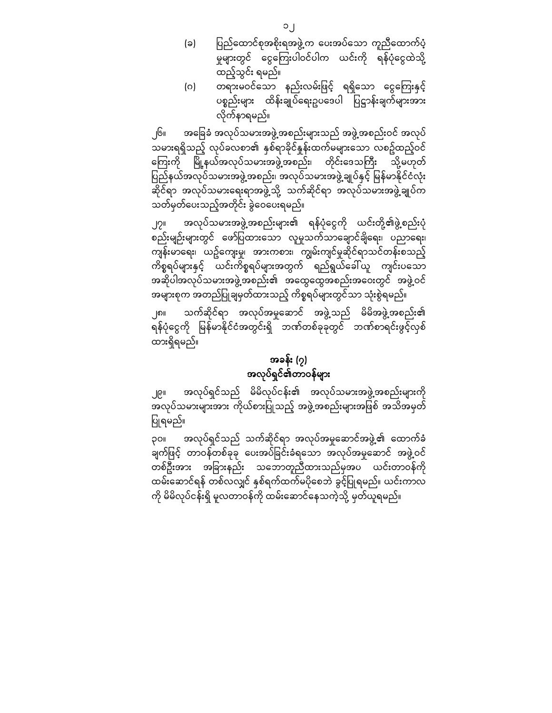(ဂ) တရားမဝင်သော နည်းလမ်းဖြင့် ရရှိသော ငွေကြေးနှင့် ပစ္စည်းများ ထိန်းချုပ်ရေးဥပဒေပါ ပြဋ္ဌာန်းချက်များအား လိုက်နာရမည်။

၂၆။ အခြေခံ အလုပ်သမားအဖွဲ့အစည်းများသည် အဖွဲ့အစည်းဝင် အလုပ် သမားရရှိသည့် လုပ်ခလစာ၏ နှစ်ရာခိုင်နှုန်းထက်မများသော လစဥ်ထည့်ဝင် ကြေးကို မြို့နယ်အလုပ်သမားအဖွဲ့အစည်း၊ တိုင်းဒေသကြီး သို့မဟုတ် <u>ပြည်</u>နယ်အလုပ်သမားအဖွဲ့အစည်း၊ အလုပ်သမားအဖွဲ့ချုပ်နှင့် မြန်မာနိုင်ငံလုံး ဆိုင်ရာ အလုပ်သမားေရးရာအဖွဲ့သို့ သက်ဆိုင်ရာ အလုပ်သမားအဖွဲ့ချုပ်က သတ်မှတ်ေပးသည့်အတိုင်း ခွဲေဝေပးရမည်။

၂၇။ အလုပ်သမားအဖွဲ့အစည်းများ၏ ရန်ပုံငွေကို ယင်းတို့၏ဖွဲ့စည်းပုံ စည်းမျဉ်းများတွင် ေဖာ်ပြ ထားေသာ လူမှုသက်သာေချာင်ချိေရး၊ ပညာေရး၊ ကျန်းမာရေး၊ ယဥ်ကျေးမှု၊ အားကစား၊ ကျွမ်းကျင်မှုဆိုင်ရာသင်တန်းစသည့် ကိစ္စရပ်များနှင် ့ယင်းကိစ္စရပ်များအတွက် ရည်ရွယ်ေခါ်ယူ ကျင်းပေသာ အဆိုပါအလုပ်သမားအဖွဲ့အစည်း၏ အေထွေထွအစည်းအေဝးတွင် အဖွဲ့ဝင် အများစုက အတည်ပြ ုချမှတ်ထားသည့် ကိစ္စရပ်များတွင်သာ သုံးစွဲရမည်။

၂၈။ သက်ဆိုင်ရာ အလုပ်အမှုေဆာင် အဖွဲ့သည် မိမိအဖွဲ့အစည်း၏ ရန်ပုံငွေကို မြန်မာနိုင်ငံအတွင်းရှိ ဘဏ်တစ်ခုခုတွင် ဘဏ်စာရင်းဖွင့်လှစ် ထားရှိရမည်။

# အခန်း (၇) အလုပ်ရှင်၏တာဝန်များ

၂၉။ အလုပ်ရှင်သည် မိမိလုပ်ငန်း၏ အလုပ်သမားအဖွဲ့အစည်းများကို ာ<br>အလုပ်သမားများအား ကိုယ်စားပြုသည့် အဖွဲ့အစည်းများအဖြစ် အသိအမှတ် ပြုရမည်။

၃၀။ အလုပ်ရှင်သည် သက်ဆိုင ်ရာ အလုပ်အမှုေဆာင်အဖွဲ့၏ ေထာက်ခံ ချက်ဖြင့် တာဝန်တစ်ခုခု ပေးအပ်ခြင်းခံရသော အလုပ်အမှုဆောင် အဖွဲ့ဝင် တစ်ဦးအား အခြားနည်း သဘောတူညီထားသည်မှအပ<sup>ြ</sup> ယင်းတာဝန်ကို ထမ်းေဆာင်ရန် တစ်လလျှင် နှစ်ရက်ထက်မပိုေစဘဲ ခွင် ့ပြ ုရမည်။ ယင်းကာလ ကို မိမိလုပ်ငန်းရှိ မူလတာဝန်ကို ထမ်းေဆာင်ေနသကဲ့သို့ မှတ်ယူရမည်။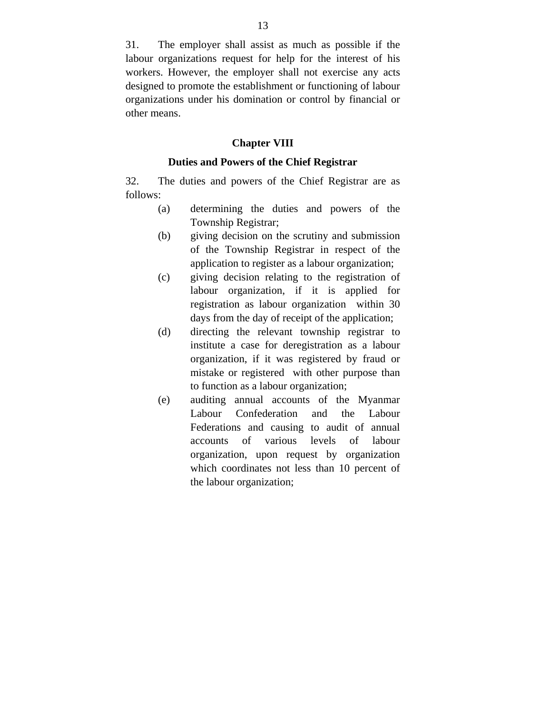31. The employer shall assist as much as possible if the labour organizations request for help for the interest of his workers. However, the employer shall not exercise any acts designed to promote the establishment or functioning of labour organizations under his domination or control by financial or other means.

#### **Chapter VIII**

#### **Duties and Powers of the Chief Registrar**

32. The duties and powers of the Chief Registrar are as follows:

- (a) determining the duties and powers of the Township Registrar;
- (b) giving decision on the scrutiny and submission of the Township Registrar in respect of the application to register as a labour organization;
- (c) giving decision relating to the registration of labour organization, if it is applied for registration as labour organization within 30 days from the day of receipt of the application;
- (d) directing the relevant township registrar to institute a case for deregistration as a labour organization, if it was registered by fraud or mistake or registered with other purpose than to function as a labour organization;
- (e) auditing annual accounts of the Myanmar Labour Confederation and the Labour Federations and causing to audit of annual accounts of various levels of labour organization, upon request by organization which coordinates not less than 10 percent of the labour organization;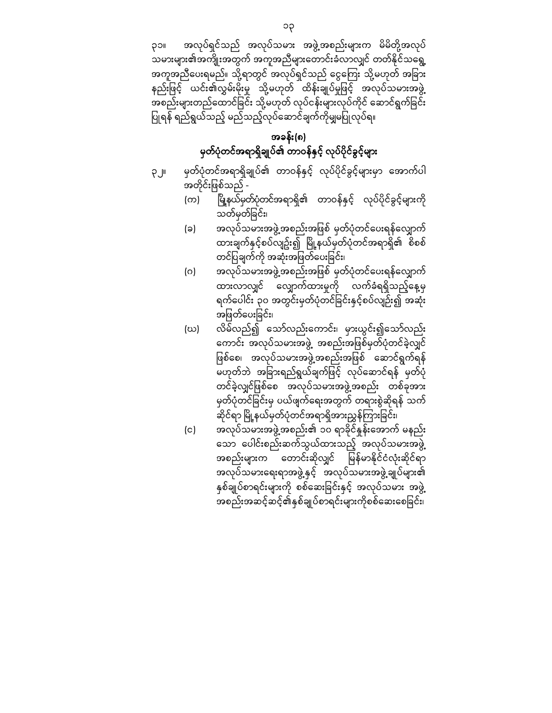၃၁။ အလုပ်ရှင်သည် အလုပ်သမား အဖွဲ့အစည်းများက မိမိတို့အလုပ် သမားများ၏အကျိုးအတွက် အကူအညီများတောင်းခံလာလျှင် တတ်နိုင်သရွေ့ အကူအညီပေးရမည်။ သို့ရာတွင် အလုပ်ရှင်သည် ငွေကြေး သို့မဟုတ် အခြား နည်းဖြင့် ယင်း၏လွှမ်းမိုးမှု သို့မဟုတ် ထိန်းချုပ်မှုဖြင့် အလုပ်သမားအဖွဲ့ အစည်းများတည်ေထာင်ခြ င်း သို့မဟုတ် လုပ်ငန်းများလုပ်ကိုင် ေဆာင်ရွက်ခြ င်း ပြုရန် ရည်ရွယ်သည့် မည်သည့်လုပ်ဆောင်ချက်ကိုမျှမပြုလုပ်ရ။

## အခန်း(၈) မှတ်ပုံတင်အရာရှိချုပ်၏ တာဝန်နှင့် လုပ်ပိုင်ခွင့်များ

- ၃၂။ မှတ်ပုံတင်အရာရှိချုပ်၏ တာဝန်နှင့် လုပ်ပိုင်ခွင့်များမှာ အောက်ပါ အတိုင်းဖြစ်သည် -
	- (က) ပြို့နယ်မှတ်ပုံတင်အရာရှိ၏ တာဝန်နှင့် လုပ်ပိုင်ခွင့်များကို သတ်မှတ်ခြ င်း၊
	- (ခ) အလုပ်သမားအဖွဲ့အစည ်းအဖြ စ် မှတ်ပုံတင်ေပးရန်ေလျှာက ် ထားချက်နှင့်စပ်လျဥ်း၍ မြို့နယ်မှတ်ပုံတင်အရာရှိ၏ စိစစ် တင်ပြချက်ကို အဆုံးအဖြတ်ပေးခြင်း၊
	- (ဂ) အလုပ်သမားအဖွဲ့အစည်းအဖြစ် မှတ်ပုံတင်ပေးရန်လျှောက် ထားလာလျှင် လျှောက်ထားမှုကို လက်ခံရရှိသည့်နေ့မှ ရက်ပေါင်း ၃၀ အတွင်းမှတ်ပုံတင်ခြင်းနှင့်စပ်လျဉ်း၍ အဆုံး အဖြတ်ပေးခြင်း၊
	- (ဃ) လိမ်လည်၍ ေသာ်လည်းေကာင်း၊ မှားယွင်း၍ေသာ်လည်း ေကာင်း အလုပ်သမားအဖွဲ့ အစည်းအဖြ စ်မှတ်ပုံတင်ခဲ့လျှင် ဖြစ်စေ၊ အလုပ်သမားအဖွဲ့အစည်းအဖြစ် ဆောင်ရွက်ရန် မဟုတ်ဘဲ အခြားရည်ရွယ်ချက်ဖြင့် လုပ်ဆောင်ရန် မှတ်ပုံ တင်ခဲ့လျှင်ဖြစ်စေ အလုပ်သမားအဖွဲ့အစည်း တစ်ခုအား မှတ်ပုံတင်ခြင်းမှ ပယ်ဖျက်ရေးအတွက် တရားစွဲဆိုရန် သက် ဆိုင်ရာ မြို့နယ်မှတ်ပုံတင်အရာရှိအားညွှန်ကြားခြင်း၊
	- (င) အလုပ်သမားအဖွဲ့အစည်း၏ ၁၀ ရာခိုင်နူန်းအောက် မနည်း ေသာ ေပါင်းစည်းဆက်သွယ်ထားသည့် အလုပ်သမားအဖွဲ့ အစည်းများက  $\overline{\phantom{x}}$  တောင်းဆိုလျှင် မြန်မာနိုင်ငံလုံးဆိုင်ရာ အလုပ်သမားရေးရာအဖွဲ့ နှင့် အလုပ်သမားအဖွဲ့ ချုပ်များ၏ နှစ်ချုပ်စာရင်းများကို စစ်ဆေးခြင်းနှင့် အလုပ်သမား အဖွဲ့ အစည်းအဆင့်ဆင့်၏နှစ်ချုပ်စာရင်းများကိုစစ်ဆေးစေခြင်း၊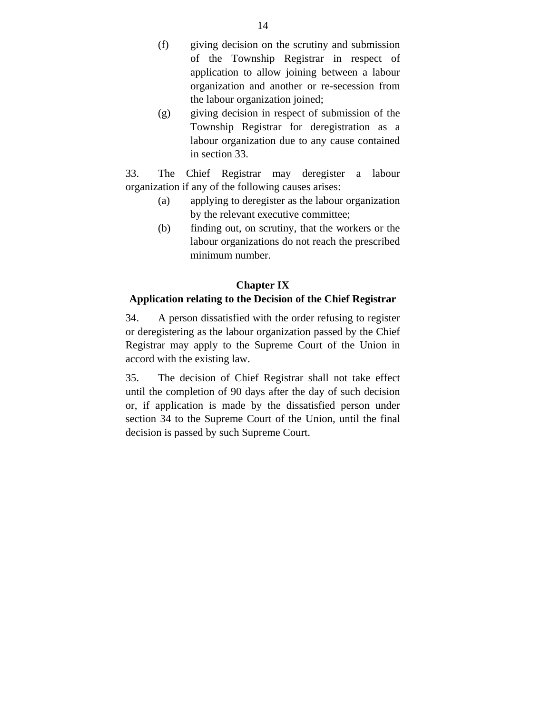(f) giving decision on the scrutiny and submission of the Township Registrar in respect of application to allow joining between a labour organization and another or re-secession from the labour organization joined;

 (g) giving decision in respect of submission of the Township Registrar for deregistration as a labour organization due to any cause contained in section 33.

33. The Chief Registrar may deregister a labour organization if any of the following causes arises:

- (a) applying to deregister as the labour organization by the relevant executive committee;
- (b) finding out, on scrutiny, that the workers or the labour organizations do not reach the prescribed minimum number.

### **Chapter IX**

### **Application relating to the Decision of the Chief Registrar**

34. A person dissatisfied with the order refusing to register or deregistering as the labour organization passed by the Chief Registrar may apply to the Supreme Court of the Union in accord with the existing law.

35. The decision of Chief Registrar shall not take effect until the completion of 90 days after the day of such decision or, if application is made by the dissatisfied person under section 34 to the Supreme Court of the Union, until the final decision is passed by such Supreme Court.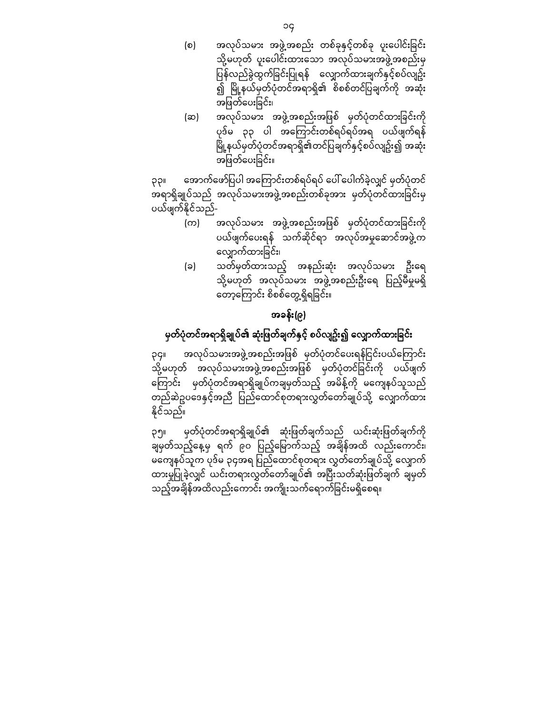- (စ) အလုပ်သမား အဖွဲ့အစည်း တစ်ခုနှင့်တစ်ခု ပူးပေါင်းခြင်း သို့မဟုတ် ပူးပေါင်းထားသော အလုပ်သမားအဖွဲ့အစည်းမှ ပြန်လည်ခွဲထွက်ခြင်းပြုရန် လျှောက်ထားချက်နှင့်စပ်လျဥ်း —<br>၍ မြို့နယ်မှတ်ပုံတင်အရာရှိ၏ စိစစ်တင်ပြချက်ကို အဆုံး အဖြတ်ပေးခြင်း၊
- (ဆ) အလုပ်သမား အဖွဲ့အစည်းအဖြစ် မှတ်ပုံတင်ထားခြင်းကို ပုဒ်မ ၃၃ ပါ အကြောင်းတစ်ရပ်ရပ်အရ ပယ်ဖျက်ရန် မြို့နယ်မှတ်ပုံတင်အရာရှိ၏တင်ပြချက်နှင့်စပ်လျဥ်း၍ အဆုံး အဖြတ်ပေးခြင်း။

၃၃။ အောက်ဖော်ပြပါ အကြောင်းတစ်ရပ်ရပ် ပေါ် ပေါက်ခဲ့လျှင် မှတ်ပုံတင် အရာရှိချုပ်သည် အလုပ်သမားအဖွဲ့အစည်းတစ်ခုအား မှတ်ပုံတင်ထားခြင်းမှ ပယ်ဖျက်နိုင်သည်-

- (က) အလုပ်သမား အဖွဲ့အစည်းအဖြစ် မှတ်ပုံတင်ထားခြင်းကို ပယ်ဖျက်ေပးရန် သက်ဆိုင်ရာ အလုပ်အမှုေဆာင်အဖွဲ့က လျှောက်ထားခြင်း၊
- (ခ) သတ်မှတ်ထားသည့် အနည်းဆုံး အလုပ်သမား ဦးေရ သို့မဟုတ် အလုပ်သမား အဖွဲ့အစည်းဦးရေ ပြည့်မီမှုမရှိ ေတာ့ေကြ ာင်း စိစစ်ေတွ့ရှိရခြ င်း။

# အခန်း(၉)

# မှတ်ပုံတင်အရာရှိချုပ်၏ ဆုံးဖြတ်ချက်နှင့် စပ်လျဥ်း၍ လျှောက်ထားခြင်း

၃၄။ အလုပ်သမားအဖွဲ့အစည်းအဖြစ် မှတ်ပုံတင်ပေးရန်ငြင်းပယ်ကြောင်း သို့မဟုတ် အလုပ်သမားအဖွဲ့အစည်းအဖြစ် မှတ်ပုံတင်ခြင်းကို ပယ်ဖျက် ေကြ ာင်း မှတ်ပုံတင်အရာရှိချုပ်ကချမှတ်သည့် အမိန့်ကို မေကျနပ်သူသည် တည်ဆဲဥပဒေနှင့်အညီ ပြည်ထောင်စုတရားလွှတ်တော်ချုပ်သို့ လျှောက်ထား နိုင ်သည်။

၃၅။ မှတ်ပုံတင်အရာရှိချုပ်၏ ဆုံးဖြတ်ချက်သည် ယင်းဆုံးဖြတ်ချက်ကို ချမှတ်သည့်နေ့မှ ရက် ၉၀ ပြည့်မြောက်သည့် အချိန်အထိ လည်းကောင်း၊ မကျေနပ်သူက ပုဒ်မ ၃၄အရ ပြည်ထောင်စုတရား လွှတ်တော်ချုပ်သို့ လျောက် ထားမှုပြုခဲ့လျှင် ယင်းတရားလွှတ်တော်ချုပ်၏ အပြီးသတ်ဆုံးဖြတ်ချက် ချမှတ် သည့်အချိန်အထိလည်းကောင်း အကျိုးသက်ရောက်ခြင်းမရှိစေရ။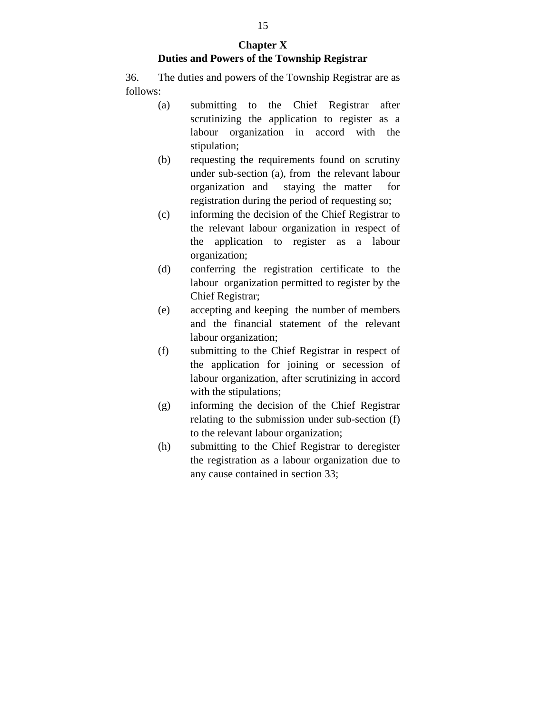#### **Chapter X Duties and Powers of the Township Registrar**

36. The duties and powers of the Township Registrar are as follows:

- (a) submitting to the Chief Registrar after scrutinizing the application to register as a labour organization in accord with the stipulation;
- (b) requesting the requirements found on scrutiny under sub-section (a), from the relevant labour organization and staying the matter for registration during the period of requesting so;
- (c) informing the decision of the Chief Registrar to the relevant labour organization in respect of the application to register as a labour organization;
- (d) conferring the registration certificate to the labour organization permitted to register by the Chief Registrar;
- (e) accepting and keeping the number of members and the financial statement of the relevant labour organization;
- (f) submitting to the Chief Registrar in respect of the application for joining or secession of labour organization, after scrutinizing in accord with the stipulations;
- (g) informing the decision of the Chief Registrar relating to the submission under sub-section (f) to the relevant labour organization;
- (h) submitting to the Chief Registrar to deregister the registration as a labour organization due to any cause contained in section 33;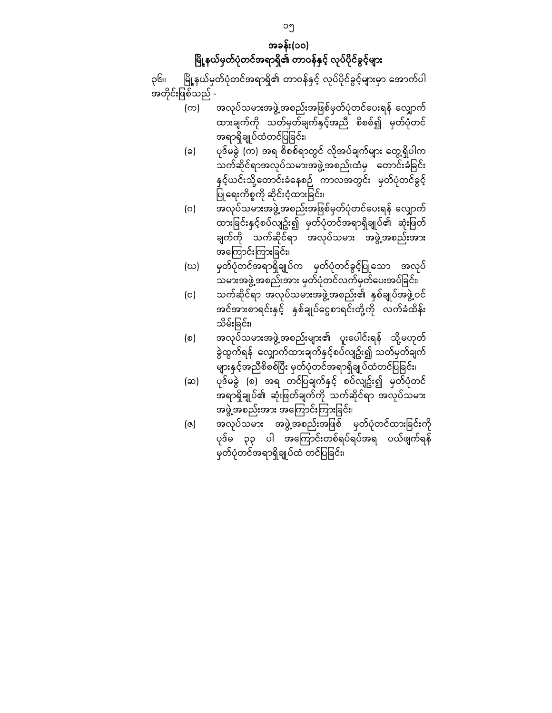# အခန်း(၁၀) မြို့နယ်မှတ်ပုံတင်အရာရှိ၏ တာဝန်နှင့် လုပ်ပိုင်ခွင့်များ

၃၆။ မြို့နယ်မှတ်ပုံတင်အရာရှိ၏ တာဝန်နှင့် လုပ်ပိုင်ခွင့်များမှာ အောက်ပါ အတိုင်းဖြစ်သည် -

- -<br>(က) အလုပ်သမားအဖွဲ့အစည်းအဖြစ်မှတ်ပုံတင်ပေးရန် လျှောက် ထားချက်ကို သတ်မှတ်ချက်နှင့်အညီ စိစစ်၍ မှတ်ပုံတင် အရာရှိချုပ်ထံတင်ပြ ခြ င်း၊
- (ခ) ပုဒ်မခွဲ (က) အရ စိစစ်ရာတွင် လိုအပ်ချက်များ ေတွ့ရှိပါက သက်ဆိုင်ရာအလုပ်သမားအဖွဲ့အစည်းထံမှ တောင်းခံခြင်း နှင့်ယင်းသို့ေတာင်းခံေနစဉ် ကာလအတွင်း မှတ်ပုံတင်ခွင့် ပြုရေးကိစ္စကို ဆိုင်းငံ့ထားခြင်း၊
- (ဂ) အလုပ်သမားအဖွဲ့အစည်းအဖြစ်မှတ်ပုံတင်ပေးရန် လျှောက် ထားခြင်းနှင့်စပ်လျဥ်း၍ မှတ်ပုံတင်အရာရှိချုပ်၏ ဆုံးဖြတ် ချက်ကို သက်ဆိုင်ရာ အလုပ်သမား အဖွဲ့အစည်းအား အေကြ ာင်းကြ ားခြ င်း၊
- (ဃ) မှတ်ပုံတင်အရာရှိချုပ်က မှတ်ပုံတင်ခွင့်ပြုသော အလုပ် သမားအဖွဲ့အစည်းအား မှတ်ပုံတင်လက်မှတ်ပေးအပ်ခြင်း၊
- (င) သက်ဆိုင်ရာ အလုပ်သမားအဖွဲ့အစည်း၏ နှစ်ချုပ်အဖွဲ့ဝင် အင်အားစာရင်းနှင့် နှစ်ချုပ်ေငွစာရင်းတို့ကို လက်ခံထိန်း သိမ်းခြင်း၊
- (စ) အလုပ်သမားအဖွဲ့အစည်းများ၏ ပူးပေါင်းရန် သို့မဟုတ် ခွဲထွက်ရန် ေလျှာက်ထားချက်နှင် ့စပ်လျဥ်း၍ သတ်မှတ်ချက် များနှင့်အညီစိစစ်ပြီး မှတ်ပုံတင်အရာရှိချုပ်ထံတင်ပြခြင်း၊
- (ဆ) ပုဒ်မခွဲ (စ) အရ တင်ြပချက်နှင့် စပ်လျဥ်း၍ မှတ်ပုံတင် အရာရှိချုပ်၏ ဆုံးဖြတ်ချက်ကို သက်ဆိုင်ရာ အလုပ်သမား အဖွဲ့အစည်းအား အကြောင်းကြားခြင်း၊
- (ဇ) အလုပ်သမား အဖွဲ့အစည်းအဖြစ် မှတ်ပုံတင်ထားခြင်းကို ပုဒ်မ ၃၃ ပါ အကြောင်းတစ်ရပ်ရပ်အရ ပယ်ဖျက်ရန် မှတ်ပုံတင်အရာရှိချုပ်ထံ တင်ပြခြင်း၊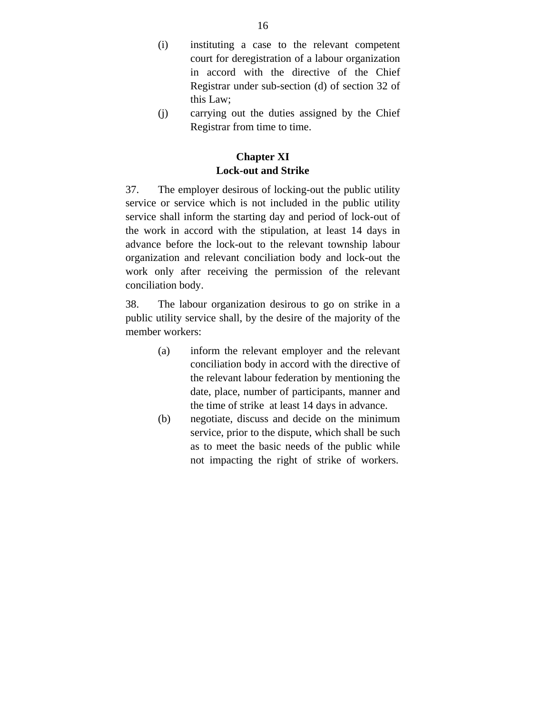- (i) instituting a case to the relevant competent court for deregistration of a labour organization in accord with the directive of the Chief Registrar under sub-section (d) of section 32 of this Law;
- (j) carrying out the duties assigned by the Chief Registrar from time to time.

### **Chapter XI Lock-out and Strike**

37. The employer desirous of locking-out the public utility service or service which is not included in the public utility service shall inform the starting day and period of lock-out of the work in accord with the stipulation, at least 14 days in advance before the lock-out to the relevant township labour organization and relevant conciliation body and lock-out the work only after receiving the permission of the relevant conciliation body.

38. The labour organization desirous to go on strike in a public utility service shall, by the desire of the majority of the member workers:

- (a) inform the relevant employer and the relevant conciliation body in accord with the directive of the relevant labour federation by mentioning the date, place, number of participants, manner and the time of strike at least 14 days in advance.
- (b) negotiate, discuss and decide on the minimum service, prior to the dispute, which shall be such as to meet the basic needs of the public while not impacting the right of strike of workers.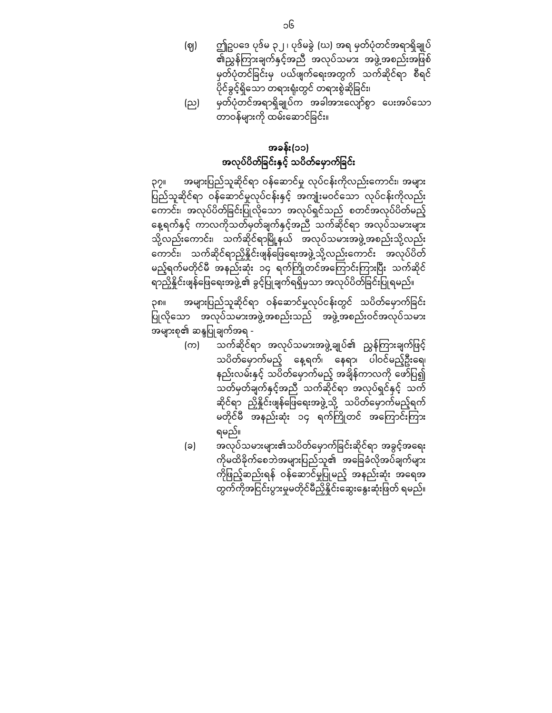(ဈ) ဤဥပေဒ ပုဒ်မ ၃၂ ၊ ပုဒ်မခွဲ (ဃ) အရ မှတ်ပုံတင်အရာရှိချုပ် ၏ညွှန်ကြ ားချက်နှင့်အညီ အလုပ်သမား အဖွဲ့အစည ်းအဖြ စ် မှတ်ပုံတင်ခြ င်းမှ ပယ်ဖျက်ေရးအတွက် သက်ဆိုင်ရာ စီရင် ပိုင ်ခွင ့်ရှိေသာ တရားရုံးတွင် တရားစွဲဆိုခြ င်း၊ (ည) မှတ်ပုံတင်အရာရှိချုပ်က အခါအားေလျာ်စွာ ေပးအပ်ေသာ

ာ<br>- တာဝန်များကို ထမ်းဆောင်ခြင်း။

## အခန်း(၁၁) အလုပ်ပိတ်ခြင်းနှင့် သပိတ်မှောက်ခြင်း

၃၇။ အများပြ ည်သူဆိုင်ရာ ဝန ်ေဆာင်မှု လုပ်ငန်းကိုလည်းေကာင်း၊ အများ ြ ည်သူဆိုင်ရာ ပ ဝန်ေဆာင်မှုလုပ်ငန်းနှင့် အကျုံးမဝင်ေသာ လုပ်ငန်းကိုလည်း ေကာင်း၊ အလုပ်ပိတ်ခြ င်းပြ ုလိုေသာ အလုပ်ရှင်သည် စတင်အလုပ်ပိတ်မည ့် ေန့ရက်နှင့် ကာလကိုသတ်မှတ်ချက်နှင့်အညီ သက်ဆိုင်ရာ အလုပ်သမားများ သို့လည်းကောင်း၊ သက်ဆိုင်ရာမြို့နယ် အလုပ်သမားအဖွဲ့အစည်းသို့လည်း ေကာင်း၊ သက်ဆိုင်ရာညှိနိှုင်းဖျန်ေြဖေရးအဖွဲ့သို့လည်းေကာင်း အလုပ်ပိတ် မည့်ရက်မတိုင်မီ အနည်းဆုံး ၁၄ ရက်ကြိုတင်အကြောင်းကြားပြီး သက်ဆိုင် ရာညှိနိူင်းဖျန်ဖြေရေးအဖွဲ့၏ ခွင့်ပြုချက်ရရှိမှသာ အလုပ်ပိတ်ခြင်းပြုရမည်။

၃၈။ အများပြည်သူဆိုင်ရာ ဝန်ဆောင်မှုလုပ်ငန်းတွင် သပိတ်မှောက်ခြင်း ပြုလိုသော အလုပ်သမားအဖွဲ့အစည်းသည် အဖွဲ့အစည်းဝင်အလုပ်သမား အများစု၏ ဆန္ဒပြုချက်အရ -

- (က) သက်ဆိုင်ရာ အလုပ်သမားအဖွဲ့ချုပ်၏ ညွှန်ကြားချက်ဖြင့် သပိတ်ေမှာက်မည့် ေန့ရက်၊ ေနရာ၊ ပါဝင်မည့်ဦးေရ၊ နည်းလမ်းနှင့် သပိတ်မှောက်မည့် အချိန်ကာလကို ဖော်ပြ၍ သတ်မှတ်ချက်နှင့်အညီ သက်ဆိုင်ရာ အလုပ်ရှင်နှင့် သက် ဆိုင်ရာ ညှိနှိုင်းဖျန်ဖြေရေးအဖွဲ့သို့ သပိတ်မှောက်မည့်ရက် မတိုင်မီ အနည်းဆုံး ၁၄ ရက်ကြိုတင် အကြောင်းကြား ရမည်။
- (ခ) အလုပ်သမားများ၏သပိတ်မှောက်ခြင်းဆိုင်ရာ အခွင့်အရေး ကိုမထိခိုက်စေဘဲအများပြည်သူ၏ အခြေခံလိုအပ်ချက်များ ကိုြ ည့်ဆည်းရန် ဖ ဝန်ေဆာင်မှုပြ ုမည့် အနည်းဆုံး အေရအ တွက်ကိုအငြင်းပွားမှုမတိုင်မီညှိနိူင်းဆွေးနွေးဆုံးဖြတ် ရမည်။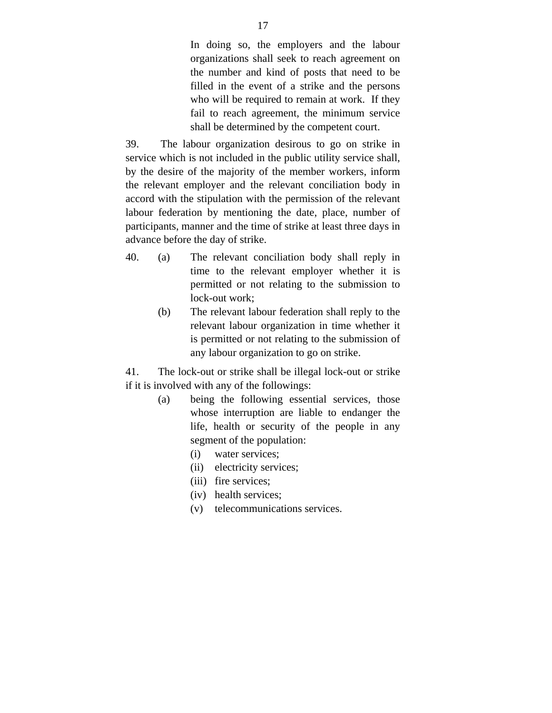In doing so, the employers and the labour organizations shall seek to reach agreement on the number and kind of posts that need to be filled in the event of a strike and the persons who will be required to remain at work. If they fail to reach agreement, the minimum service shall be determined by the competent court.

39. The labour organization desirous to go on strike in service which is not included in the public utility service shall, by the desire of the majority of the member workers, inform the relevant employer and the relevant conciliation body in accord with the stipulation with the permission of the relevant labour federation by mentioning the date, place, number of participants, manner and the time of strike at least three days in advance before the day of strike.

- 40. (a) The relevant conciliation body shall reply in time to the relevant employer whether it is permitted or not relating to the submission to lock-out work;
	- (b) The relevant labour federation shall reply to the relevant labour organization in time whether it is permitted or not relating to the submission of any labour organization to go on strike.

41. The lock-out or strike shall be illegal lock-out or strike if it is involved with any of the followings:

- (a) being the following essential services, those whose interruption are liable to endanger the life, health or security of the people in any segment of the population:
	- (i) water services;
	- (ii) electricity services;
	- (iii) fire services;
	- (iv) health services;
	- (v) telecommunications services.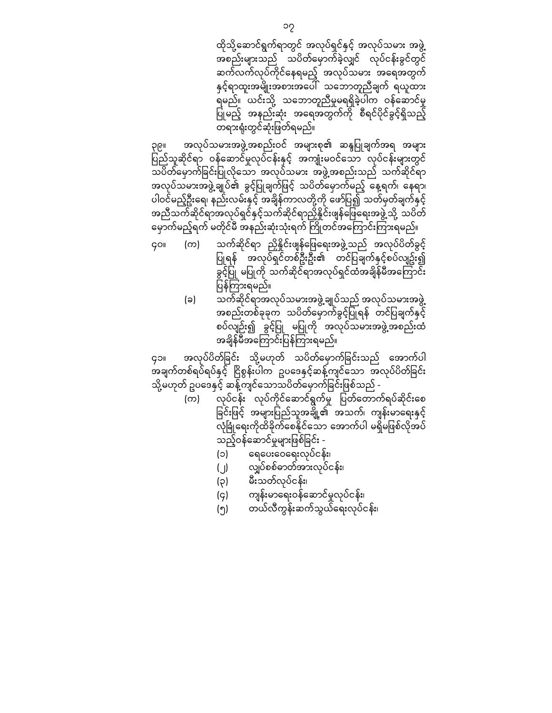ထိုသို့ဆောင်ရွက်ရာတွင် အလုပ်ရှင်နှင့် အလုပ်သမား အဖွဲ့ အစည်းများသည် သပိတ်ေမှာက်ခဲ့လျှင် လုပ်ငန်းခွင်တွင် ဆက်လက်လုပ်ကိုင်ေနရမည့် အလုပ်သမား အေရအတွက် နှင့်ရာထူးအမျိုးအစားအေပါ် သေဘာတူညီချက် ရယူထား ရမည်။ ယင်းသို့ သေဘာတူညီမှုမရရှိခဲ့ပါက ဝန်ေဆာင်မှု ပြုမည့် အနည်းဆုံး အရေအတွက်ကို စီရင်ပိုင်ခွင့်ရှိသည့် တရားရုံးတွင်ဆုံးဖြ တ်ရမည်။

၃၉။ အလုပ်သမားအဖွဲ့အစည်းဝင် အများစု၏ ဆန္ဒပြုချက်အရ အများ ု<br>ပြည်သူဆိုင်ရာ ဝန်ဆောင်မှုလုပ်ငန်းနှင့် အကျုံးမဝင်သော လုပ်ငန်းများတွင် သပိတ်ေမှာက်ခြ င်းပြ ုလိုေသာ အလုပ်သမား အဖွဲ့အစည ်းသည် သက်ဆိုင်ရာ အလုပ်သမားအဖွဲ့ချုပ်၏ ခွင့်ပြုချက်ဖြင့် သပိတ်မှောက်မည့် နေ့ရက်၊ နေရာ၊ ပါဝင်မည့်ဦးရေ၊ နည်းလမ်းနှင့် အချိန်ကာလတို့ကို ဖော်ပြ၍ သတ်မှတ်ချက်နှင့် အညီသက်ဆိုင်ရာအလုပ်ရှင ်နှင့်သက်ဆိုင်ရာညှိနိှုင်းဖျန်ေြဖေရးအဖွဲ့သို့ သပိတ် မှောက်မည့်ရက် မတိုင်မီ အနည်းဆုံးသုံးရက် ကြိုတင်အကြောင်းကြားရမည်။

- ၄၀။ (က) သက်ဆိုင်ရာ ညှိနိူင်းဖျန်ဖြေရေးအဖွဲ့သည် အလုပ်ပိတ်ခွင့် ပြုရန် အလုပ်ရှင်တစ်ဦးဦး၏ တင်ပြချက်နှင့်စပ်လျဥ်း၍ – -<br>ခွင့်ပြု မပြုကို သက်ဆိုင်ရာအလုပ်ရှင်ထံအချိန်မီအကြောင်း ပြန်ကြားရမည်။
	- (ခ) သက်ဆိုင်ရာအလုပ်သမားအဖွဲ့ချုပ်သည် အလုပ်သမားအဖွဲ့ အစည်းတစ်ခုခုက သပိတ်မှောက်ခွင့်ပြုရန် တင်ပြချက်နှင့် စပ်လျဉ်း၍ ခွင့်ပြု မပြုကို အလုပ်သမားအဖွဲ့အစည်းထံ အချိန်မီအကြောင်းပြန်ကြားရမည်။

၄၁။ အလုပ်ပိတ်ခြင်း သို့မဟုတ် သပိတ်မှောက်ခြင်းသည် အောက်ပါ ,<br>အချက်တစ်ရပ်ရပ်နှင့် ငြိစွန်းပါက ဥပဒေနှင့်ဆန့်ကျင်သော အလုပ်ပိတ်ခြင်း သို့မဟုတ် ဥပဒေနှင့် ဆန့်ကျင်သောသပိတ်မှောက်ခြင်းဖြစ်သည် -

- (က) လုပ်ငန်း လုပ်ကိုင်ဆောင်ရွက်မှု ပြတ်တောက်ရပ်ဆိုင်းစေ ခြင်းဖြင့် အများပြည်သူအချို့၏ အသက်၊ ကျန်းမာရေးနှင့် လုံခြုံရေးကိုထိခိုက်စေနိုင်သော အောက်ပါ မရှိမဖြစ်လိုအပ် သည့်ဝန်ဆောင်မှုများဖြစ်ခြင်း -
	- (၁) ေရေပးေဝေရးလုပ်ငန်း၊
	- (၂) လျှပ်စစ်ဓာတ်အားလုပ်ငန ်း၊
	- (၃) မီးသတ်လုပ်ငန်း၊
	- (၄) ကျန်းမာေရးဝန်ေဆာင်မှုလုပ်ငန်း၊
	- (၅) တယ်လီကွန်းဆက်သွယ်ေရးလုပ်ငန်း၊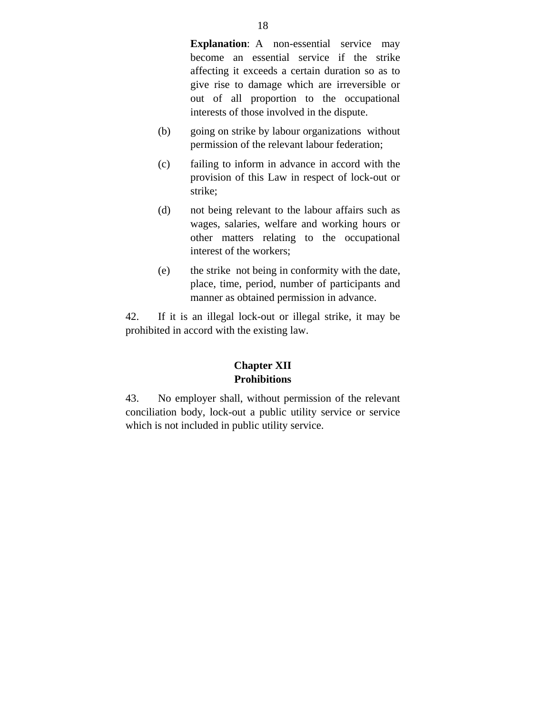**Explanation:** A non-essential service may become an essential service if the strike affecting it exceeds a certain duration so as to give rise to damage which are irreversible or out of all proportion to the occupational interests of those involved in the dispute.

- (b) going on strike by labour organizations without permission of the relevant labour federation;
- (c) failing to inform in advance in accord with the provision of this Law in respect of lock-out or strike;
- (d) not being relevant to the labour affairs such as wages, salaries, welfare and working hours or other matters relating to the occupational interest of the workers;
- (e) the strike not being in conformity with the date, place, time, period, number of participants and manner as obtained permission in advance.

42. If it is an illegal lock-out or illegal strike, it may be prohibited in accord with the existing law.

#### **Chapter XII Prohibitions**

43. No employer shall, without permission of the relevant conciliation body, lock-out a public utility service or service which is not included in public utility service.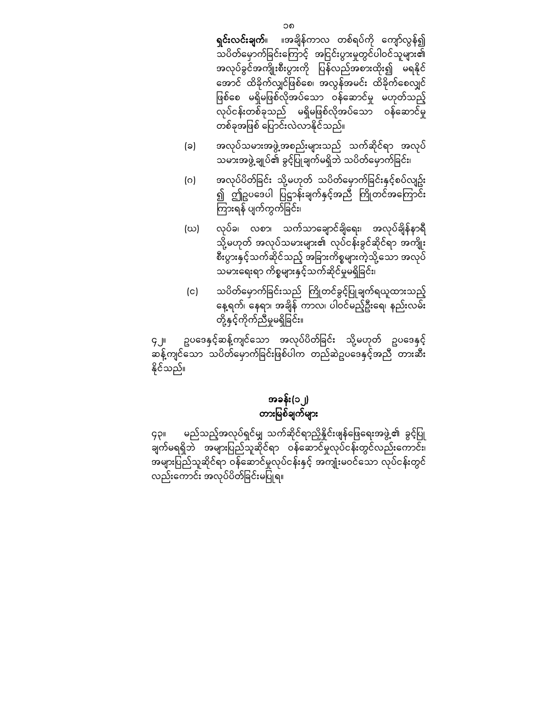**ရှင်းလင်းချက်**။ ။အချိန်ကာလ တစ်ရပ်ကို ကျော်လွန်၍ သပိတ်မှောက်ခြင်းကြောင့် အငြင်းပွားမှုတွင်ပါဝင်သူများ၏ အလုပ်ခွင်အကျိုးစီးပွားကို ပြန်လည်အစားထိုး၍ မရနိုင် အောင် ထိခိုက်လျှင်ဖြစ်စေ၊ အလွန်အမင်း ထိခိုက်စေလျှင် ဖြစ်စေ မရှိမဖြစ်လိုအပ်သော ဝန်ဆောင်မှု မဟုတ်သည့် လုပ်ငန်းတစ်ခုသည် မရှိမဖြစ်လိုအပ်သော ဝန်ဆောင်မှု တစ်ခုအဖြစ် ပြောင်းလဲလာနိုင်သည်။

- (ခ) အလုပ်သမားအဖွဲ့အစည်းများသည် သက်ဆိုင်ရာ အလုပ် သမားအဖွဲ့ ချုပ်၏ ခွင့်ပြုချက်မရှိဘဲ သပိတ်မှောက်ခြင်း၊
- (ဂ) အလုပ်ပိတ်ခြင်း သို့မဟုတ် သပိတ်မှောက်ခြင်းနှင့်စပ်လျဥ်း ၍ ဤဥပဒေပါ ပြဋ္ဌာန်းချက်နှင့်အညီ ကြိုတင်အကြောင်း ကြားရန် ပျက်ကွက်ခြင်း၊
- (ဃ) လုပ်ခ၊ လစာ၊ သက်သာေချာင်ချိေရး၊ အလုပ်ချိန ်နာရီ သို့မဟုတ် အလုပ်သမားများ၏ လုပ်ငန်းခွင်ဆိုင်ရာ အကျိုး စီးပွားနှင့်သက်ဆိုင်သည့် အခြားကိစ္စများကဲ့သို့သော အလုပ် သမားရေးရာ ကိစ္စများနှင့်သက်ဆိုင်မှုမရှိခြင်း၊
- (င) သပိတ်မှောက်ခြင်းသည် ကြိုတင်ခွင့်ပြုချက်ရယူထားသည့် ေန့ရက်၊ ေနရာ၊ အချိန် ကာလ၊ ပါဝင်မည့်ဦးေရ၊ နည်းလမ်း တို့နှင့်ကိုက်ညီမှုမရှိခြ င်း။

၄၂။ ဥပဒေနှင့်ဆန့်ကျင်သော အလုပ်ပိတ်ခြင်း သို့မဟုတ် ဥပဒေနှင့် က်ခိုကျင်သော သပိတ်မှောက်ခြင်းဖြစ်ပါက တည်ဆဲဥပဒေနှင့်အညီ တားဆီး နိုင ်သည်။

## အခန်း(၁၂) တားမြ စ်ချက်များ

၄၃။ မည်သည့်အလုပ်ရှင်မျှ သက်ဆိုင်ရာညှိနိူင်းဖျန်ဖြေရေးအဖွဲ့၏ ခွင့်ပြု ချက်မရရှိဘဲ အများပြ ည်သူဆိုင်ရာ ဝန်ေဆာင်မှုလုပ်ငန်းတွင်လည်းေကာင်း၊ အများပြည်သူဆိုင်ရာ ဝန်ဆောင်မှုလုပ်ငန်းနှင့် အကျုံးမဝင်သော လုပ်ငန်းတွင် လည်းကောင်း အလုပ်ပိတ်ခြင်းမပြုရ။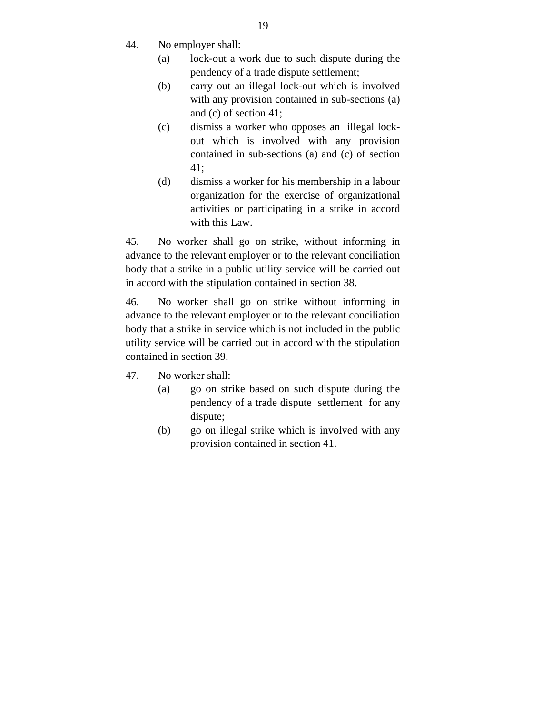- 44. No employer shall:
	- (a) lock-out a work due to such dispute during the pendency of a trade dispute settlement;
	- (b) carry out an illegal lock-out which is involved with any provision contained in sub-sections (a) and (c) of section 41;
	- (c) dismiss a worker who opposes an illegal lockout which is involved with any provision contained in sub-sections (a) and (c) of section 41;
	- (d) dismiss a worker for his membership in a labour organization for the exercise of organizational activities or participating in a strike in accord with this Law.

45. No worker shall go on strike, without informing in advance to the relevant employer or to the relevant conciliation body that a strike in a public utility service will be carried out in accord with the stipulation contained in section 38.

46. No worker shall go on strike without informing in advance to the relevant employer or to the relevant conciliation body that a strike in service which is not included in the public utility service will be carried out in accord with the stipulation contained in section 39.

- 47. No worker shall:
	- (a) go on strike based on such dispute during the pendency of a trade dispute settlement for any dispute;
	- (b) go on illegal strike which is involved with any provision contained in section 41.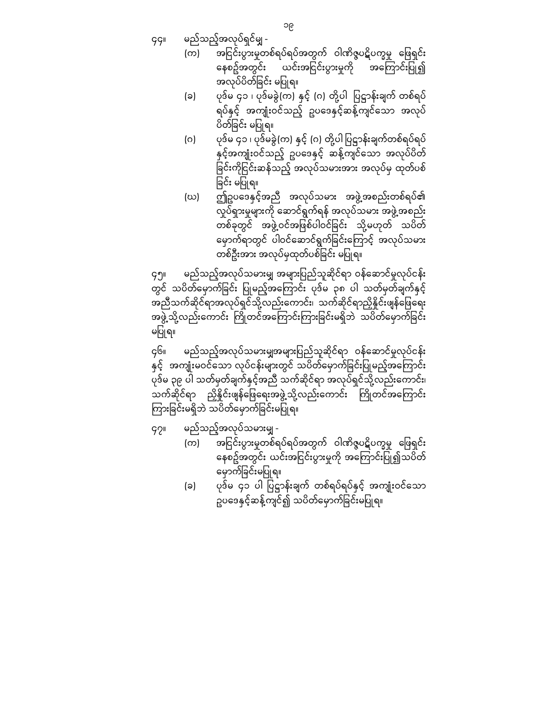၄၄။ မည်သည့်အလုပ်ရှင်မျှ -

- (က) အငြ င်းပွားမှုတစ်ရပ်ရပ်အတွက် ဝါဏိဇ္ဇပဋိပက္ခမှု ေဖြ ရှင်း နေစဥ်အတွင်း ယင်းအငြင်းပွားမှုကို အကြောင်းပြု၍ အလုပ်ပိတ်ခြင်း မပြုရ။
- (ခ) ပုဒ်မ ၄၁ ၊ ပုဒ်မခွဲ(က) နှင့် (ဂ) တို့ပါ ြပဋ္ဌာန်းချက် တစ်ရပ် ရပ်နှင့် အကျုံးဝင်သည့် ဥပဒေနှင့်ဆန့်ကျင်သော အလုပ် ပိတ်ခြင်း မပြုရ။
- (ဂ) ပုဒ်မ ၄၁ ၊ ပုဒ်မခွဲ(က) နှင့် (ဂ) တို့ပါ ြပဋ္ဌာန်းချက်တစ်ရပ်ရပ် နှင့်အကျုံးဝင်သည့် ဥပဒေနှင့် ဆန့်ကျင်သော အလုပ်ပိတ် ခြင်းကိုငြင်းဆန်သည့် အလုပ်သမားအား အလုပ်မှ ထုတ်ပစ် ခြင်း မပြုရ။
- (ဃ) ဤဥပေဒနှင့်အညီ အလုပ်သမား အဖွဲ့အစည်းတစ်ရပ်၏ လှုပ်ရှားမှုများကို ေဆာင်ရွက်ရန် အလုပ်သမား အဖွဲ့အစည်း တစ်ခုတွင် အဖွဲ့ဝင်အဖြစ်ပါဝင်ခြင်း သို့မဟုတ် သပိတ် ေမှာက်ရာတွင် ပါဝင်ေဆာင်ရွက်ခြ င်းေကြ ာင့် အလုပ်သမား တစ်ဦးအား အလုပ်မှထုတ်ပစ်ခြင်း မပြုရ။

၄၅။ မည်သည့်အလုပ်သမားမျှ အများပြ ည်သူဆိုင်ရာ ဝန်ေဆာင်မှုလုပ်ငန်း တွင် သပိတ်မှောက်ခြင်း ပြုမည့်အကြောင်း ပုဒ်မ ၃၈ ပါ သတ်မှတ်ချက်နှင့် အညီသက်ဆိုင်ရာအလုပ်ရှင်သို့လည်းကောင်း၊ သက်ဆိုင်ရာညှိနိူင်းဖျန်ဖြေရေး အဖွဲ့သို့လည်းကောင်း ကြိုတင်အကြောင်းကြားခြင်းမရှိဘဲ သပိတ်မှောက်ခြင်း မပြုရ။

၄၆။ မည်သည့်အလုပ်သမားမျှအများပြည်သူဆိုင်ရာ ဝန်ဆောင်မှုလုပ်ငန်း နှင့် အကျုံးမဝင်သော လုပ်ငန်းများတွင် သပိတ်မှောက်ခြင်းပြုမည့်အကြောင်း ပုဒ်မ ၃၉ ပါ သတ်မှတ်ချက်နှင့်အညီ သက်ဆိုင်ရာ အလုပ်ရှင်သို့လည်းေကာင်း၊ သက်ဆိုင်ရာ ညှိနိူင်းဖျန်ဖြေရေးအဖွဲ့သို့လည်းကောင်း ကြိုတင်အကြောင်း ကြားခြင်းမရှိဘဲ သပိတ်မှောက်ခြင်းမပြုရ။

၄၇။ မည်သည့်အလုပ်သမားမျှ -

- (က) အငြင်းပွားမှုတစ်ရပ်ရပ်အတွက် ဝါဏိဇ္ဇပဋိပက္ခမှု ဖြေရှင်း နေစဥ်အတွင်း ယင်းအငြင်းပွားမှုကို အကြောင်းပြု၍သပိတ် မှောက်ခြင်းမပြုရ။
- (ခ) ပုဒ်မ ၄၁ ပါ ပြဋ္ဌာန်းချက် တစ်ရပ်ရပ်နှင့် အကျုံးဝင်သော ဥပဒေနှင့်ဆန့်ကျင်၍ သပိတ်မှောက်ခြင်းမပြုရ။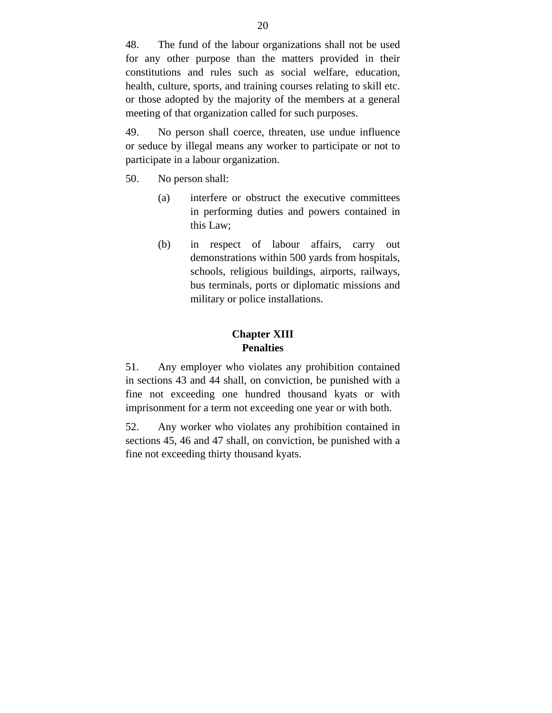48. The fund of the labour organizations shall not be used for any other purpose than the matters provided in their constitutions and rules such as social welfare, education, health, culture, sports, and training courses relating to skill etc. or those adopted by the majority of the members at a general meeting of that organization called for such purposes.

49. No person shall coerce, threaten, use undue influence or seduce by illegal means any worker to participate or not to participate in a labour organization.

- 50. No person shall:
	- (a) interfere or obstruct the executive committees in performing duties and powers contained in this Law;
	- (b) in respect of labour affairs, carry out demonstrations within 500 yards from hospitals, schools, religious buildings, airports, railways, bus terminals, ports or diplomatic missions and military or police installations.

#### **Chapter XIII Penalties**

51. Any employer who violates any prohibition contained in sections 43 and 44 shall, on conviction, be punished with a fine not exceeding one hundred thousand kyats or with imprisonment for a term not exceeding one year or with both.

52. Any worker who violates any prohibition contained in sections 45, 46 and 47 shall, on conviction, be punished with a fine not exceeding thirty thousand kyats.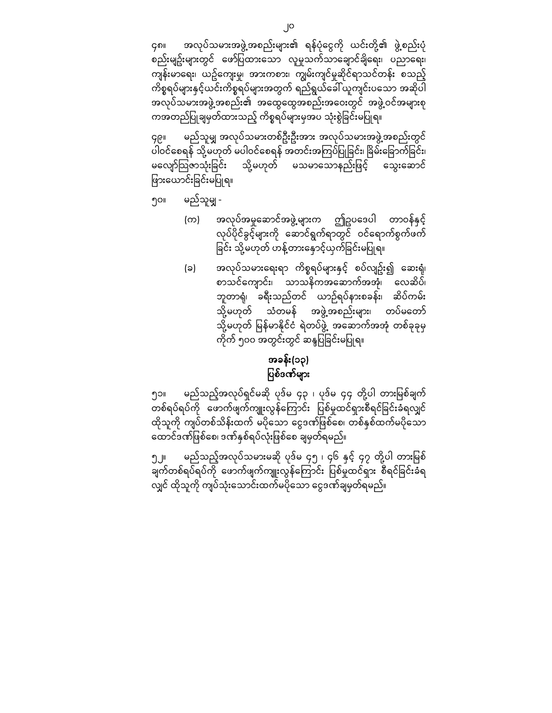၄၈။ အလုပ်သမားအဖွဲ့အစည်းများ၏ ရန်ပုံငွေကို ယင်းတို့၏ ဖွဲ့စည်းပုံ စည်းမျဥ်းများတွင် ေဖာ်ပြ ထားေသာ လူမှုသက်သာေချာင်ချိေရး၊ ပညာေရး၊ ကျန်းမာေရး၊ ယဥ်ေကျးမှု၊ အားကစား၊ ကျွမ်းကျင်မှုဆိုင်ရာသင်တန်း စသည့် ကိစ္စရပ်များနှင် ့ယင်းကိစ္စရပ်များအတွက် ရည်ရွယ်ေခါ်ယူကျင်းပေသာ အဆိုပါ အလုပ်သမားအဖွဲ့အစည်း၏ အထွေထွေအစည်းအဝေးတွင် အဖွဲ့ဝင်အများစု ကအတည်ပြုချမှတ်ထားသည့် ကိစ္စရပ်များမှအပ သုံးစွဲခြင်းမပြုရ။

၄၉။ မည်သူမျှ အလုပ်သမားတစ်ဦးဦးအား အလုပ်သမားအဖွဲ့အစည်းတွင ် ပါဝင်စေရန် သို့မဟုတ် မပါဝင်စေရန် အတင်းအကြပ်ပြုခြင်း၊ ခြိမ်းခြောက်ခြင်း၊ မလျော်သြဇာသုံးခြင်း သို့မဟုတ် မသမာသောနည်းဖြင့် သွေးဆောင် ဖြားယောင်းခြင်းမပြုရ။

- ၅၀။ မည်သူမျှ
	- (က) အလုပ်အမှုဆောင်အဖွဲ့များက ဤဥပဒေပါ တာဝန်နှင့် လုပ်ပိုင်ခွင့်များကို ဆောင်ရွက်ရာတွင် ဝင်ရောက်စွက်ဖက် ခြင်း သို့မဟုတ် ဟန့်တားနောင့်ယှက်ခြင်းမပြုရ။
	- (ခ) အလုပ်သမားရေးရာ ကိစ္စရပ်များနှင့် စပ်လျဥ်း၍ ဆေးရုံ၊ စာသင်ေကျာင်း၊ သာသနိကအေဆာက်အအုံ၊ ေလဆိပ်၊ ဘူတာရုံ၊ ခရီးသည်တင် ယာဉ်ရပ်နားစခန်း၊ ဆိပ်ကမ်း သို့မဟုတ် သံတမန် အဖွဲ့အစည်းများ၊ တပ်မတော် သို့မဟုတ် မြန်မာနိုင်ငံ ရဲတပ်ဖွဲ့ အဆောက်အအုံ တစ်ခုခုမှ ကိုက် ၅၀၀ အတွင်းတွင် ဆန္ဒပြခြင်းမပြုရ။

## အခန်း(၁၃) ပြစ်ဒဏ်များ

၅၁။ မည်သည့်အလုပ်ရှင်မဆို ပုဒ်မ ၄၃ ၊ ပုဒ်မ ၄၄ တို့ပါ တားမြစ်ချက် တစ်ရပ်ရပ်ကို ဖောက်ဖျက်ကျူးလွန်ကြောင်း ပြစ်မှုထင်ရှားစီရင်ခြင်းခံရလျှင် ထိုသူကို ကျပ်တစ်သိန်းထက် မပိုသော ငွေဒဏ်ဖြစ်စေ၊ တစ်နှစ်ထက်မပိုသော ထောင်ဒဏ်ဖြစ်စေ၊ ဒဏ်နှစ်ရပ်လုံးဖြစ်စေ ချမှတ်ရမည်။

၅၂။ မည်သည့်အလုပ်သမားမဆို ပုဒ်မ ၄၅ ၊ ၄၆ နှင့် ၄၇ တို့ပါ တားမြစ် ိမိတ်တစ်ရပ်ရပ်ကို ဖောက်ဖျက်ကျူးလွန်ကြောင်း ပြစ်မှုထင်ရှား စီရင်ခြင်းခံရ လျှင် ထိုသူကို ကျပ်သုံးေသာင်းထက်မပိုေသာ ေငွဒဏ်ချမှတ်ရမည်။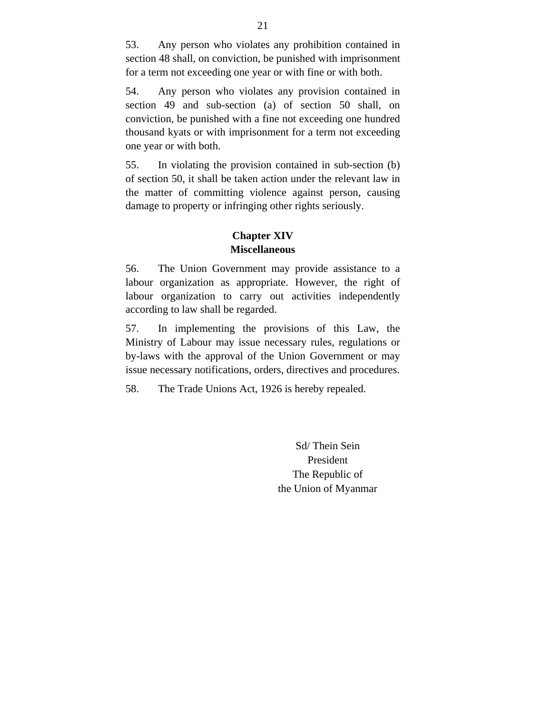53. Any person who violates any prohibition contained in section 48 shall, on conviction, be punished with imprisonment for a term not exceeding one year or with fine or with both.

54. Any person who violates any provision contained in section 49 and sub-section (a) of section 50 shall, on conviction, be punished with a fine not exceeding one hundred thousand kyats or with imprisonment for a term not exceeding one year or with both.

55. In violating the provision contained in sub-section (b) of section 50, it shall be taken action under the relevant law in the matter of committing violence against person, causing damage to property or infringing other rights seriously.

#### **Chapter XIV Miscellaneous**

56. The Union Government may provide assistance to a labour organization as appropriate. However, the right of labour organization to carry out activities independently according to law shall be regarded.

57. In implementing the provisions of this Law, the Ministry of Labour may issue necessary rules, regulations or by-laws with the approval of the Union Government or may issue necessary notifications, orders, directives and procedures.

58. The Trade Unions Act, 1926 is hereby repealed.

Sd/ Thein Sein President The Republic of the Union of Myanmar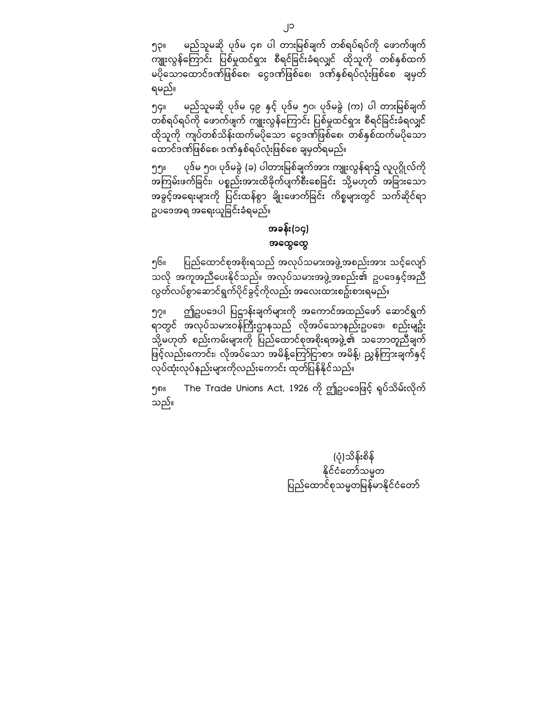၅၃။ မည်သူမဆို ပုဒ်မ ၄၈ ပါ တားမြစ်ချက် တစ်ရပ်ရပ်ကို ဖောက်ဖျက် ကျူးလွန်ကြောင်း ပြစ်မှုထင်ရှား စီရင်ခြင်းခံရလျှင် ထိုသူကို တစ်နှစ်ထက် မပိုသောထောင်ဒဏ်ဖြစ်စေ၊ ငွေဒဏ်ဖြစ်စေ၊ ဒဏ်နှစ်ရပ်လုံးဖြစ်စေ ချမှတ် ရမည်။

၅၄။ မည်သူမဆို ပုဒ်မ ၄၉ နှင့် ပုဒ်မ ၅၀၊ ပုဒ်မခွဲ (က) ပါ တားမြစ်ချက် တစ်ရပ်ရပ်ကို ဖောက်ဖျက် ကျူးလွန်ကြောင်း ပြစ်မှုထင်ရှား စီရင်ခြင်းခံရလျှင် ထိုသူကို ကျပ်တစ်သိန်းထက်မပိုသော ငွေဒဏ်ဖြစ်စေ၊ တစ်နှစ်ထက်မပိုသော ထောင်ဒဏ်ဖြစ်စေ၊ ဒဏ်နှစ်ရပ်လုံးဖြစ်စေ ချမှတ်ရမည်။

၅၅။ ပုဒ်မ ၅၀၊ ပုဒ်မခွဲ (ခ) ပါတားမြစ်ချက်အား ကျူးလွန်ရာ၌ လူပုဂ္ဂိုလ်ကို အကြမ်းဖက်ခြင်း၊ ပစ္စည်းအားထိခိုက်ပျက်စီးစေခြင်း သို့မဟုတ် အခြားသော အခွင့်အရေးများကို ပြင်းထန်စွာ ချိုးဖောက်ခြင်း ကိစ္စများတွင် သက်ဆိုင်ရာ ဥပဒေအရ အရေးယူခြင်းခံရမည်။

### အခန်း(၁၄) အေထွေထွ

၅၆။ ပြည်ထောင်စုအစိုးရသည် အလုပ်သမားအဖွဲ့အစည်းအား သင့်လျော် သလို အကူအညီေပးနိုင်သည်။ အလုပ်သမားအဖွဲ့အစည်း၏ ဥပေဒနှင ့်အည ီ လွတ်လပ်စွာေဆာင်ရွက်ပိုင်ခွင့်ကိုလည်း အေလးထားစဥ်းစားရမည်။

၅၇။ ဤဥပဒေပါ ပြဋ္ဌာန်းချက်များကို အကောင်အထည်ဖော် ဆောင်ရွက် ီလာတွင် အလုပ်သမားဝန်ကြီးဌာနသည် လိုအပ်သောနည်းဥပဒေ၊ စည်းမျဉ်း သို့မဟုတ် စည်းကမ်းများကို ပြည်ထောင်စုအစိုးရအဖွဲ့၏ သဘောတူညီချက် ဖြင့်လည်းကောင်း၊ လိုအပ်သော အမိန့်ကြော်ငြာစာ၊ အမိန့်၊ ညွှန်ကြားချက်နှင့် လုပ်ထုံးလုပ်နည်းများကိုလည်းေကာင်း ထုတ်ပြ န်နိုင ်သည်။

၅၈။ The Trade Unions Act, 1926 ကို ဤဥပဒေဖြင့် ရုပ်သိမ်းလိုက် သည်။

> (ပုံ)သိန်းစိန် နိုင ်ငံေတာ်သမ္မတ ပြည်ထောင်စုသမ္မတမြန်မာနိုင်ငံတော်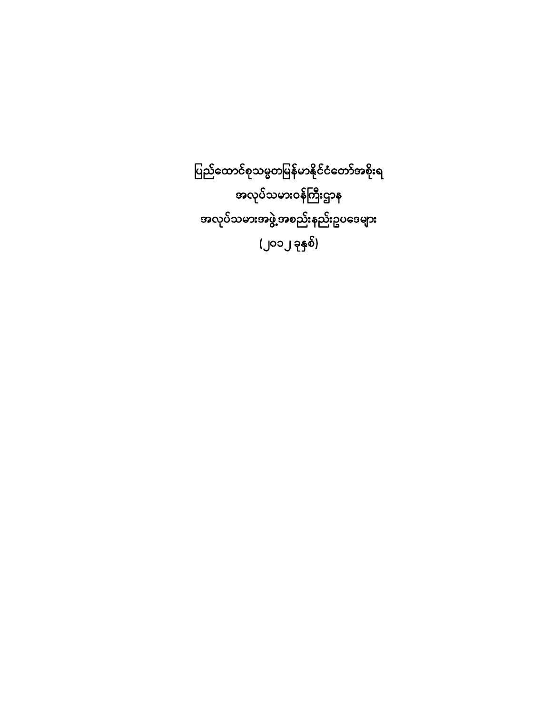ပြည်ထောင်စုသမ္မတမြန်မာနိုင်ငံတော်အစိုးရ အလုပ်သမားဝန်ကြီးဌာန အလုပ်သမားအဖွဲ့အစည်းနည်းဥပေဒများ (၂၀၁၂ ခုနှစ်)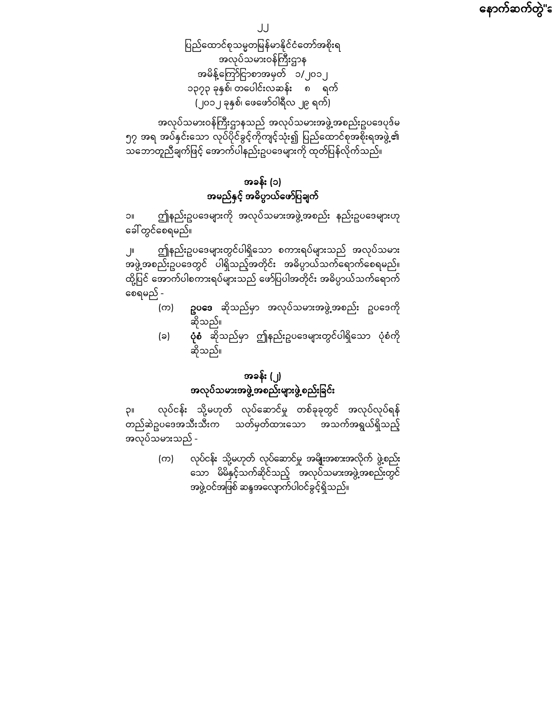နောက်ဆက်တွဲ"ခ

၂၂

ပြည်ထောင်စုသမ္မတမြန်မာနိုင်ငံတော်အစိုးရ အလုပ်သမားဝန်ကြီးဌာန အမိန့်ကြော်ငြာစာအမှတ် ၁/၂၀၁၂ ၁၃၇၃ ခုနှစ်၊ တေပါင်းလဆန်း ၈ ရက် (၂၀၁၂ ခုနှစ်၊ ေဖေဖာ်ဝါရီလ ၂၉ ရက်)

အလုပ်သမားဝန်ကြီးဌာနသည် အလုပ်သမားအဖွဲ့အစည်းဥပဒေပုဒ်မ ၅၇ အရ အပ်နှင်းသော လုပ်ပိုင်ခွင့်ကိုကျင့်သုံး၍ ပြည်ထောင်စုအစိုးရအဖွဲ့၏ ာ<br>သဘောတူညီချက်ဖြင့် အောက်ပါနည်းဥပဒေများကို ထုတ်ပြန်လိုက်သည်။

# အခန်း (၁) အမည်နှင့် အဓိပ္ပာယ်ေဖာ်ပြ ချက်

၁။ ဤနည်းဥပေဒများကို အလုပ်သမားအဖွဲ့အစည်း နည်းဥပေဒများဟု ေခါ်တွင်ေစရမည်။

၂။ ဤနည်းဥပေဒများတွင်ပါရှိေသာ စကားရပ်များသည် အလုပ်သမား အဖွဲ့အစည ်းဥပေဒတွင် ပါရှိသည့်အတိုင်း အဓိပ္ပာယ်သက်ေရာက်ေစရမည်။ ထို့ပြင် အောက်ပါစကားရပ်များသည် ဖော်ပြပါအတိုင်း အဓိပ္ပာယ်သက်ရောက် ေစရမည် -

- (က) **ဥပဒေ** ဆိုသည်မှာ အလုပ်သမားအဖွဲ့အစည်း ဥပဒေကို ဆိုသည်။
- (ခ) **ပုံစံ** ဆိုသည်မှာ ဤနည်းဥပဒေများတွင်ပါရှိသော ပုံစံကို ဆိုသည်။

# အခန်း (၂) အလုပ်သမားအဖွဲ့အစည်းများဖွဲ့စည်းခြင်း

၃။ လုပ်ငန်း သို့မဟုတ် လုပ်ဆောင်မှု တစ်ခုခုတွင် အလုပ်လုပ်ရန် စ်<br>တည်ဆဲဥပဒေအသီးသီးက သတ်မှတ်ထားသော အသက်အရွယ်ရှိသည့် အလုပ်သမားသည် -

> (က) လုပ်ငန်း သို့မဟုတ် လုပ်ေဆာင်မှု အမျိုးအစားအလိုက် ဖွဲ့စည်း ေသာ မိမိနှင့်သက်ဆိုင်သည် ့အလုပ်သမားအဖွဲ့အစည်းတွင် အဖွဲ့ဝင်အဖြစ် ဆန္ဒအလျောက်ပါဝင်ခွင့်ရှိသည်။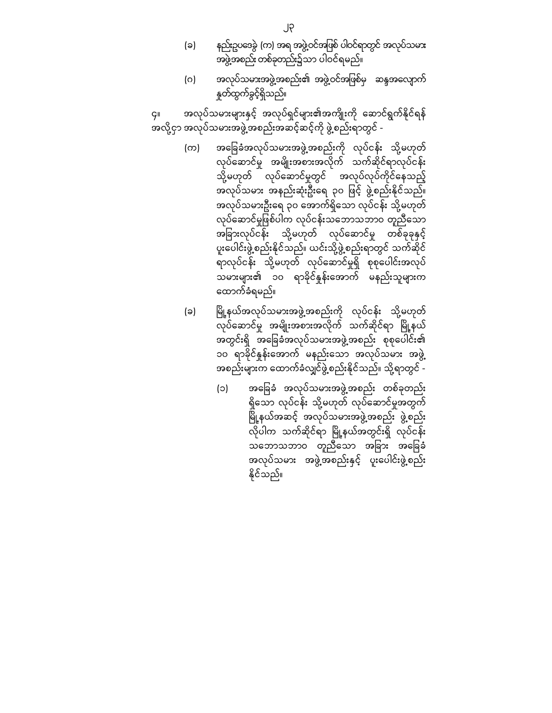- (ခ) နည်းဥပဒေခွဲ (က) အရ အဖွဲ့ဝင်အဖြစ် ပါဝင်ရာတွင် အလုပ်သမား အဖွဲ့အစည်းတစ်ခုတည်း၌သာ ပါဝင်ရမည်။
- (ဂ) အလုပ်သမားအဖွဲ့အစည်း၏ အဖွဲ့ဝင်အဖြစ်မှ ဆန္ဒအလျောက် နှုတ်ထွက်ခွင့်ရှိသည်။

၄။ အလုပ်သမားများနှင့် အလုပ်ရှင်များ၏အကျိုးကို ဆောင်ရွက်နိုင်ရန် အလို့ငှာ အလုပ်သမားအဖွဲ့အစည်းအဆင့်ဆင့်ကို ဖွဲ့စည်းရာတွင် -

- (က) အခြေခံအလုပ်သမားအဖွဲ့အစည်းကို လုပ်ငန်း သို့မဟုတ် လုပ်ေဆာင်မှု အမျိုးအစားအလိုက် သက်ဆိုင်ရာလုပ်ငန်း သို့မဟုတ် <sup>- -</sup> လုပ်ဆောင်မှုတွင် <sup>-</sup> အလုပ်လုပ်ကိုင်နေသည့် အလုပ်သမား အနည်းဆုံးဦးရေ ၃၀ ဖြင့် ဖွဲ့စည်းနိုင်သည်။ အလုပ်သမားဦးရေ ၃၀ အောက်ရှိသော လုပ်ငန်း သို့မဟုတ် လုပ်ဆောင်မှုဖြစ်ပါက လုပ်ငန်းသဘောသဘာဝ တူညီသော အခြားလုပ်ငန်း သို့မဟုတ် လုပ်ဆောင်မှု တစ်ခုခုနှင့် ပူးေပါင်းဖွဲ့စည်းနိုင်သည်။ ယင်းသို့ဖွဲ့စည်းရာတွင် သက်ဆိုင် ရာလုပ်ငန်း သို့မဟုတ် လုပ်ေဆာင်မှုရှိ စုစုေပါင်းအလုပ် သမားများ၏ ၁၀ ရာခိုင်နှုန်းေအာက် မနည်းသူများက ေထာက်ခံရမည်။
- (ခ) မြို့နယ်အလုပ်သမားအဖွဲ့အစည်းကို လုပ်ငန်း သို့မဟုတ် လုပ်ဆောင်မှု အမျိုးအစားအလိုက် သက်ဆိုင်ရာ မြို့နယ် အတွင်းရှိ အခြေခံအလုပ်သမားအဖွဲ့အစည်း စုစုပေါင်း၏ ၁၀ ရာခိုင်နူန်းအောက် မနည်းသော အလုပ်သမား အဖွဲ့ အစည်းများက ေထာက်ခံလျှင်ဖွဲ့စည်းနိုင်သည်။ သို့ရာတွင် -
	- (၁) အေခြ ခံ အလုပ်သမားအဖွဲ့အစည်း တစ်ခုတည်း ရှိေသာ လုပ်ငန်း သို့မဟုတ် လုပ်ေဆာင်မှုအတွက် မြို့နယ်အဆင့် အလုပ်သမားအဖွဲ့အစည်း ဖွဲ့စည်း လိုပါက သက်ဆိုင်ရာ မြို့နယ်အတွင်းရှိ လုပ်ငန်း သဘောသဘာဝ တူညီသော အခြား အခြေခံ အလုပ်သမား အဖွဲ့အစည်းနှင့် ပူးေပါင်းဖွဲ့စည်း နိုင ်သည်။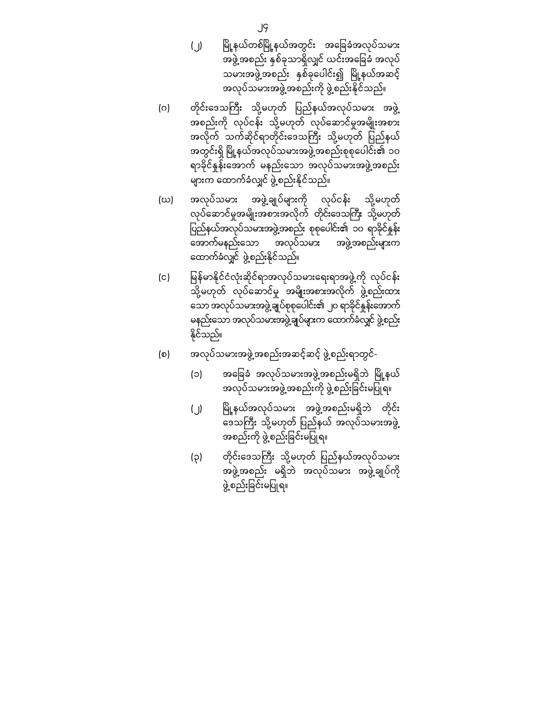- (၂) မြို့နယ်တစ်မြို့နယ်အတွင်း အခြေခံအလုပ်သမား အဖွဲ့အစည်း နှစ်ခုသာရှိလျှင် ယင်းအခြေခံ အလုပ် သမားအဖွဲ့အစည်း နှစ်ခုပေါင်း၍ မြို့နယ်အဆင့် အလုပ်သမားအဖွဲ့အစည်းကို ဖွဲ့စည်းနိုင်သည်။
- (ဂ) တိုင်းဒေသကြီး သို့မဟုတ် ပြည်နယ်အလုပ်သမား အဖွဲ့ အစည်းကို လုပ်ငန်း သို့မဟုတ် လုပ်ေဆာင်မှုအမျိုးအစား အလိုက် သက်ဆိုင်ရာတိုင်းဒေသကြီး သို့မဟုတ် ပြည်နယ် အတွင်းရှိ မြို့နယ်အလုပ်သမားအဖွဲ့အစည်းစုစုပေါင်း၏ ၁၀ ရာခိုင်နှုန်းေအာက် မနည်းေသာ အလုပ်သမားအဖွဲ့အစည်း များက ေထာက်ခံလျှင် ဖွဲ့စည်းနိုင ်သည်။
- (ဃ) အလုပ်သမား အဖွဲ့ချုပ်များကို လုပ်ငန်း သို့မဟုတ် လုပ်ဆောင်မှုအမျိုးအစားအလိုက် တိုင်းဒေသကြီး သို့မဟုတ် ပြည်နယ်အလုပ်သမားအဖွဲ့အစည်း စုစုပေါင်း၏ ၁၀ ရာခိုင်နှုန်း ေအာက်မနည်းေသာ အလုပ်သမား အဖွဲ့အစည်းများက ေထာက်ခံလျှင် ဖွဲ့စည်းနိုင်သည်။
- (င) မြန်မာနိုင်ငံလုံးဆိုင်ရာအလုပ်သမားရေးရာအဖွဲ့ကို လုပ်ငန်း သို့မဟုတ် လုပ်ေဆာင်မှု အမျိုးအစားအလိုက် ဖွဲ့စည်းထား ေသာအလုပ်သမားအဖွဲ့ချုပ်စုစုေပါင်း၏ ၂၀ ရာခိုင်နှုန်းေအာက် မနည်းေသာ အလုပ်သမားအဖွဲ့ချုပ်များက ေထာက်ခံလျှင် ဖွဲ့စည်း နိုင်သည်။
- (စ) အလုပ်သမားအဖွဲ့အစည်းအဆင့်ဆင့် ဖွဲ့စည်းရာတွင်-
	- (၁) အခြေခံ အလုပ်သမားအဖွဲ့အစည်းမရှိဘဲ မြို့နယ် အလုပ်သမားအဖွဲ့အစည်းကို ဖွဲ့စည်းခြင်းမပြုရ။
	- (၂) ြ ို့နယ်အလုပ်သမား မ အဖွဲ့အစည်းမရှိဘဲ တိုင်း ဒေသကြီး သို့မဟုတ် ပြည်နယ် အလုပ်သမားအဖွဲ့ အစည်းကို ဖွဲ့စည်းခြင်းမပြုရ။
	- (၃) တိုင်းဒေသကြီး သို့မဟုတ် ပြည်နယ်အလုပ်သမား အဖွဲ့အစည်း မရှိဘဲ အလုပ်သမား အဖွဲ့ချုပ်ကို ဖွဲ့စည်းခြင်းမပြုရ။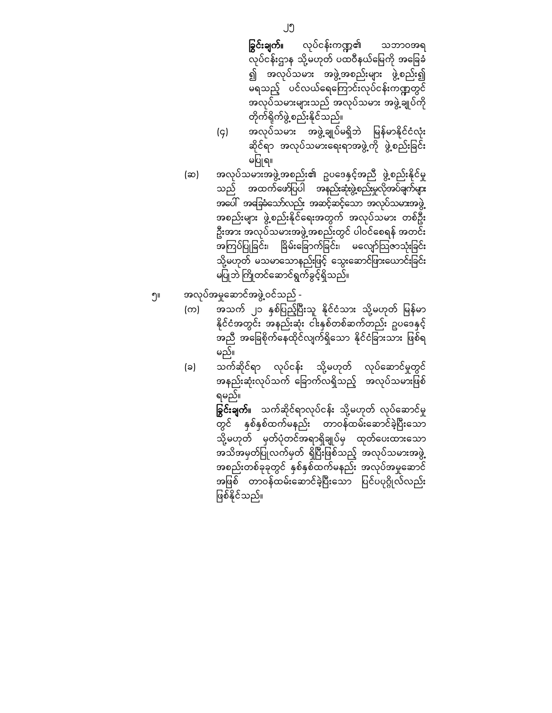- **ခြွင်းချက်။** လုပ်ငန်းကဏ္ဍ၏ သဘာဝအရ လုပ်ငန်းဌာန သို့မဟုတ် ပထဝီနယ်မြေကို အခြေခံ ၍ အလုပ်သမား အဖွဲ့အစည်းများ ဖွဲ့စည်း၍ မရသည့် ပင်လယ်ရေကြောင်းလုပ်ငန်းကဏ္ဍတွင် အလုပ်သမားများသည် အလုပ်သမား အဖွဲ့ချုပ်ကို တိုက်ရိုက်ဖွဲ့စည်းနိုင ်သည်။
- (၄) အလုပ်သမား အဖွဲ့ချုပ်မရှိဘဲ မြန်မာနိုင်ငံလုံး ဆိုင်ရာ အလုပ်သမားရေးရာအဖွဲ့ကို ဖွဲ့စည်းခြင်း မပြုရ။
- (ဆ) အလုပ်သမားအဖွဲ့အစည်း၏ ဥပဒေနှင့်အညီ ဖွဲ့စည်းနိုင်မှု သည် အထက်ဖော်ပြပါ အနည်းဆုံးဖွဲ့စည်းမှုလိုအပ်ချက်များ အပေါ် အခြေခံသော်လည်း အဆင့်ဆင့်သော အလုပ်သမားအဖွဲ့ အစည်းများ ဖွဲ့စည်းနိုင််ရေးအတွက် အလုပ်သမား တစ်ဦး ဦးအား အလုပ်သမားအဖွဲ့အစည်းတွင် ပါဝင်ေစရန် အတင်း အကြပ်ပြုခြင်း၊ ခြိမ်းခြောက်ခြင်း၊ မလျော်သြဇာသုံးခြင်း သို့မဟုတ် မသမာသောနည်းဖြင့် သွေးဆောင်ဖြားယောင်းခြင်း မပြုဘဲ ကြိုတင်ဆောင်ရွက်ခွင့်ရှိသည်။
- ၅။ အလုပ်အမှုေဆာင်အဖွဲ့ဝင်သည်
	- (က) အသက် ၂၁ နှစ်ပြည့်ပြီးသူ နိုင်ငံသား သို့မဟုတ် မြန်မာ နိုင်ငံအတွင်း အနည်းဆုံး ငါးနှစ်တစ်ဆက်တည်း ဥပဒေနှင့် အညီ အခြေစိုက်နေထိုင်လျက်ရှိသော နိုင်ငံခြားသား ဖြစ်ရ မည်။
	- (ခ) သက်ဆိုင်ရာ လုပ်ငန်း သို့မဟုတ် လုပ်ေဆာင်မှုတွင် အနည်းဆုံးလုပ်သက် ခြောက်လရှိသည့် အလုပ်သမားဖြစ် ရမည်။

**ခြွင်းချက်**။ သက်ဆိုင်ရာလုပ်ငန်း သို့မဟုတ် လုပ်ဆောင်မှု တွင် နှစ်နှစ်ထက်မနည်း တာဝန်ထမ်းဆောင်ခဲ့ပြီးသော သို့မဟုတ် မှတ်ပုံတင်အရာရှိချုပ်မှ ထုတ်ေပးထားေသာ အသိအမှတ်ပြုလက်မှတ် ရှိပြီးဖြစ်သည့် အလုပ်သမားအဖွဲ့ အစည်းတစ်ခုခုတွင် နှစ်နှစ်ထက်မနည်း အလုပ်အမှုဆောင် အဖြစ် တာဝန်ထမ်းဆောင်ခဲ့ပြီးသော ပြင်ပပုဂ္ဂိုလ်လည်း ဖြစ်နိုင်သည်။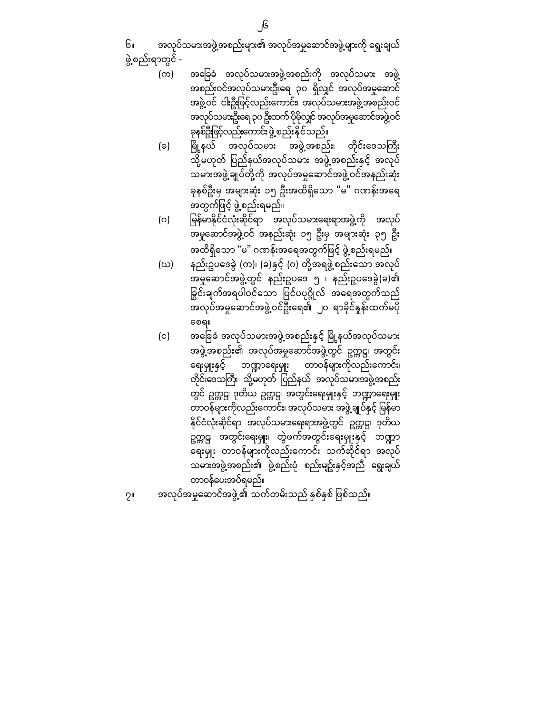၆။ အလုပ်သမားအဖွဲ့အစည်းများ၏ အလုပ်အမှုေဆာင်အဖွဲ့များကို ေရွးချယ် ဖွဲ့စည်းရာတွင် -

- (က) အေခြ ခံ အလုပ်သမားအဖွဲ့အစည်းကို အလုပ်သမား အဖွဲ့ အစည်းဝင်အလုပ်သမားဦးေရ ၃၀ ရှိလျှင် အလုပ်အမှုေဆာင် အဖွဲ့ဝင် ငါးဦးဖြင့်လည်းကောင်း၊ အလုပ်သမားအဖွဲ့အစည်းဝင် အလုပ်သမားဦးေရ၃၀ဦးထက် ပိုမိုလျှင် အလုပ်အမှုေဆာင်အဖွဲ့ဝင် ခုနစ်ဦးဖြင့်လည်းကောင်းဖွဲ့ စည်းနိုင်သည်။
- (ခ) မြို့နယ် အလုပ်သမား အဖွဲ့အစည်း၊ တိုင်းဒေသကြီး သို့မဟုတ် ပြည်နယ်အလုပ်သမား အဖွဲ့အစည်းနှင့် အလုပ် သမားအဖွဲ့ချုပ်တို့ကို အလုပ်အမှုေဆာင်အဖွဲ့ဝင်အနည်းဆုံး ခုနစ်ဦးမှ အများဆုံး ၁၅ ဦးအထိရှိေသာ "မ" ဂဏန်းအေရ အတွက်ဖြင့် ဖွဲ့စည်းရမည်။
- (ဂ) ြ န်မာနိုင်ငံလုံးဆိုင်ရာ မ အလုပ်သမားေရးရာအဖွဲ့ကို အလုပ် အမှုေဆာင်အဖွဲ့ဝင် အနည်းဆုံး ၁၅ ဦးမှ အများဆုံး ၃၅ ဦး အထိရှိသော "မ" ဂဏန်းအရေအတွက်ဖြင့် ဖွဲ့စည်းရမည်။
- (ဃ) နည်းဥပဒေခွဲ (က)၊ (ခ)နှင့် (ဂ) တို့အရဖွဲ့စည်းသော အလုပ် အမှုေဆာင်အဖွဲ့တွင် နည်းဥပေဒ ၅ ၊ နည်းဥပေဒခွဲ(ခ)၏ ခြွင်းချက်အရပါဝင်သော ပြင်ပပုဂ္ဂိုလ် အရေအတွက်သည် အလုပ်အမှုဆောင်အဖွဲ့ဝင်ဦးရေ၏ ၂၀ ရာခိုင်နှုန်းထက်မပို ေစရ။
- (င) အခြေခံ အလုပ်သမားအဖွဲ့အစည်းနှင့် မြို့နယ်အလုပ်သမား အဖွဲ့အစည်း၏ အလုပ်အမှုဆောင်အဖွဲ့တွင် ဥက္ကဋ္ဌ၊ အတွင်း ေရးမှူးနှင့် ဘာေရးမှူး တာဝန်များကိုလည်းေကာင်း၊ တိုင်းဒေသကြီး သို့မဟုတ် ပြည်နယ် အလုပ်သမားအဖွဲ့အစည်း တွင် ဥက္ကဋ္ဌ၊ ဒုတိယ ဥက္ကဋ္ဌ၊ အတွင်းေရးမှူးနှင့် ဘာေရးမှူး တာဝန်များကိုလည်းကောင်း၊ အလုပ်သမား အဖွဲ့ချုပ်နှင့် မြန်မာ နိုင်ငံလုံးဆိုင်ရာ အလုပ်သမားေရးရာအဖွဲ့တွင် ဥက္ကဋ္ဌ၊ ဒုတိယ ဥက္ကဋ္ဌ၊ အတွင်းရေးမှူး၊ တွဲဖက်အတွင်းရေးမှူးနှင့် ဘဏ္ဍာ ေရးမှူး တာဝန်များကိုလည်းေကာင်း သက်ဆိုင်ရာ အလုပ် သမားအဖွဲ့အစည်း၏ ဖွဲ့စည်းပုံ စည်းမျဥ်းနှင့်အညီ ရွေးချယ် တာဝန်ေပးအပ်ရမည်။
- ၇။ အလုပ်အမှုဆောင်အဖွဲ့၏ သက်တမ်းသည် နှစ်နှစ် ဖြစ်သည်။

၂၆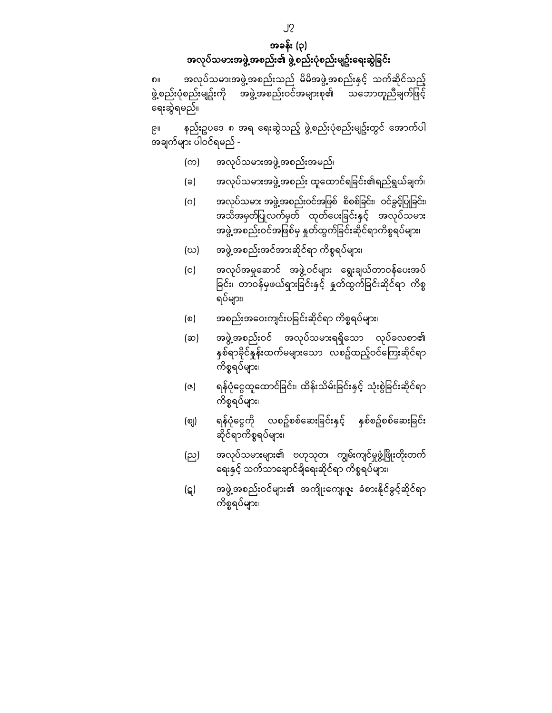အခန်း (၃) အလုပ်သမားအဖွဲ့အစည်း၏ ဖွဲ့စည်းပုံစည်းမျဥ်းရေးဆွဲခြင်း

၈။ အလုပ်သမားအဖွဲ့အစည ်းသည် မိမိအဖွဲ့အစည်းနှင် ့သက်ဆိုင်သည ် ့ ္တာ<br>- အဖွဲ့အစည်းဝင်အများစု၏ သဘောတူညီချက်ဖြင့် ေရးဆွဲရမည်။

၉။ နည်းဥပဒေ ၈ အရ ရေးဆွဲသည့် ဖွဲ့စည်းပုံစည်းမျဥ်းတွင် အောက်ပါ အချက်များ ပါဝင်ရမည် -

- (က) အလုပ်သမားအဖွဲ့အစည်းအမည်၊
- (ခ) အလုပ်သမားအဖွဲ့အစည်း ထူထောင်ရခြင်း၏ရည်ရွယ်ချက်၊
- (ဂ) အလုပ်သမား အဖွဲ့အစည်းဝင်အဖြစ် စိစစ်ခြင်း၊ ဝင်ခွင့်ပြုခြင်း၊ အသိအမှတ်ပြုလက်မှတ် ထုတ်ပေးခြင်းနှင့် အလုပ်သမား အဖွဲ့အစည်းဝင်အဖြစ်မှ နှုတ်ထွက်ခြင်းဆိုင်ရာကိစ္စရပ်များ၊
- (ဃ) အဖွဲ့အစည်းအင်အားဆိုင်ရာ ကိစ္စရပ်များ၊
- (င) အလုပ်အမှုေဆာင် အဖွဲ့ဝင်များ ေရွးချယ်တာဝန်ေပးအပ် ခြင်း၊ တာဝန်မှဖယ်ရှားခြင်းနှင့် နှုတ်ထွက်ခြင်းဆိုင်ရာ ကိစ္စ ရပ်များ၊
- (စ) အစည်းအဝေးကျင်းပခြင်းဆိုင်ရာ ကိစ္စရပ်များ၊
- (ဆ) အဖွဲ့အစည်းဝင် အလုပ်သမားရရှိသော လုပ်ခလစာ၏ နှစ်ရာခိုင်နှုန်းထက်မများသော လစဥ်ထည့်ဝင်ကြေးဆိုင်ရာ ကိစ္စရပ်များ၊
- (ဇ) ရန်ပုံငွေထူထောင်ခြင်း၊ ထိန်းသိမ်းခြင်းနှင့် သုံးစွဲခြင်းဆိုင်ရာ ကိစ္စရပ်များ၊
- (စျ) ရန်ပုံငွေကို လစဥ်စစ်ဆေးခြင်းနှင့် နှစ်စဥ်စစ်ဆေးခြင်း ဆိုင်ရာကိစ္စရပ်များ၊
- (ည) အလုပ်သမားများ၏ ဗဟုသုတ၊ ကျွမ်းကျင်မှုဖွံ့ဖြိုးတိုးတက် ေရးနှင့် သက်သာေချာင်ချိေရးဆိုင်ရာ ကိစ္စရပ်များ၊
- (ဋ) အဖွဲ့အစည်းဝင်များ၏ အကျိုးကျေးဇူး ခံစားနိုင်ခွင့်ဆိုင်ရာ ကိစ္စရပ်များ၊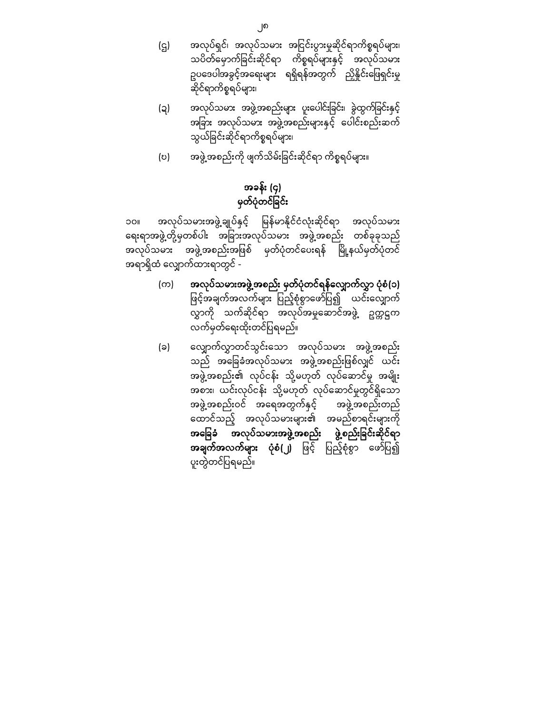(ဌ) အလုပ်ရှင်၊ အလုပ်သမား အငြ င်းပွားမှုဆိုင်ရာကိစ္စရပ်များ၊ သပိတ်ေမှာက်ခြ င်းဆိုင်ရာ ကိစ္စရပ်များနှင့် အလုပ်သမား ဥပဒေပါအခွင့်အရေးများ ရရှိရန်အတွက် ညှိနိူင်းဖြေရှင်းမှု ဆိုင်ရာကိစ္စရပ်များ၊

- (ဍ) အလုပ်သမား အဖွဲ့အစည်းများ ပူးပေါင်းခြင်း၊ ခွဲထွက်ခြင်းနှင့် အခြား အလုပ်သမား အဖွဲ့အစည်းများနှင့် ပေါင်းစည်းဆက် သွယ်ခြင်းဆိုင်ရာကိစ္စရပ်များ၊
- (ဎ) အဖွဲ့အစည်းကို ဖျက်သိမ်းခြင်းဆိုင်ရာ ကိစ္စရပ်များ။

# အခန်း (၄) မှတ်ပုံတင်ခြင်း

၁၀။ အလုပ်သမားအဖွဲ့ချုပ်နှင့် မြန်မာနိုင်ငံလုံးဆိုင်ရာ အလုပ်သမား ရေးရာအဖွဲ့တို့မှတစ်ပါး အခြားအလုပ်သမား အဖွဲ့အစည်း တစ်ခုခုသည် အလုပ်သမား အဖွဲ့အစည်းအဖြစ် မှတ်ပုံတင်ပေးရန် မြို့နယ်မှတ်ပုံတင် အရာရှိထံ ေလျှာက်ထားရာတွင် -

- (က) အလုပ်သမားအဖွဲ့အစည်း မှတ်ပုံတင်ရန်ေလျှာက်လွှာ ပုံစံ(၁) ဖြင့်အချက်အလက်များ ပြည့်စုံစွာဖော်ပြ၍ ယင်းလျှောက် လွှာကို သက်ဆိုင်ရာ အလုပ်အမှုေဆာင်အဖွဲ့ ဥက္ကဋ္ဌက လက်မှတ်ေရးထိုးတင်ပြ ရမည်။
- (ခ) ေလျှာက်လွှာတင်သွင်းေသာ အလုပ်သမား အဖွဲ့အစည်း သည် အခြေခံအလုပ်သမား အဖွဲ့အစည်းဖြစ်လျှင် ယင်း အဖွဲ့အစည်း၏ လုပ်ငန်း သို့မဟုတ် လုပ်ဆောင်မှု အမ<mark>ျိုး</mark> အစား၊ ယင်းလုပ်ငန်း သို့မဟုတ် လုပ်ေဆာင်မှုတွင်ရှိေသာ အဖွဲ့အစည်းဝင် အရေအတွက်နှင့် အဖွဲ့အစည်းတည် ေထာင်သည် ့အလုပ်သမားများ၏ အမည်စာရင်းများကို အခြေခံ အလုပ်သမားအဖွဲ့အစည်း ဖွဲ့စည်းခြင်းဆိုင်ရာ **အချက်အလက်များ ပုံစံ(၂)** ဖြင့် ပြည့်စုံစွာ ဖော်ပြ၍ ပူးတွဲတင်ပြ ရမည်။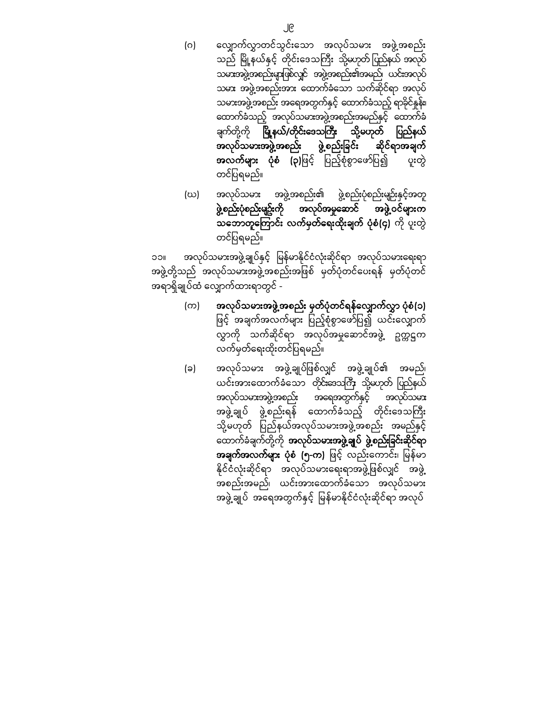- (ဂ) ေလျှာက်လွှာတင်သွင်းေသာ အလုပ်သမား အဖွဲ့အစည်း သည် မြို့နယ်နှင့် တိုင်းဒေသကြီး သို့မဟုတ်ပြည်နယ် အလုပ် သမားအဖွဲ့အစည်းများဖြ စ်လျှင် အဖွဲ့အစည်း၏အမည်၊ ယင်းအလုပ် သမား အဖွဲ့အစည်းအား ေထာက်ခံေသာ သက်ဆိုင်ရာ အလုပ် သမားအဖွဲ့အစည်း အေရအတွက်နှင့် ေထာက်ခံသည့် ရာခိုင်နှုန်း၊ ေထာက်ခံသည့် အလုပ်သမားအဖွဲ့အစည်းအမည်နှင် ့ေထာက်ခံ ချက်တို့ကို **မြို့နယ်/တိုင်းဒေသကြီး** သို့မဟုတ် ပြည်နယ် အလုပ်သမားအဖွဲ့အစည်း ဖွဲ့စည်းြခင်း ဆိုင်ရာအချက် **အလက်များ ပုံစံ (၃)**ဖြင့် ပြည့်စုံစွာဖော်ပြ၍ ပူးတွဲ တင်ပြ ရမည်။
- (ဃ) အလုပ်သမား အဖွဲ့အစည်း၏ ဖွဲ့စည်းပုံစည်းမျဉ်းနှင် ့အတူ ဖွဲ့စည်းပုံစည်းမျဥ်းကို အလုပ်အမှုေဆာင် အဖွဲ့ဝင်များက သဘောတူကြောင်း လက်မှတ်ရေးထိုးချက် ပုံစံ(၄) ကို ပူးတွဲ တင်ပြ ရမည်။

၁၁။ အလုပ်သမားအဖွဲ့ချုပ်နှင့် မြန်မာနိုင်ငံလုံးဆိုင်ရာ အလုပ်သမားရေးရာ အဖွဲ့တို့သည် အလုပ်သမားအဖွဲ့အစည်းအဖြစ် မှတ်ပုံတင်ပေးရန် မှတ်ပုံတင် အရာရှိချုပ်ထံ ေလျှာက်ထားရာတွင် -

- (က) အလုပ်သမားအဖွဲ့အစည်း မှတ်ပုံတင်ရန်ေလျှာက်လွှာ ပုံစံ(၁) ဖြင့် အချက်အလက်များ ပြည့်စုံစွာဖော်ပြ၍ ယင်းလျှောက် လွှာကို သက်ဆိုင်ရာ အလုပ်အမှုေဆာင်အဖွဲ့ ဥက္ကဋ္ဌက လက်မှတ်ေရးထိုးတင်ပြ ရမည်။
- (ခ) အလုပ်သမား အဖွဲ့ချုပ်ြဖစ်လျှင် အဖွဲ့ချုပ်၏ အမည်၊ ယင်းအားထောက်ခံသော တိုင်းဒေသကြီး သို့မဟုတ် ပြည်နယ် အလုပ်သမားအဖွဲ့အစည်း အေရအတွက်နှင့် အလုပ်သမား အဖွဲ့ချုပ် ဖွဲ့စည်းရန် ထောက်ခံသည့် တိုင်းဒေသကြီး သို့မဟုတ် ပြည်နယ်အလုပ်သမားအဖွဲ့အစည်း အမည်နှင့် ထောက်ခံချက်တို့ကို **အလုပ်သမားအဖွဲ့ချုပ် ဖွဲ့စည်းခြင်းဆိုင်ရာ** အချက်အလက်များ ပုံစံ (၅-က) ဖြင့် လည်းကောင်း၊ မြန်မာ နိုင်ငံလုံးဆိုင်ရာ အလုပ်သမားရေးရာအဖွဲ့ဖြစ်လျှင် အဖွဲ့ အစည်းအမည်၊ ယင်းအားေထာက်ခံေသာ အလုပ်သမား အဖွဲ့ချုပ် အေရအတွက်နှင့် ြမန်မာနိုင်င ံလုံးဆိုင်ရာ အလုပ်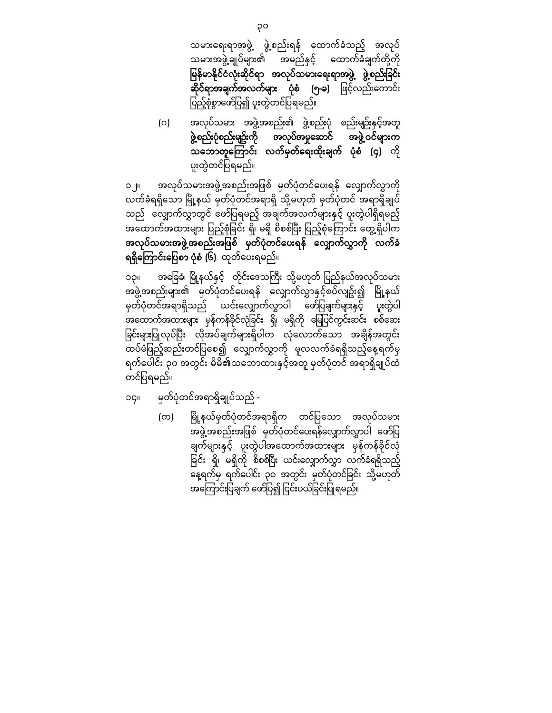သမားေရးရာအဖွဲ့ ဖွဲ့စည်းရန် ေထာက်ခံသည့် အလုပ် သမားအဖွဲ့ချုပ်များ၏ အမည်နှင် ့ေထာက်ခံချက်တို့ကို မြန်မာနိုင်ငံလုံးဆိုင်ရာ အလုပ်သမားရေးရာအဖွဲ့ ဖွဲ့စည်းခြင်း ဆို**င်ရာအချက်အလက်များ ပုံစံ (၅-ခ)** ဖြင့်လည်းကောင်း ပြည့်စုံစွာဖော်ပြ၍ ပူးတွဲတင်ပြရမည်။

(ဂ) အလုပ်သမား အဖွဲ့အစည်း၏ ဖွဲ့စည်းပုံ စည်းမျဉ်းနှင့်အတူ ဖွဲ့စည်းပုံစည်းမျဥ်းကို အလုပ်အမှုေဆာင် အဖွဲ့ဝင်များက သဘောတူကြောင်း လက်မှတ်ရေးထိုးချက် ပုံစံ (၄) ကို ပူးတွဲတင်ပြ ရမည်။

၁၂။ အလုပ်သမားအဖွဲ့အစည်းအဖြစ် မှတ်ပုံတင်ပေးရန် လျှောက်လွှာကို လက်ခံရရှိသော မြို့နယ် မှတ်ပုံတင်အရာရှိ သို့မဟုတ် မှတ်ပုံတင် အရာရှိချုပ် သည် လျှောက်လွှာတွင် ဖော်ပြရမည့် အချက်အလက်များနှင့် ပူးတွဲပါရှိရမည့် အထောက်အထားများ ပြည့်စုံခြင်း ရှိ၊ မရှိ စိစစ်ပြီး ပြည့်စုံကြောင်း တွေ့ရှိပါက အလုပ်သမားအဖွဲ့အစည်းအဖြစ် မှတ်ပုံတင်ပေးရန် လျှောက်လွှာကို လက်ခံ ရရှိကြော**င်းပြေစာ ပုံစံ (၆)** ထုတ်ပေးရမည်။

၁၃။ အခြေခံ၊ မြို့နယ်နှင့် တိုင်းဒေသကြီး သို့မဟုတ် ပြည်နယ်အလုပ်သမား အဖွဲ့အစည်းများ၏ မှတ်ပုံတင်ပေးရန် လျှောက်လွှာနှင့်စပ်လျဥ်း၍ မြို့နယ် မှတ်ပုံတင်အရာရှိသည် ယင်းလျှောက်လွှာပါ ဖော်ပြချက်များနှင့် ပူးတွဲပါ -<br>အထောက်အထားများ မှန်ကန်ခိုင်လုံခြင်း ရှိ၊ မရှိကို မြေပြင်ကွင်းဆင်း စစ်ဆေး ခြင်းများပြုလုပ်ပြီး လိုအပ်ချက်များရှိပါက လုံလောက်သော အချိန်အတွင်း ထပ်မံဖြည့်ဆည်းတင်ပြစေ၍ လျှောက်လွှာကို မူလလက်ခံရရှိသည့်နေ့ရက်မှ ရက်ေပါင်း ၃၀ အတွင်း မိမိ၏သေဘာထားနှင် ့အတူ မှတ်ပုံတင် အရာရှိချုပ်ထံ တင်ပြ ရမည်။

- ၁၄။ မှတ်ပုံတင်အရာရှိချုပ်သည်
	- (က) မြို့နယ်မှတ်ပုံတင်အရာရှိက တင်ပြသော အလုပ်သမား အဖွဲ့အစည်းအဖြစ် မှတ်ပုံတင်ပေးရန်လျှောက်လွှာပါ ဖော်ပြ ချက်များနှင့် ပူးတွဲပါအထောက်အထားများ မှန်ကန်ခိုင်လုံ ခြင်း ရှိ၊ မရှိကို စိစစ်ပြီး ယင်းလျှောက်လွှာ လက်ခံရရှိသည့် —<br>နေ့ရက်မှ ရက်ပေါင်း ၃၀ အတွင်း မှတ်ပုံတင်ခြင်း သို့မဟုတ် အကြောင်းပြချက် ဖော်ပြ၍ ငြင်းပယ်ခြင်းပြုရမည်။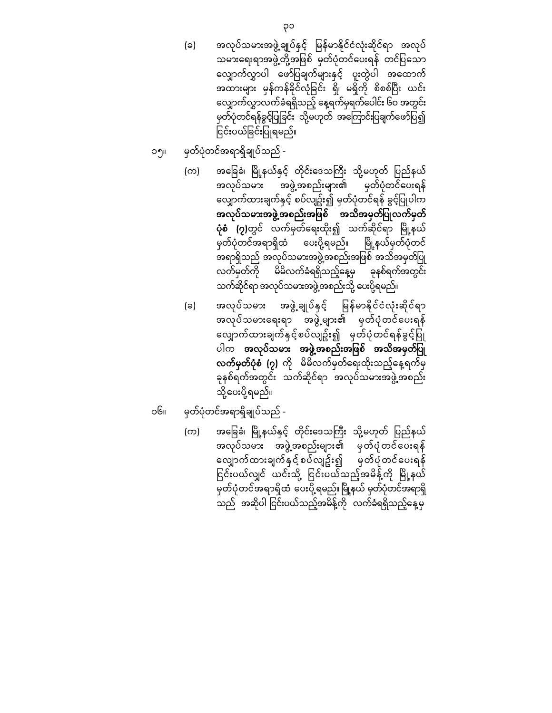- (ခ) အလုပ်သမားအဖွဲ့ချုပ်နှင့် မြန်မာနိုင်ငံလုံးဆိုင်ရာ အလုပ် သမားရေးရာအဖွဲ့တို့အဖြစ် မှတ်ပုံတင်ပေးရန် တင်ပြသော ေလျှာက်လွှာပါ ေဖာ်ပြ ချက်များနှင့် ပူးတွဲပါ အေထာက် အထားများ မှန်ကန်ခိုင်လုံခြင်း ရှိ၊ မရှိကို စိစစ်ပြီး ယင်း ေလျှာက်လွှာလက်ခံရရှိသည် ့ေန့ရက်မှရက်ေပါင်း ၆၀ အတွင်း မှတ်ပုံတင်ရန်ခွင့်ပြုခြင်း သို့မဟုတ် အကြောင်းပြချက်ဖော်ပြ၍ ငြင်းပယ်ခြင်းပြုရမည်။
- ၁၅။ မှတ်ပုံတင်အရာရှိချုပ်သည်
	- (က) အခြေခံ၊ မြို့နယ်နှင့် တိုင်းဒေသကြီး သို့မဟုတ် ပြည်နယ် အလုပ်သမား အဖွဲ့အစည်းများ၏ မှတ်ပုံတင်ပေးရန် လျှောက်ထားချက်နှင့် စပ်လျဥ်း၍ မှတ်ပုံတင်ရန် ခွင့်ပြုပါက အလုပ်သမားအဖွဲ့အစည်းအဖြစ် အသိအမှတ်ပြုလက်မှတ် **ပုံစံ (၇)**တွင် လက်မှတ်ရေးထိုး၍ သက်ဆိုင်ရာ မြို့နယ် မှတ်ပုံတင်အရာရှိထံ ပေးပို့ရမည်။ မြို့နယ်မှတ်ပုံတင် အရာရှိသည် အလုပ်သမားအဖွဲ့အစည်းအဖြစ် အသိအမှတ်ပြု လက်မှတ်ကို မိမိလက်ခံရရှိသည် ့ေန့မှ ခုနစ်ရက်အတွင်း သက်ဆိုင်ရာ အလုပ်သမားအဖွဲ့အစည်းသို့ ပေးပို့ရမည်။
	- (ခ) အလုပ်သမား အဖွဲ့ချုပ်နှင့် မြန်မာနိုင်ငံလုံးဆိုင်ရာ အလုပ်သမားေရးရာ အဖွဲ့များ၏ မှတ်ပုံတင်ေပးရန် လျှောက်ထားချက်နှင့်စပ်လျဥ်း၍ မှတ်ပုံတင်ရန်ခွင့်ပြု ပါက **အလုပ်သမား အဖွဲ့အစည်းအဖြစ် အသိအမှတ်ပြု** လ**က်မှတ်ပုံစံ (၇)** ကို မိမိလက်မှတ်ရေးထိုးသည့်နေ့ရက်မှ ခုနစ်ရက်အတွင်း သက်ဆိုင်ရာ အလုပ်သမားအဖွဲ့အစည်း သို့ေပးပို့ရမည်။
- ၁၆။ မှတ်ပုံတင်အရာရှိချုပ်သည်
	- (က) အခြေခံ၊ မြို့နယ်နှင့် တိုင်းဒေသကြီး သို့မဟုတ် ပြည်နယ် အလုပ်သမား အဖွဲ့အစည်းများ၏ မှတ်ပုံတင်ေပးရန် ေလျှာက်ထားချက်နှင် ့စပ်လျဥ်း၍ မှတ်ပုံတင်ေပးရန် ငြင်းပယ်လျှင် ယင်းသို့ ငြင်းပယ်သည့်အမိန့်ကို မြို့နယ် မှတ်ပုံတင်အရာရှိထံ ပေးပို့ရမည်။ မြို့နယ် မှတ်ပုံတင်အရာရှိ သည် အဆိုပါ ငြင်းပယ်သည့်အမိန့်ကို လက်ခံရရှိသည့်နေ့မှ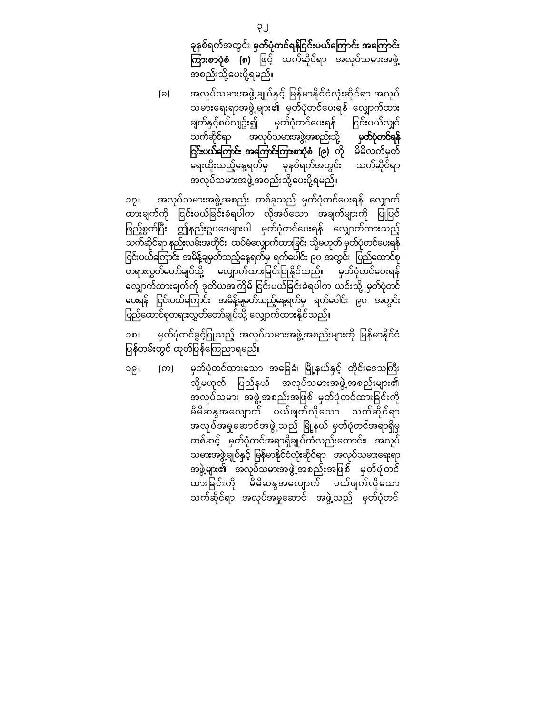ခုနစ်ရက်အတွင်း **မှတ်ပုံတင်ရန်ငြင်းပယ်ကြောင်း အကြောင်း** ကြားစာပုံစံ (၈) ဖြင့် သက်ဆိုင်ရာ အလုပ်သမားအဖွဲ့ အစည်းသို့ေပးပို့ရမည်။

(ခ) အလုပ်သမားအဖွဲ့ ချုပ်နှင့် မြန်မာနိုင်ငံလုံးဆိုင်ရာ အလုပ် သမားေရးရာအဖွဲ့များ၏ မှတ်ပုံတင်ေပးရန် ေလျှာက်ထား ချက်နှင့်စပ်လျဥ်း၍ မှတ်ပုံတင်ပေးရန် ငြင်းပယ်လျှင် သက်ဆိုင်ရာ အလုပ်သမားအဖွဲ့အစည်းသို့ **မှတ်ပုံတင်ရန် ြင်းပယ်ကြောင်း အကြောင်းကြားစာပုံစံ (၉)** ကို မိမိလက်မှတ် ေရးထိုးသည့်ေန့ရက်မှ ခုနစ်ရက်အတွင်း သက်ဆိုင်ရာ အလုပ်သမားအဖွဲ့အစည်းသို့ပေးပို့ရမည်။

၁၇။ အလုပ်သမားအဖွဲ့အစည်း တစ်ခုသည် မှတ်ပုံတင်ပေးရန် လျှောက် ထားချက်ကို ငြင်းပယ်ခြင်းခံရပါက လိုအပ်သော အချက်များကို ပြုပြင် ဖြည့်စွက်ပြီး ဤနည်းဥပဒေများပါ မှတ်ပုံတင်ပေးရန် လျှောက်ထားသည့် သက်ဆိုင်ရာ နည်းလမ်းအတိုင်း ထပ်မံလျှောက်ထားခြင်း သို့မဟုတ် မှတ်ပုံတင်ပေးရန် ြင်းပယ်ကြောင်း အမိန့်ချမှတ်သည့်နေ့ရက်မှ ရက်ပေါင်း ၉၀ အတွင်း ပြည်ထောင်စု တရားလွှတ်တော်ချပ်သို့ လျှောက်ထားခြင်းပြုနိုင်သည်။ မှတ်ပုံတင်ပေးရန် လျှောက်ထားချက်ကို ဒုတိယအကြိမ် ငြင်းပယ်ခြင်းခံရပါက ယင်းသို့ မှတ်ပုံတင် ပေးရန် ငြင်းပယ်ကြောင်း အမိန့်ချမှတ်သည့်နေ့ရက်မှ ရက်ပေါင်း ၉၀ အတွင်း ပြည်ထောင်စုတရားလွှတ်တော်ချပ်သို့ လျှောက်ထားနိုင်သည်။

၁၈။ မှတ်ပုံတင်ခွင့်ပြုသည့် အလုပ်သမားအဖွဲ့အစည်းများကို မြန်မာနိုင်ငံ ပြန်တမ်းတွင် ထုတ်ပြန်ကြေညာရမည်။

၁၉။ (က) မှတ်ပုံတင်ထားသော အခြေခံ၊ မြို့နယ်နှင့် တိုင်းဒေသကြီး သို့မဟုတ် ပြည်နယ် အလုပ်သမားအဖွဲ့အစည်းများ၏ အလုပ်သမား အဖွဲ့အစည်းအဖြစ် မှတ်ပုံတင်ထားခြင်းကို မိမိဆန္ဒအေလျာက် ပယ်ဖျက်လိုေသာ သက်ဆိုင်ရာ အလုပ်အမှုဆောင်အဖွဲ့ သည် မြို့နယ် မှတ်ပုံတင်အရာရှိမှ တစ်ဆင့် မှတ်ပုံတင်အရာရှိချုပ်ထံလည်းေကာင်း၊ အလုပ် သမားအဖွဲ့ချုပ်နှင့် မြန်မာနိုင်ငံလုံးဆိုင်ရာ အလုပ်သမားရေးရာ အဖွဲ့များ၏ အလုပ်သမားအဖွဲ့ အစည်းအဖြစ် မှတ်ပုံတင် ထားခြ င ်းက ိ ု မိမိဆန္ဒအေလျာက် ပယ်ဖျက်လိုေသာ သက်ဆိုင်ရာ အလုပ်အမှုေဆာင် အဖွဲ့သည် မှတ်ပုံတင်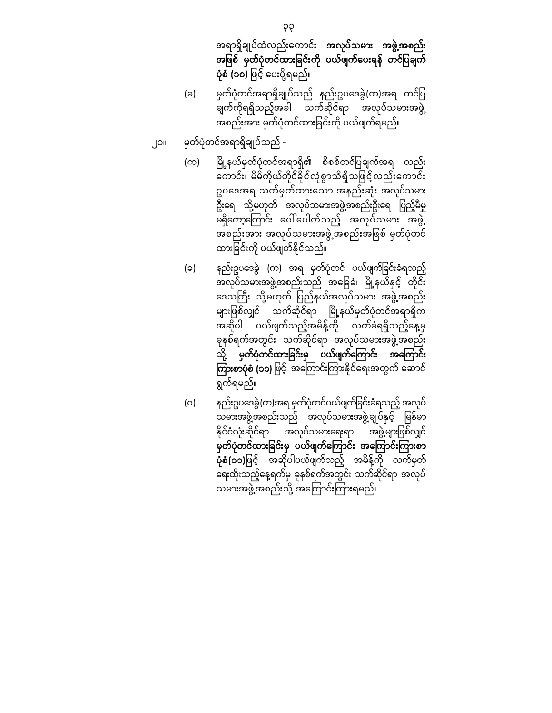အရာရှိချုပ်ထံလည်းေကာင်း အလုပ်သမား အဖွဲ့အစည်း အဖြစ် မှတ်ပုံတင်ထားခြင်းကို ပယ်ဖျက်ပေးရန် တင်ပြချက် ပုံစံ (၁၀) ဖြင့် ပေးပို့ရမည်။

- (ခ) မှတ်ပုံတင်အရာရှိချုပ်သည် နည်းဥပေဒခွဲ(က)အရ တင်ပြ ချက်ကိုရရှိသည့်အခါ သက်ဆိုင်ရာ အလုပ်သမားအဖွဲ့ အစည်းအား မှတ်ပုံတင်ထားခြင်းကို ပယ်ဖျက်ရမည်။
- ၂၀။ မှတ်ပုံတင်အရာရှိချုပ်သည်
	- (က) မြို့နယ်မှတ်ပုံတင်အရာရှိ၏ စိစစ်တင်ပြချက်အရ လည်း ကောင်း၊ မိမိကိုယ်တိုင်ခိုင်လုံစွာသိရှိသဖြင့်လည်းကောင်း ဥပေဒအရ သတ်မှတ်ထားေသာ အနည်းဆုံး အလုပ်သမား ဦးရေ သို့မဟုတ် အလုပ်သမားအဖွဲ့အစည်းဦးရေ ပြည့်မီမှု မရှိတော့ကြောင်း ပေါ်ပေါက်သည့် အလုပ်သမား အဖွဲ့ ား<br>အစည်းအား အလုပ်သမားအဖွဲ့အစည်းအဖြစ် မှတ်ပုံတင် ထားခြင်းကို ပယ်ဖျက်နိုင်သည်။
	- (ခ) နည်းဥပဒေခွဲ (က) အရ မှတ်ပုံတင် ပယ်ဖျက်ခြင်းခံရသည့် အလုပ်သမားအဖွဲ့အစည်းသည် အခြေခံ၊ မြို့နယ်နှင့် တိုင်း ဒေသကြီး သို့မဟုတ် ပြည်နယ်အလုပ်သမား အဖွဲ့အစည်း များဖြစ်လျှင် သက်ဆိုင်ရာ မြို့နယ်မှတ်ပုံတင်အရာရှိက အဆိုပါ ပယ်ဖျက်သည့်အမိန့်ကို လက်ခံရရှိသည့်နေ့မှ ခုနစ်ရက်အတွင်း သက်ဆိုင်ရာ အလုပ်သမားအဖွဲ့အစည်း သို့ မှတ်ပုံတင်ထားခြင်းမှ ပယ်ဖျက်ကြောင်း အကြောင်း ကြားစာပုံစံ (၁၁) ဖြင့် အကြောင်းကြားနိုင်ရေးအတွက် ဆောင် ရွက်ရမည်။
	- (ဂ) နည်းဥပဒေခွဲ(က)အရ မှတ်ပုံတင်ပယ်ဖျက်ခြင်းခံရသည့် အလုပ် သမားအဖွဲ့အစည်းသည် အလုပ်သမားအဖွဲ့ချုပ်နှင့် မြန်မာ နိုင်ငံလုံးဆိုင်ရာ အလုပ်သမားရေးရာ အဖွဲ့များဖြစ်လျှင် မှတ်ပုံတင်ထားခြင်းမှ ပယ်ဖျက်ကြောင်း အကြောင်းကြားစာ **ပုံစံ(၁၁)**ဖြင့် အဆိုပါပယ်ဖျက်သည့် အမိန့်ကို လက်မှတ် ေရးထိုးသည့်ေန့ရက်မှ ခုနစ်ရက်အတွင်း သက်ဆိုင်ရာ အလုပ် သမားအဖွဲ့အစည်းသို့ အကြောင်းကြားရမည်။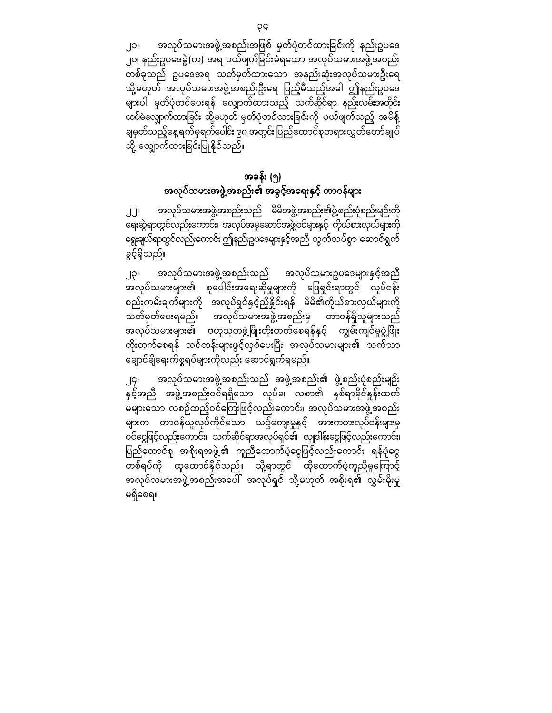၂၁။ အလုပ်သမားအဖွဲ့အစည်းအဖြစ် မှတ်ပုံတင်ထားခြင်းကို နည်းဥပဒေ ၂၀၊ နည်းဥပေဒခွဲ(က) အရ ပယ်ဖျက်ခြ င်းခံရေသာ အလုပ်သမားအဖွဲ့အစည်း တစ်ခုသည် ဥပေဒအရ သတ်မှတ်ထားေသာ အနည်းဆုံးအလုပ်သမားဦးေရ သို့မဟုတ် အလုပ်သမားအဖွဲ့အစည်းဦးရေ ပြည့်မီသည့်အခါ ဤနည်းဥပဒေ များပါ မှတ်ပုံတင်ေပးရန် ေလျှာက်ထားသည့် သက်ဆိုင်ရာ နည်းလမ်းအတိုင်း ထပ်မံလျှောက်ထားခြင်း သို့မဟုတ် မှတ်ပုံတင်ထားခြင်းကို ပယ်ဖျက်သည့် အမိန့် ချမှတ်သည့်နေ့ရက်မှရက်ပေါင်း ၉၀ အတွင်း ပြည်ထောင်စုတရားလွှတ်တော်ချုပ် သို့ လျှောက်ထားခြင်းပြုနိုင်သည်။

## အခန်း (၅) အလုပ်သမားအဖွဲ့အစည်း၏ အခွင့်အေရးနှင့် တာဝန်များ

၂၂။ အလုပ်သမားအဖွဲ့အစည်းသည် မိမိအဖွဲ့အစည်း၏ဖွဲ့စည်းပုံစည်းမျဉ်းကို ေရးဆွဲရာတွင်လည်းေကာင်း၊ အလုပ်အမှုေဆာင်အဖွဲ့ဝင်များနှင့် ကိုယ်စားလှယ်များကို ေရွးချယ်ရာတွင်လည်းေကာင်းဤနည်းဥပေဒများနှင့်အညီ လွတ်လပ်စွာ ေဆာင်ရွက် ခွင့်ရှိသည်။

၂၃။ အလုပ်သမားအဖွဲ့အစည်းသည် အလုပ်သမားဥပဒေများနှင့်အညီ အလုပ်သမားများ၏ စုပေါင်းအရေးဆိုမှုများကို ဖြေရှင်းရာတွင် လုပ်ငန်း စည်းကမ်းချက်များကို အလုပ်ရှင်နှင့်ညှိနှိုင်းရန် မိမိ၏ကိုယ်စားလှယ်များကို သတ်မှတ်ပေးရမည်။ အလုပ်သမားအဖွဲ့အစည်းမှ တာဝန်ရှိသူများသည် အလုပ်သမားများ၏ ဗဟုသုတဖွံ့ဖြိုးတိုးတက်စေရန်နှင့် ကျွမ်းကျင်မှုဖွံ့ဖြိုး တိုးတက်စေရန် သင်တန်းများဖွင့်လှစ်ပေးပြီး အလုပ်သမားများ၏ သက်သာ ေချာင်ချိေရးကိစ္စရပ်များကိုလည်း ေဆာင်ရွက်ရမည်။

၂၄။ အလုပ်သမားအဖွဲ့အစည်းသည် အဖွဲ့အစည်း၏ ဖွဲ့စည်းပုံစည်းမျဉ်း နှင့်အညီ အဖွဲ့အစည်းဝင်ရရှိသော လုပ်ခ၊ လစာ၏ နှစ်ရာခိုင်နူန်းထက် မများေသာ လစဉ်ထည့်ဝင်ေကြ းဖြ င့်လည်းေကာင်း၊ အလုပ်သမားအဖွဲ့အစည်း များက တာဝန်ယူလုပ်ကိုင်သော ယဥ်ကျေးမှုနှင့် အားကစားလုပ်ငန်းများမှ ဝင်ငွေဖြင့်လည်းကောင်း၊ သက်ဆိုင်ရာအလုပ်ရှင်၏ လျုဒါန်းငွေဖြင့်လည်းကောင်း၊ ပြည်ထောင်စု အစိုးရအဖွဲ့၏ ကူညီထောက်ပံ့ငွေဖြင့်လည်းကောင်း ရန်ပုံငွေ တစ်ရပ်ကို ထူထောင်နိုင်သည်။ သို့ရာတွင် ထိုထောက်ပံ့ကူညီမှုကြောင့် အလုပ်သမားအဖွဲ့အစည်းအပေါ် အလုပ်ရှင် သို့မဟုတ် အစိုးရ၏ လွှမ်းမိုးမှု မရှိေစရ။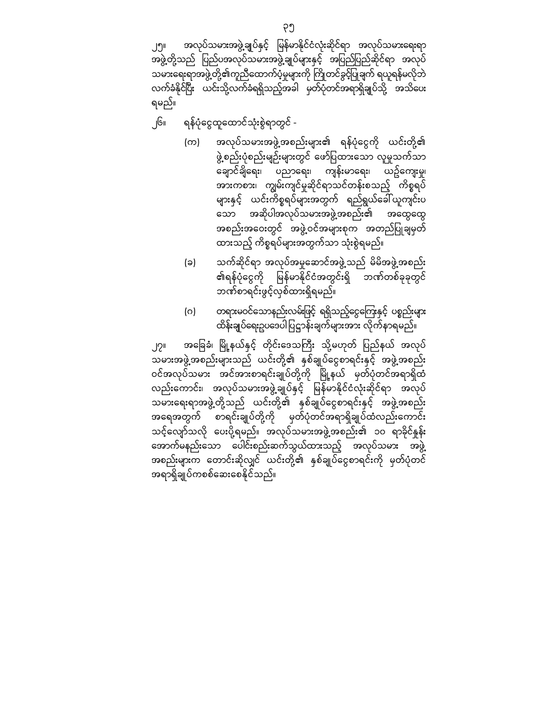လက်ခံနိုင်ပြီး ယင်းသို့လက်ခံရရှိသည့်အခါ မှတ်ပုံတင်အရာရှိချုပ်သို့ အသိပေး

ရမည်။

- ၂၆။ ရန်ပုံေငွထူေထာင်သုံးစွဲရာတွင်
	- (က) အလုပ်သမားအဖွဲ့အစည်းများ၏ ရန်ပုံငွေကို ယင်းတို့၏ ဖွဲ့စည်းပုံစည်းမျဉ်းများတွင် ဖော်ပြထားသော လူမှုသက်သာ ေချာင်ချိေရး၊ ပညာေရး၊ ကျန်းမာေရး၊ ယဥ်ေကျးမှု၊ အားကစား၊ ကျွမ်းကျင်မှုဆိုင်ရာသင်တန်းစသည့် ကိစ္စရပ် များနှင့် ယင်းကိစ္စရပ်များအတွက် ရည်ရွယ်ေခါ်ယူကျင်းပ ေသာ အဆိုပါအလုပ်သမားအဖွဲ့အစည်း၏ အေထွေထွ အစည်းအဝေးတွင် အဖွဲ့ဝင်အများစုက အတည်ပြုချမှတ် ထားသည့် ကိစ္စရပ်များအတွက်သာ သုံးစွဲရမည်။
	- (ခ) သက်ဆိုင်ရာ အလုပ်အမှုေဆာင်အဖွဲ့သည် မိမိအဖွဲ့အစည်း ၏ရန်ပုံငွေကို မြန်မာနိုင်ငံအတွင်းရှိ ဘဏ်တစ်ခုခုတွင် ဘဏ်စာရင်းဖွင့်လှစ်ထားရှိရမည်။
	- (ဂ) တရားမဝင်သောနည်းလမ်းဖြင့် ရရှိသည့်ငွေကြေးနှင့် ပစ္စည်းများ ထိန်းချုပ်ရေးဥပဒေပါပြဋ္ဌာန်းချက်များအား လိုက်နာရမည်။

၂၇။ အခြေခံ၊ မြို့နယ်နှင့် တိုင်းဒေသကြီး သို့မဟုတ် ပြည်နယ် အလုပ် သမားအဖွဲ့အစည်းများသည် ယင်းတို့၏ နှစ်ချုပ်ငွေစာရင်းနှင့် အဖွဲ့အစည်း ဝင်အလုပ်သမား အင်အားစာရင်းချုပ်တို့ကို မြို့နယ် မှတ်ပုံတင်အရာရှိထံ လည်းကောင်း၊ အလုပ်သမားအဖွဲ့ချုပ်နှင့် မြန်မာနိုင်ငံလုံးဆိုင်ရာ အလုပ် သမားေရးရာအဖွဲ့တို့သည် ယင်းတို့၏ နှစ်ချုပ်ေငွစာရင်းနှင့် အဖွဲ့အစည်း အေရအတွက် စာရင်းချုပ်တို့ကို မှတ်ပုံတင်အရာရှိချုပ်ထံလည်းေကာင်း သင့်ေလျာ်သလို ေပးပို့ရမည်။ အလုပ်သမားအဖွဲ့အစည်း၏ ၁၀ ရာခိုင်နှုန်း ေအာက်မနည်းေသာ ေပါင်းစည်းဆက်သွယ်ထားသည် ့အလုပ်သမား အဖွဲ့ အစည်းများက ေတာင်းဆိုလျှင် ယင်းတို့၏ နှစ်ချုပ်ေငွစာရင်းကို မှတ်ပုံတင် အရာရှိချုပ်ကစစ်ေဆးေစနိုင်သည်။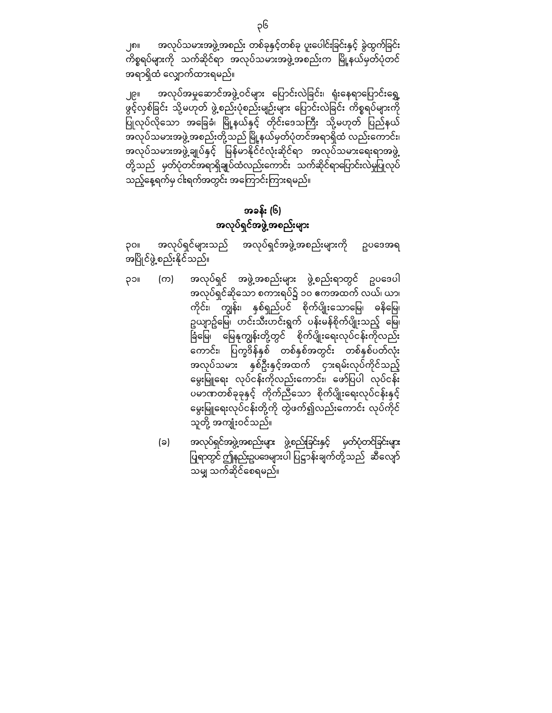၂၈။ အလုပ်သမားအဖွဲ့အစည်း တစ်ခုနှင့်တစ်ခု ပူးပေါင်းခြင်းနှင့် ခွဲထွက်ခြင်း ကိစ္စရပ်များကို သက်ဆိုင်ရာ အလုပ်သမားအဖွဲ့အစည်းက မြို့နယ်မှတ်ပုံတင် အရာရှိထံ ေလျှာက်ထားရမည်။

၂၉။ အလုပ်အမှုဆောင်အဖွဲ့ဝင်များ ပြောင်းလဲခြင်း၊ ရုံးနေရာပြောင်းရွှေ့ ဖွင့်လှစ်ခြင်း သို့မဟုတ် ဖွဲ့စည်းပုံစည်းမျဉ်းများ ပြောင်းလဲခြင်း ကိစ္စရပ်များကို ပြုလုပ်လိုသော အခြေခံ၊ မြို့နယ်နှင့် တိုင်းဒေသကြီး သို့မဟုတ် ပြည်နယ် အလုပ်သမားအဖွဲ့အစည ်းတို့သည် ြ ို့နယ်မှတ်ပုံတင်အရာရှိထံ မ လည်းေကာင်း၊ အလုပ်သမားအဖွဲ့ချုပ်နှင့် မြန်မာနိုင်ငံလုံးဆိုင်ရာ အလုပ်သမားရေးရာအဖွဲ့ တို့သည် မှတ်ပုံတင်အရာရှိချုပ်ထံလည်းကောင်း သက်ဆိုင်ရာပြောင်းလဲမှုပြုလုပ် သည့်နေ့ရက်မှ ငါးရက်အတွင်း အကြောင်းကြားရမည်။

# အခန်း (၆) အလုပ်ရှင်အဖွဲ့အစည်းများ

၃၀။ အလုပ်ရှင်များသည် အလုပ်ရှင်အဖွဲ့အစည်းများကို ဥပေဒအရ အပြ ိုင်ဖွဲ့စည်းနိုင ်သည်။

- ၃၁။ (က) အလုပ်ရှင် အဖွဲ့အစည်းများ ဖွဲ့စည်းရာတွင် ဥပဒေပါ အလုပ်ရှင်ဆိုသော စကားရပ်၌ ၁၀ ဧကအထက် လယ်၊ ယာ၊ ကိုင်း၊ ကျွန်း၊ နှစ်ရှည်ပင် စိုက်ပျိုးသောမြေ၊ ဓနိမြေ၊ ှု<br>ဥယျာဥ်မြေ၊ ဟင်းသီးဟင်းရွက် ပန်းမန်စိုက်ပျိုးသည့် မြေ၊ ခြံမြေ၊ မြေနုကျွန်းတို့တွင် စိုက်ပျိုးရေးလုပ်ငန်းကိုလည်း ေကာင်း၊ ြ က္ခဒိန်နှစ် ပ တစ်နှစ်အတွင်း တစ်နှစ်ပတ်လုံး အလုပ်သမား နှစ်ဦးနှင့်အထက် ငှားရမ်းလုပ်ကိုင်သည့် မွေးမြူရေး လုပ်ငန်းကိုလည်းကောင်း၊ ဖော်ပြပါ လုပ်ငန်း ပမာဏတစ်ခုခုနှင့် ကိုက်ညီသော စိုက်ပျိုးရေးလုပ်ငန်းနှင့် မွေးမြူရေးလုပ်ငန်းတို့ကို တွဲဖက်၍လည်းကောင်း လုပ်ကိုင် သူတို့ အကျုံးဝင်သည်။
	- (ခ) အလုပ်ရှင်အဖွဲ့အစည်းများ ဖွဲ့စည်းခြ င်းနှင့် မှတ်ပုံတင်ခြ င်းများ ြ ရာတွင် ဤနည်းဥပဒေများပါ ပြဋ္ဌာန်းချက်တို့သည် ဆီလျော် သမျှ သက်ဆိုင်ေစရမည်။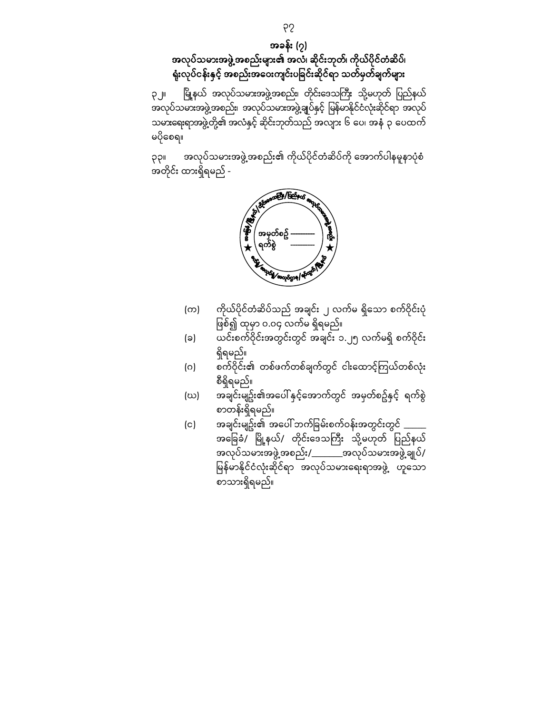အခန်း (၇) အလုပ်သမားအဖွဲ့အစည်းများ၏ အလံ၊ ဆိုင်းဘုတ်၊ ကိုယ်ပိုင်တံဆိပ်၊ ရုံးလုပ်ငန်းနှင့် အစည်းအေဝးကျင်းပခြ င်းဆိုင်ရာ သတ်မှတ်ချက်များ

၃၂။ မြို့နယ် အလုပ်သမားအဖွဲ့အစည်း၊ တိုင်းဒေသကြီး သို့မဟုတ် ပြည်နယ် အလုပ်သမားအဖွဲ့အစည်း၊ အလုပ်သမားအဖွဲ့ချုပ်နှင့် မြန်မာနိုင်ငံလုံးဆိုင်ရာ အလုပ် သမားေရးရာအဖွဲ့တို့၏ အလံနှင့် ဆိုင်းဘုတ်သည် အလျား ၆ ေပ၊ အနံ ၃ ေပထက် မပိုေစရ။

၃၃။ အလုပ်သမားအဖွဲ့အစည်း၏ ကိုယ်ပိုင်တံဆိပ်ကို အောက်ပါနမူနာပုံစံ အတိုင်း ထားရှိရမည် -



- (က) ကိုယ်ပိုင်တံဆိပ်သည် အချင်း ၂ လက်မ ရှိသော စက်ဝိုင်းပုံ ဖြစ်၍ ထုမှာ ၀.၀၄ $\overline{\phantom{a}}$ လက်မ $\overline{\phantom{a}}$ ရုံရမည်။
- (ခ) ယင်းစက်ဝိုင်းအတွင်းတွင် အချင်း ၁.၂၅ လက်မရှိ စက်ဝိုင်း ရှိရမည်။
- (ဂ) စက်ဝိုင်း၏ တစ်ဖက်တစ်ချက်တွင် ငါးေထာင့်ကြ ယ်တစ်လုံး စီရှိရမည်။
- (ဃ) အချင်းမျဥ်း၏အပေါ် နှင့်အောက်တွင် အမှတ်စဥ်နှင့် ရက်စွဲ စာတန်းရှိရမည်။
- (င) အချင်းမျဉ်း၏ အပေါ် ဘက်ခြမ်းစက်ဝန်းအတွင်းတွင်  $\_$ အခြေခံ/ မြို့နယ်/ တိုင်းဒေသကြီး သို့မဟုတ် ပြည်နယ် အလုပ်သမားအဖွဲ့အစည ်း/\_\_\_\_\_\_\_အလုပ်သမားအဖွဲ့ချုပ်/ မြန်မာနိုင်ငံလုံးဆိုင်ရာ အလုပ်သမားရေးရာအဖွဲ့ ဟူသော စာသားရှိရမည်။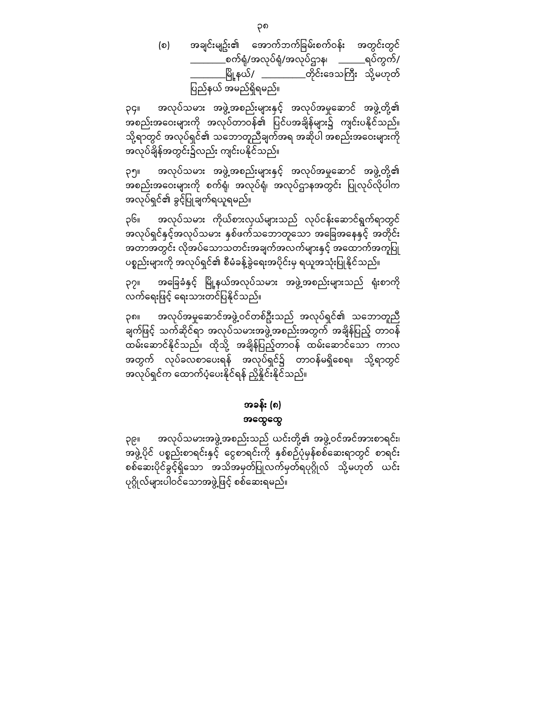(စ) အချင်းမျဥ်း၏ အောက်ဘက်ခြမ်းစက်ဝန်း အတွင်းတွင် \_\_\_\_\_\_\_\_စက်ရုံ/အလုပ်ရုံ/အလုပ်ဌာန၊ \_\_\_\_\_\_ရပ်ကွက်/ \_မြို့နယ်/ \_\_\_\_\_\_\_\_\_\_တိုင်းဒေသကြီး သို့မဟုတ် ပြည်နယ် အမည်ရှိရမည်။

၃၄။ အလုပ်သမား အဖွဲ့အစည်းများနှင့် အလုပ်အမှုေဆာင် အဖွဲ့တို့၏ အစည်းအဝေးများကို အလုပ်တာဝန်၏ ပြင်ပအချိန်များ၌ ကျင်းပနိုင်သည်။ သို့ရာတွင် အလုပ်ရှင်၏ သဘောတူညီချက်အရ အဆိုပါ အစည်းအဝေးများကို အလုပ်ချိန ်အတွင်း၌လည်း ကျင်းပနိုင်သည်။

၃၅။ အလုပ်သမား အဖွဲ့အစည်းများနှင့် အလုပ်အမှုေဆာင် အဖွဲ့တို့၏ ု<br>အစည်းအဝေးများကို စက်ရုံ၊ အလုပ်ရုံ၊ အလုပ်ဌာနအတွင်း ပြုလုပ်လိုပါက အလုပ်ရှင်၏ ခွင့်ပြ ုချက်ရယူရမည်။

၃၆။ အလုပ်သမား ကိုယ်စားလှယ်များသည် လုပ်ငန်းဆောင်ရွက်ရာတွင် .<br>အလုပ်ရှင်နှင့်အလုပ်သမား နှစ်ဖက်သဘောတူသော အခြေအနေနှင့် အတိုင်း အတာအတွင်း လိုအပ်သောသတင်းအချက်အလက်များနှင့် အထောက်အကူပြု ပစ္စည်းများကို အလုပ်ရှင်၏ စီမံခန့်ခွဲရေးအပိုင်းမှ ရယူအသုံးပြုနိုင်သည်။

၃၇။ အခြေခံနှင့် မြို့နယ်အလုပ်သမား အဖွဲ့အစည်းများသည် ရုံးစာကို လက်ရေးဖြင့် ရေးသားတင်ပြနိုင်သည်။

၃၈။ အလုပ်အမှုေဆာင်အဖွဲ့ဝင်တစ်ဦးသည် အလုပ်ရှင်၏ သေဘာတူညီ ချက်ဖြင့် သက်ဆိုင်ရာ အလုပ်သမားအဖွဲ့အစည်းအတွက် အချိန်ပြည့် တာဝန် ထမ်းဆောင်နိုင်သည်။ ထိုသို့ အချိန်ပြည့်တာဝန် ထမ်းဆောင်သော ကာလ အတွက် လုပ်ခလစာေပးရန် အလုပ်ရှင်၌ တာဝန်မရှိေစရ။ သို့ရာတွင် အလုပ်ရှင်က ထောက်ပံ့ပေးနိုင်ရန် ညှိနှိုင်းနိုင်သည်။

### အခန်း (၈) အေထွေထွ

၃၉။ အလုပ်သမားအဖွဲ့အစည်းသည် ယင်းတို့၏ အဖွဲ့ဝင်အင်အားစာရင်း၊ အဖွဲ့ပိုင ် ပစ္စည်းစာရင်းနှင့် ေငွစာရင်းကို နှစ်စဉ်ပုံမှန်စစ်ေဆးရာတွင် စာရင်း စစ်ေဆးပိုင်ခွင ့်ရှိေသာ အသိအမှတ်ပြ ုလက်မှတ်ရပုဂိ္ဂုလ် သို့မဟုတ် ယင်း ပုဂ္ဂိုလ်များပါဝင်သောအဖွဲ့ဖြင့် စစ်ဆေးရမည်။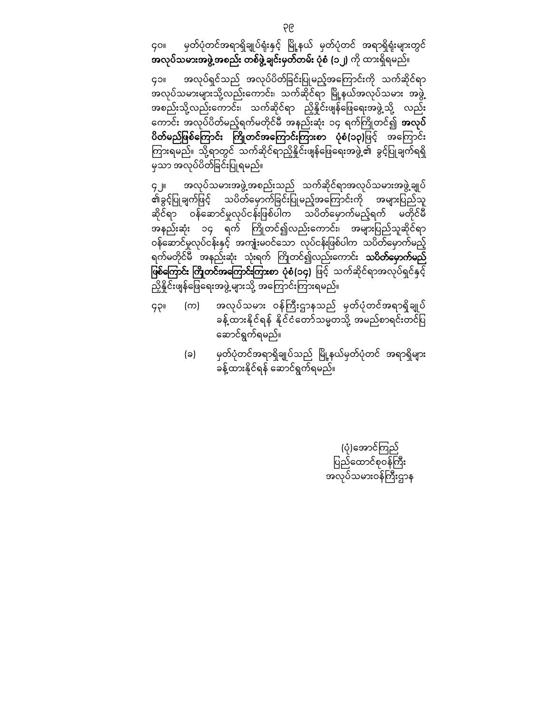၄၀။ မှတ်ပုံတင်အရာရှိချုပ်ရုံးနှင့် မြို့နယ် မှတ်ပုံတင် အရာရှိရုံးများတွင် အလုပ်သမားအဖွဲ့အစည်း တစ်ဖွဲ့ချင်းမှတ်တမ်း ပုံစံ (၁၂) ကို ထားရှိရမည်။

၄၁။ အလုပ်ရှင်သည် အလုပ်ပိတ်ခြင်းပြုမည့်အကြောင်းကို သက်ဆိုင်ရာ .<br>အလုပ်သမားများသို့လည်းကောင်း၊ သက်ဆိုင်ရာ မြို့နယ်အလုပ်သမား အဖွဲ့ အစည်းသို့လည်းကောင်း၊ သက်ဆိုင်ရာ ညှိနိူင်းဖျန်ဖြေရေးအဖွဲ့သို့ လည်း ကောင်း အလုပ်ပိတ်မည့်ရက်မတိုင်မီ အနည်းဆုံး ၁၄ ရက်ကြိုတင်၍ **အလုပ်** ပိတ်မည်ဖြစ်ကြောင်း ကြိုတင်အကြောင်းကြားစာ ပုံစံ(၁၃)ဖြင့် အကြောင်း ကြားရမည်။ သို့ရာတွင် သက်ဆိုင်ရာညှိနှိုင်းဖျန်ဖြေရေးအဖွဲ့၏ ခွင့်ပြုချက်ရရှိ မှသာ အလုပ်ပိတ်ခြင်းပြုရမည်။

၄၂။ အလုပ်သမားအဖွဲ့အစည်းသည် သက်ဆိုင်ရာအလုပ်သမားအဖွဲ့ချုပ် ၏ခွင့်ပြုချက်ဖြင့် သပိတ်မှောက်ခြင်းပြုမည့်အကြောင်းကို အများပြည်သူ ဆိုင်ရာ ဝန်ဆောင်မှုလုပ်ငန်းဖြစ်ပါက သပိတ်မှောက်မည့်ရက် မတိုင်မီ အနည်းဆုံး ၁၄ ရက် ကြိုတင်၍လည်းကောင်း၊ အများပြည်သူဆိုင်ရာ ဝန်ဆောင်မှုလုပ်ငန်းနှင့် အကျုံးမဝင်သော လုပ်ငန်းဖြစ်ပါက သပိတ်မှောက်မည့် ရက်မတိုင်မီ အနည်းဆုံး သုံးရက် ကြိုတင်၍လည်းကောင်း **သပိတ်မှောက်မည်** ဖြစ်ကြော**င်း ကြိုတင်အကြောင်းကြားစာ ပုံစံ(၁၄)** ဖြင့် သက်ဆိုင်ရာအလုပ်ရှင်နှင့် ညှိနိူင်းဖျန်ဖြေရေးအဖွဲ့ များသို့ အကြောင်းကြားရမည်။

- ၄၃။ (က) အလုပ်သမား ဝန်ကြီးဌာနသည် မှတ်ပုံတင်အရာရှိချုပ် ခန့်ထားနိုင်ရန် နိုင်ငံတော်သမ္မတသို့ အမည်စာရင်းတင်ပြ ေဆာင်ရွက်ရမည်။
	- (ခ) မှတ်ပုံတင်အရာရှိချုပ်သည် မြို့နယ်မှတ်ပုံတင် အရာရှိများ ခန့်ထားနိုင်ရန် ေဆာင်ရွက်ရမည်။

(ပုံ)အောင်ကြည် ပြည်ထောင်စုဝန်ကြီး အလုပ်သမားဝန်ကြီးဌာန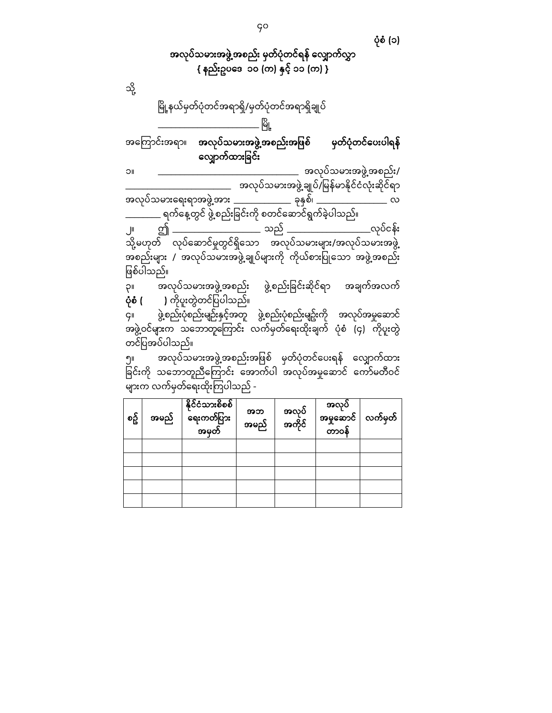အလုပ်သမားအဖွဲ့အစည်း မှတ်ပုံတင်ရန် ေလျှာက်လွှာ { နည်းဥပဒေ ၁၀ (က) နှင့် ၁၁ (က) } သို့ မြို့နယ်မှတ်ပုံတင်အရာရှိ/မှတ်ပုံတင်အရာရှိချုပ် \_\_\_\_\_\_\_\_\_\_\_\_\_\_\_\_\_\_\_\_\_\_\_ ြ ို့ မ အကြောင်းအရာ။ **အလုပ်သမားအဖွဲ့အစည်းအဖြစ် မှတ်ပုံတင်ပေးပါရန်** လျှောက်ထားခြင်း ၁။ \_\_\_\_\_\_\_\_\_\_\_\_\_\_\_\_\_\_\_\_\_\_\_\_\_\_\_\_\_\_\_\_ အလုပ်သမားအဖွဲ့အစည်း/ \_\_\_\_\_\_\_\_\_\_\_\_\_\_\_\_\_\_\_\_\_\_\_\_ အလုပ်သမားအဖွဲ့ချုပ်/ ြ န်မာနိုင်င ံလုံးဆ ိုင်ရာ မ အလုပ်သမားေရးရာအဖွဲ့အား \_\_\_\_\_\_\_\_\_\_\_\_\_ ခုနှစ်၊ \_\_\_\_\_\_\_\_\_\_\_\_\_\_\_\_ လ ရက်နေ့တွင် ဖွဲ့စည်းခြင်းကို စတင်ဆောင်ရွက်ခဲ့ပါသည်။ ၂။ ဤ \_\_\_\_\_\_\_\_\_\_\_\_\_\_\_\_\_\_\_\_ သည် \_\_\_\_\_\_\_\_\_\_\_\_\_\_\_\_\_\_\_လုပ်ငန်း သို့မဟုတ် လုပ်ေဆာင်မှုတွင်ရှိေသာ အလုပ်သမားများ/အလုပ်သမားအဖွဲ့ အစည်းများ / အလုပ်သမားအဖွဲ့ချုပ်များကို ကိုယ်စားပြုသော အဖွဲ့အစည်း ဖြစ်ပါသည်။ –<br>၃။ အလုပ်သမားအဖွဲ့အစည်း ဖွဲ့စည်းခြင်းဆိုင်ရာ အချက်အလက် <mark>ပုံစံ ( )</mark> ကိုပူးတွဲတင်ပြပါသည်။ ၄။ ဖွဲ့စည်းပုံစည်းမျဉ်းနှင် ့အတူ ဖွဲ့စည်းပုံစည်းမျဥ်းကို အလုပ်အမှုေဆာင် အဖွဲ့ဝင်များက သဘောတူကြောင်း လက်မှတ်ရေးထိုးချက် ပုံစံ (၄) ကိုပူးတွဲ တင်ပြ အပ်ပါသည်။ ၅။ အလုပ်သမားအဖွဲ့အစည်းအဖြစ် မှတ်ပုံတင်ပေးရန် လျှောက်ထား ခြင်းကို သဘောတူညီကြောင်း အောက်ပါ အလုပ်အမှုဆောင် ကော်မတီဝင်

| စဥ္ပ်ိ | အမည် | နိုင်ငံသားစိစစ်<br>ရေးကတ်ပြား<br>အမှတ် | အဘ<br>အမည် | အလုပ်<br>အကိုင် | အလုပ်<br>အမှုဆောင်<br>တာဝန် | လက်မှတ် |
|--------|------|----------------------------------------|------------|-----------------|-----------------------------|---------|
|        |      |                                        |            |                 |                             |         |
|        |      |                                        |            |                 |                             |         |
|        |      |                                        |            |                 |                             |         |
|        |      |                                        |            |                 |                             |         |
|        |      |                                        |            |                 |                             |         |

များက လက်မှတ်ရေးထိုးကြပါသည် -

ပုံစံ (၁)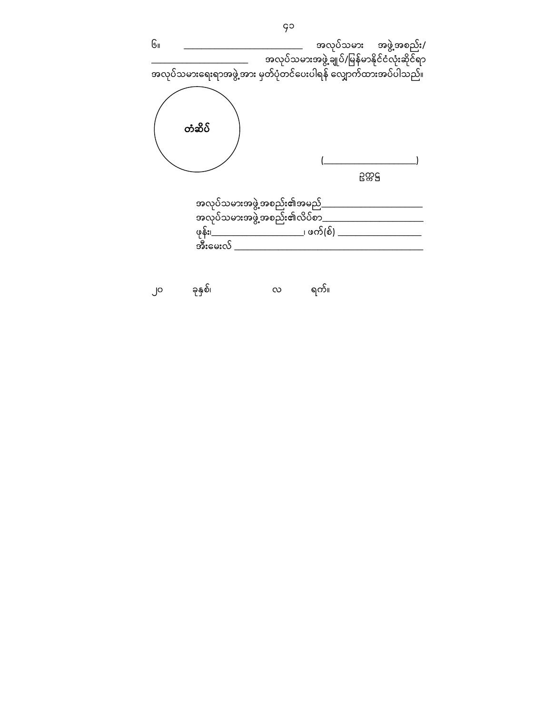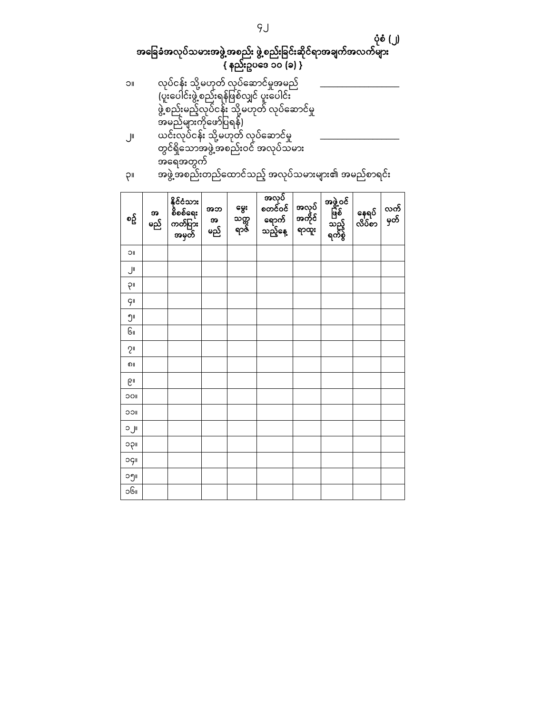| ۳۲                                          | အဖွဲ့အစည်းတည်ထောင်သည့် အလုပ်သမားများ။ေ အမည်စာရင်း |                                            |                |                      |                                       |                          |                                    |                 |             |
|---------------------------------------------|---------------------------------------------------|--------------------------------------------|----------------|----------------------|---------------------------------------|--------------------------|------------------------------------|-----------------|-------------|
| စဥ္ပ်ိ                                      | အ<br>မည်                                          | နိုင်ငံသား<br>စိစစ်ရေး<br>ကတ်ပြား<br>အမှတ် | အဘ<br>အ<br>မည် | မွေး<br>သက္က<br>ရာဇ် | အလုပ်<br>ားများ<br>စတင်ဝင်<br>ဆည့်နေ့ | အလုပ်<br>အကိုင်<br>ရာထူး | အဖွဲ့ဝင်<br>ဖြစ်<br>သည့်<br>ရက်စွဲ | နေရပ်<br>လိပ်စာ | လက်<br>မှတ် |
| ΟI                                          |                                                   |                                            |                |                      |                                       |                          |                                    |                 |             |
| ال                                          |                                                   |                                            |                |                      |                                       |                          |                                    |                 |             |
| PII                                         |                                                   |                                            |                |                      |                                       |                          |                                    |                 |             |
| <mark>9</mark>                              |                                                   |                                            |                |                      |                                       |                          |                                    |                 |             |
| ၅။                                          |                                                   |                                            |                |                      |                                       |                          |                                    |                 |             |
| Gı                                          |                                                   |                                            |                |                      |                                       |                          |                                    |                 |             |
| $\mathcal{S}^{\scriptscriptstyle\parallel}$ |                                                   |                                            |                |                      |                                       |                          |                                    |                 |             |
| ၈။                                          |                                                   |                                            |                |                      |                                       |                          |                                    |                 |             |
| ၉။                                          |                                                   |                                            |                |                      |                                       |                          |                                    |                 |             |
| OOI                                         |                                                   |                                            |                |                      |                                       |                          |                                    |                 |             |
| <b>IICC</b>                                 |                                                   |                                            |                |                      |                                       |                          |                                    |                 |             |
| ၁၂။                                         |                                                   |                                            |                |                      |                                       |                          |                                    |                 |             |
| ၁၃။                                         |                                                   |                                            |                |                      |                                       |                          |                                    |                 |             |
| oç။                                         |                                                   |                                            |                |                      |                                       |                          |                                    |                 |             |
| ၁၅။                                         |                                                   |                                            |                |                      |                                       |                          |                                    |                 |             |
| ၁၆။                                         |                                                   |                                            |                |                      |                                       |                          |                                    |                 |             |

- အေရအတွက် ၃။ အဖွဲ့အစည်းတည်ထောင်သည့် အလုပ်သမားများ၏ အမည်စာရင်း
- ၁။ လုပ်ငန်း သို့မဟုတ် လုပ်ဆောင်မှုအမည် \_\_\_\_\_\_\_\_\_\_\_\_\_\_\_\_\_\_\_\_\_\_\_\_\_\_\_ (ပူးပေါင်းဖွဲ့စည်းရန်ဖြစ်လျှင် ပူးပေါင်း ဖွဲ့စည်းမည့်လုပ်ငန်း သို့မဟုတ် လုပ်ဆောင်မှု အမည်များကိုေဖာ်ပြ ရန်) ၂။ ယင်းလုပ်ငန်း သို့မဟုတ် လုပ်ဆောင်မှု \_\_\_\_\_\_\_\_\_\_\_\_\_\_\_\_\_\_\_\_\_ တွင်ရှိေသာအဖွဲ့အစည်းဝင် အလုပ်သမား

#### ပုံစံ (၂) အခြေခံအလုပ်သမားအဖွဲ့အစည်း ဖွဲ့စည်းခြင်းဆိုင်ရာအချက်အလက်များ { နည်းဥပေဒ ၁၀ (ခ) }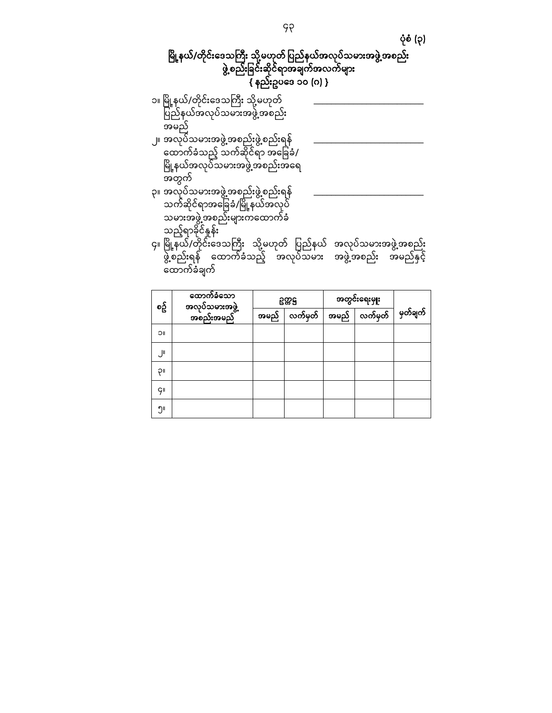ပုံစံ (၃)

# မြို့နယ်/တိုင်းဒေသကြီး သို့မဟုတ် ပြည်နယ်အလုပ်သမားအဖွဲ့အစည်း ဖွဲ့စည်းခြင်းဆိုင်ရာအချက်အလက်များ { နည်းဥပေဒ ၁၀ (ဂ) }

| ၁။ မြို့နယ်/တိုင်းဒေသကြီး သို့မဟုတ်<br>ပြည်နယ်အလုပ်သမားအဖွဲ့အစည်း                                                                        |  |
|------------------------------------------------------------------------------------------------------------------------------------------|--|
| အမည်<br>၂။ အလုပ်သမားအဖွဲ့အစည်းဖွဲ့စည်းရန်<br>ထောက်ခံသည့် သက်ဆိုင်ရာ အခြေခံ/                                                              |  |
| မြို့နယ်အလုပ်သမားအဖွဲ့အစည်းအရေ<br>အတွက်<br>၃။ အလုပ်သမားအဖွဲ့အစည်းဖွဲ့စည်းရန်                                                             |  |
| သက်ဆိုင်ရာအခြေခံ/မြို့နယ်အလုပ်<br>သမားအဖွဲ့အစည်းများကထောက်ခံ<br>သည့်ရာခိုင်နူန်း                                                         |  |
| ၄။ မြို့နယ်/တိုင်းဒေသကြီး သို့မဟုတ် ပြည်နယ် အလုပ်သမားအဖွဲ့အစည်း<br>ဖွဲ့စည်းရန် ထောက်ခံသည့် အလုပ်သမား အဖွဲ့အစည်း အမည်နှင့်<br>ထောက်ခံချက် |  |

| စဥ္ပ်ိ | ထောက်ခံသော                         |      | 588     | အတွင်းရေးမှုုး |                |          |
|--------|------------------------------------|------|---------|----------------|----------------|----------|
|        | အလုပ်သမားအဖွဲ့<br>-<br>- အစည်းအမည် | အမည် | လက်မှတ် | အမည်           | လက်မှတ် $\mid$ | မှတ်ချက် |
| JΟ     |                                    |      |         |                |                |          |
| ال     |                                    |      |         |                |                |          |
| P      |                                    |      |         |                |                |          |
| ĢΙ     |                                    |      |         |                |                |          |
| ၅။     |                                    |      |         |                |                |          |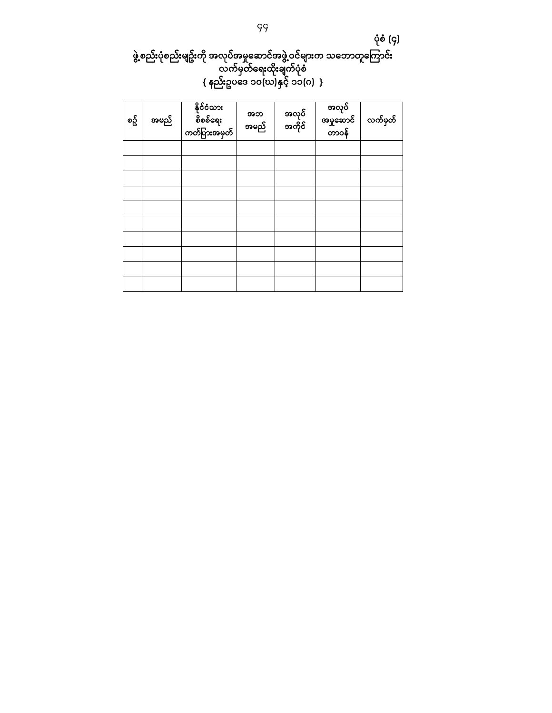ပုံစံ (၄)

# ဖွဲ့စည်းပုံစည်းမျဥ်းကို အလုပ်အမှုဆောင်အဖွဲ့ဝင်များက သဘောတူကြောင်း လက်မှတ်ေရးထိုးချက်ပုံစံ { နည်းဥပေဒ ၁၀(ဃ)နှင် ့ ၁၁(ဂ) }

| စဥ္ပ်ိ | အမည် | - နိုင်ငံသား<br>- စိစစ်ရေး<br>-<br>ကတ်ပြားအမှတ် | အဘ<br>အမည် | အလုပ်<br>အကိုင် | အလုပ်<br>အမှုဆောင်<br>တာဝန် | လက်မှတ် |
|--------|------|-------------------------------------------------|------------|-----------------|-----------------------------|---------|
|        |      |                                                 |            |                 |                             |         |
|        |      |                                                 |            |                 |                             |         |
|        |      |                                                 |            |                 |                             |         |
|        |      |                                                 |            |                 |                             |         |
|        |      |                                                 |            |                 |                             |         |
|        |      |                                                 |            |                 |                             |         |
|        |      |                                                 |            |                 |                             |         |
|        |      |                                                 |            |                 |                             |         |
|        |      |                                                 |            |                 |                             |         |
|        |      |                                                 |            |                 |                             |         |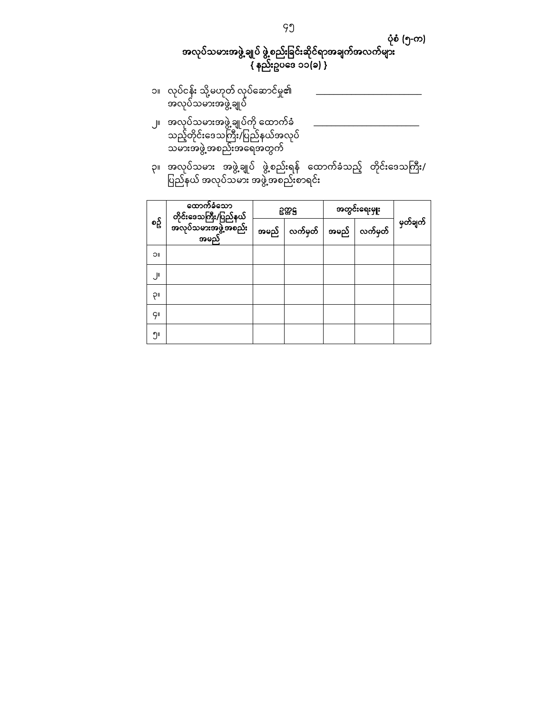### ပုံစံ (၅-က)

## အလုပ်သမားအဖွဲ့ ချုပ် ဖွဲ့စည်းခြင်းဆိုင်ရာအချက်အလက်များ { နည်းဥပေဒ ၁၁(ခ) }

- ၁။ လုပ်ငန်း သို့မဟုတ် လုပ်ေဆာင်မှု၏ \_\_\_\_\_\_\_\_\_\_\_\_\_\_\_\_\_\_\_\_\_\_\_\_ အလုပ်သမားအဖွဲ့ချုပ်
- ၂။ အလုပ်သမားအဖွဲ့ချုပ်ကို ထောက်ခံ <u>\_\_\_\_\_\_\_\_\_\_\_\_\_\_\_\_\_\_\_\_\_\_\_\_\_\_</u>\_\_\_ သည့်တိုင်းဒေသကြီး/ပြည်နယ်အလုပ် သမားအဖွဲ့အစည်းအေရအတွက်
- ၃။ အလုပ်သမား အဖွဲ့ချုပ် ဖွဲ့စည်းရန် ထောက်ခံသည့် တိုင်းဒေသကြီး/ ပြည်နယ် အလုပ်သမား အဖွဲ့အစည်းစာရင်း

|        | ထောက်ခံသော                                           | 5885                                           | အတွင်းရေးမှုုး |          |
|--------|------------------------------------------------------|------------------------------------------------|----------------|----------|
| စဥ္ပ်ိ | တိုင်းဒေသကြီး/ပြည်နယ်<br>အလုပ်သမားအဖွဲ့အစည်း<br>အမည် | အမည် $\mid$ လက်မှတ် $\mid$ အမည် $\mid$ လက်မှတ် |                | မှတ်ချက် |
| ပါ     |                                                      |                                                |                |          |
| اال.   |                                                      |                                                |                |          |
| ٩I     |                                                      |                                                |                |          |
| ĢΙ     |                                                      |                                                |                |          |
| ၅။     |                                                      |                                                |                |          |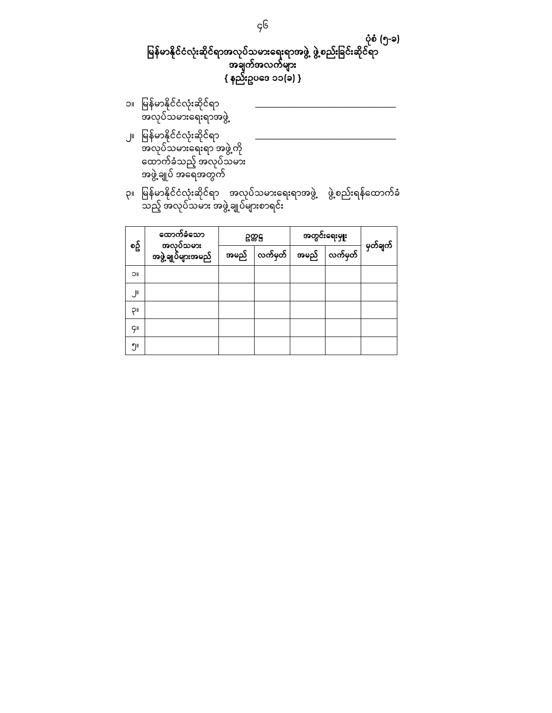## ပုံစံ (၅-ခ) မြန်မာနိုင်ငံလုံးဆိုင်ရာအလုပ်သမားရေးရာအဖွဲ့ ဖွဲ့စည်းခြင်းဆိုင်ရာ အချက်အလက်များ { နည်းဥပေဒ ၁၁(ခ) }

- ၁။ ြ န်မာနိုင ်ငံလုံးဆိုင်ရာ မ \_\_\_\_\_\_\_\_\_\_\_\_\_\_\_\_\_\_\_\_\_\_\_\_\_\_\_\_\_\_\_\_ အလုပ်သမားေရးရာအဖွဲ့
- ၂။ ြ န်မာနိုင ်ငံလုံးဆိုင်ရာ မ \_\_\_\_\_\_\_\_\_\_\_\_\_\_\_\_\_\_\_\_\_\_\_\_\_\_\_\_\_\_\_\_ အလုပ်သမားေရးရာ အဖွဲ့ကို ေထာက်ခံသည့် အလုပ်သမား အဖွဲ့ချုပ် အေရအတွက်
- ၃။ မြန်မာနိုင်ငံလုံးဆိုင်ရာ အလုပ်သမားရေးရာအဖွဲ့ ဖွဲ့စည်းရန်ထောက်ခံ သည့် အလုပ်သမား အဖွဲ့ချုပ်များစာရင်း

|            | ထောက်ခံသော<br>အလုပ်သမား |      | 5885    | အတွင်းရေးမှုုး |         | မှတ်ချက် |
|------------|-------------------------|------|---------|----------------|---------|----------|
| စဥ္ပ်ိ     | အဖွဲ့ချုပ်များအမည်      | အမည် | လက်မှတ် | အမည်           | လက်မှတ် |          |
| <b>IIC</b> |                         |      |         |                |         |          |
| ال         |                         |      |         |                |         |          |
| P          |                         |      |         |                |         |          |
| çι         |                         |      |         |                |         |          |
| ၅။         |                         |      |         |                |         |          |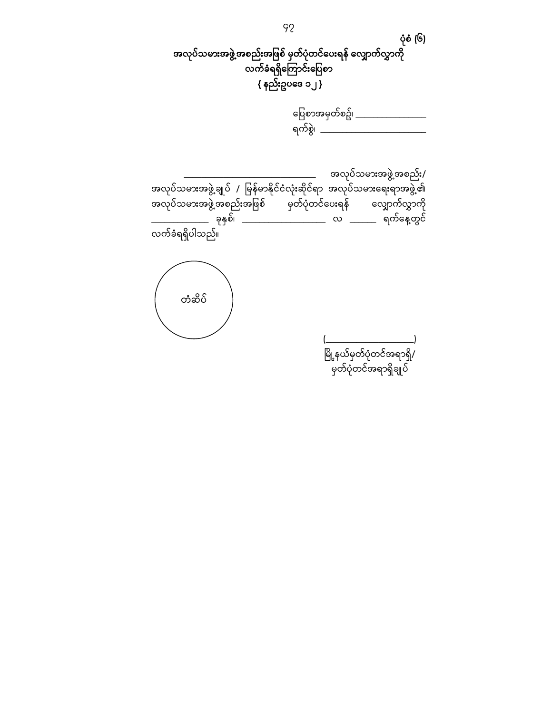

| ပြေစာအမှတ်စဥ်၊ |  |
|----------------|--|
|                |  |

\_\_\_\_\_\_\_\_\_\_\_\_\_\_\_\_\_\_\_\_\_\_\_\_\_\_\_\_\_\_ အလုပ်သမားအဖွဲ့အစည်း/ အလုပ်သမားအဖွဲ့ချုပ် *|* မြန်မာနိုင်ငံလုံးဆိုင်ရာ အလုပ်သမားရေးရာအဖွဲ့၏ အလုပ်သမားအဖွဲ့အစည်းအဖြစ် မှတ်ပုံတင်ပေးရန် လျှောက်လွှာကို<br>\_\_\_\_\_\_\_\_\_\_\_\_\_ ခုနှစ်၊ \_\_\_\_\_\_\_\_\_\_\_\_\_\_\_\_\_\_\_ လ \_\_\_\_\_\_\_ ရက်နေ့တွင် \_\_\_\_\_\_\_\_\_\_\_\_\_ ခုနှစ်၊ \_\_\_\_\_\_\_\_\_\_\_\_\_\_\_\_\_\_\_ လ \_\_\_\_\_\_ ရက်ေန့တွင် ——<br>လက်ခံရရှိပါသည်။

တံဆိပ်

 $(\underline{\hspace{15em}})$ မြို့နယ်မှတ်ပုံတင်အရာရှိ/ --<br>မှတ်ပုံတင်အရာရှိချုပ်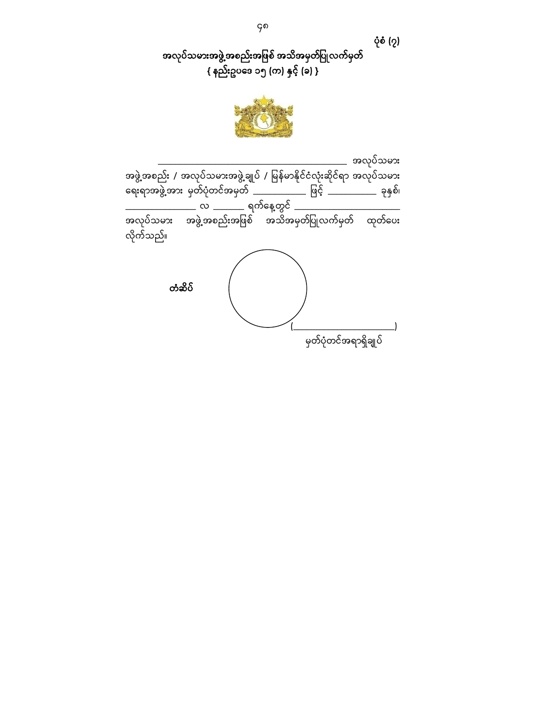ပုံစံ (၇)

အလုပ်သမားအဖွဲ့အစည်းအဖြစ် အသိအမှတ်ပြုလက်မှတ်  $\overline{\{\text{ }}$  နည်းဥပဒေ ၁၅ (က) နှင့် (ခ) }



\_\_\_\_\_\_\_\_ အလုပ်သမား အဖွဲ့အစည်း / အလုပ်သမားအဖွဲ့ချုပ် / မြန်မာနိုင်ငံလုံးဆိုင်ရာ အလုပ်သမား ရေးရာအဖွဲ့အား မှတ်ပုံတင်အမှတ် \_\_\_\_\_\_\_\_\_\_\_\_\_\_ ဖြင့် \_\_\_\_\_\_\_\_\_\_\_\_ ခုနှစ်၊ \_\_\_\_\_\_\_\_\_\_\_\_\_\_\_\_ လ \_\_\_\_\_\_\_ ရက်ေန့တွင် \_\_\_\_\_\_\_\_\_\_\_\_\_\_\_\_\_\_\_\_\_\_\_\_ အလုပ်သမား အဖွဲ့အစည်းအဖြစ် အသိအမှတ်ပြုလက်မှတ် ထုတ်ပေး လိုက်သည်။  $(\underline{\hspace{15em}})$ မှတ်ပုံတင်အရာရှိချုပ် တံဆိပ်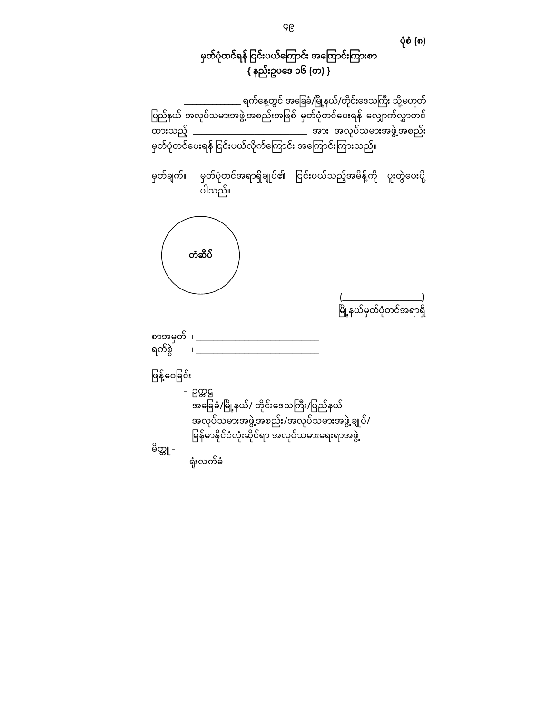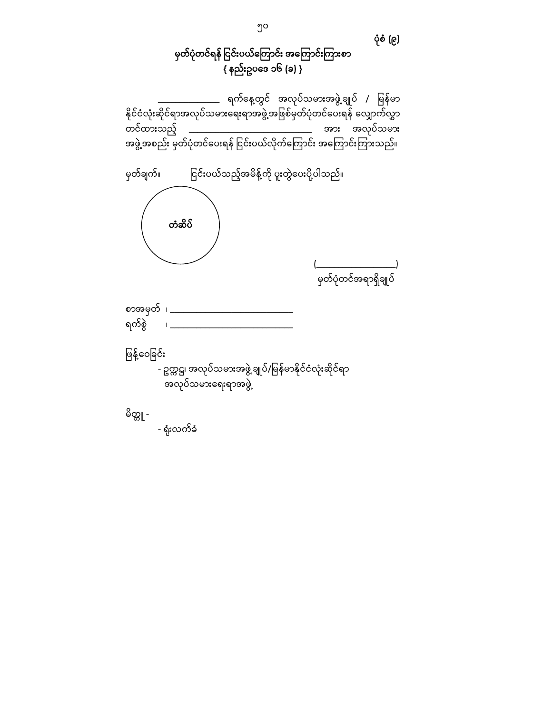# မှတ်ပုံတင်ရန် ငြင်းပယ်ကြောင်း အကြောင်းကြားစာ { နည်းဥပေဒ ၁၆ (ခ) }

ပုံစံ (၉)

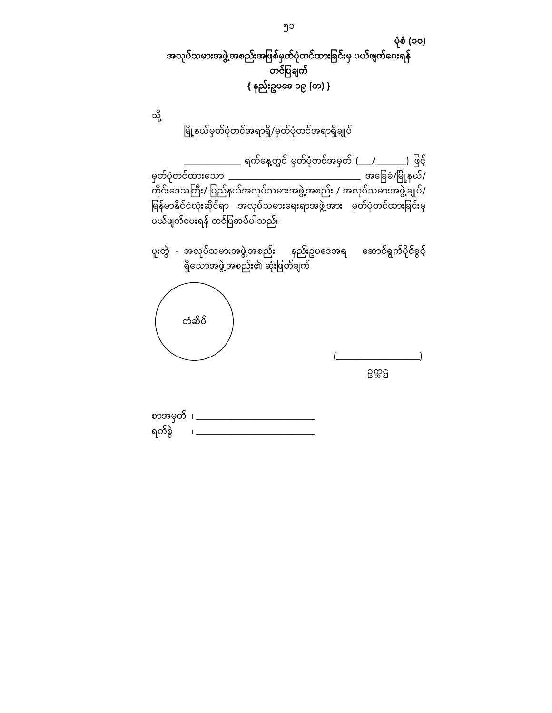

တိုင်းဒေသကြီး/ ပြည်နယ်အလုပ်သမားအဖွဲ့အစည်း / အလုပ်သမားအဖွဲ့ချုပ်/ ြေန်မာနိုင်ငံလုံးဆိုင်ရာ အလုပ်သမားရေးရာအဖွဲ့အား မှတ်ပုံတင်ထားခြင်းမှ ပယ်ဖျက်ေပးရန် တင်ပြ အပ်ပါသည်။

| ပူးတွဲ - အလုပ်သမားအဖွဲ့အစည်း နည်းဥပဒေအရ ဆောင်ရွက်ပိုင်ခွင့်<br>ရှိသောအဖွဲ့အစည်း၏ ဆုံးဖြတ်ချက် |       |
|-----------------------------------------------------------------------------------------------|-------|
| တံဆိပ်                                                                                        | ဥက္ကဌ |

စာအမှတ် ၊ \_\_\_\_\_\_\_\_\_\_\_\_\_\_\_\_\_\_\_\_\_\_\_\_\_\_\_\_\_ ရက်စွဲ ၊ \_\_\_\_\_\_\_\_\_\_\_\_\_\_\_\_\_\_\_\_\_\_\_\_\_\_\_\_\_\_\_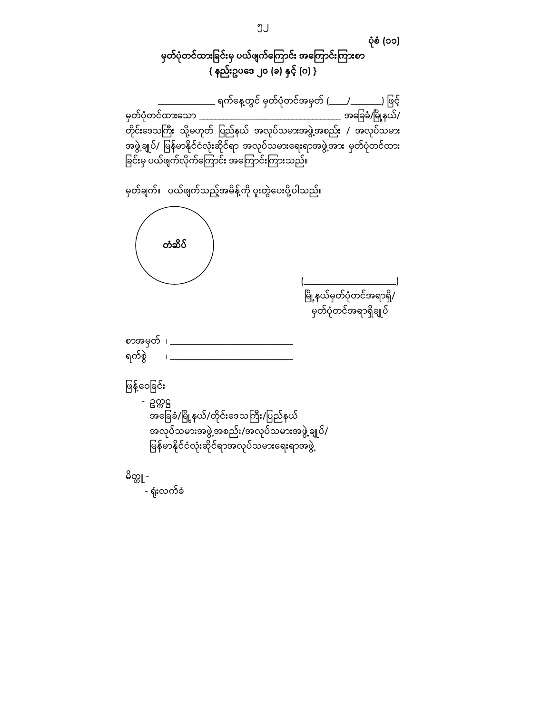

- ရုံးလက်ခံ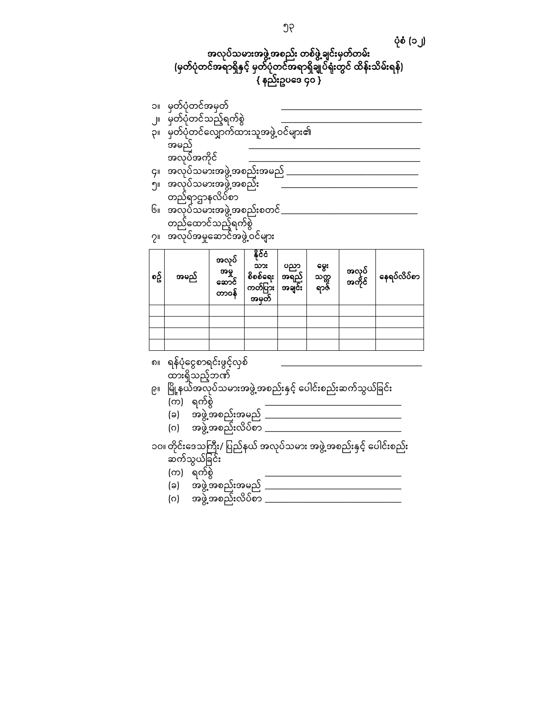### ပုံစံ (၁၂) အလုပ်သမားအဖွဲ့အစည်း တစ်ဖွဲ့ချင်းမှတ်တမ်း (မှတ်ပုံတင်အရာရှိနှင့် မှတ်ပုံတင်အရာရှိချုပ်ရုံးတွင် ထိန်းသိမ်းရန်) { နည်းဥပေဒ ၄၀ }

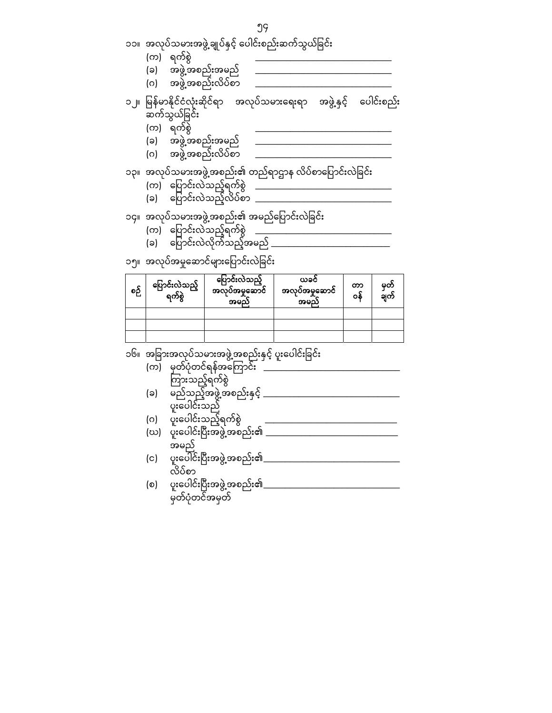| (ဃ) | ပူးပေါင်းပြီးအဖွဲ့အစည်း၏         |
|-----|----------------------------------|
| (c) | အမည်<br>ပူးပေါင်းပြီးအဖွဲ့အစည်း၏ |
|     | လိပ်စာ                           |
| (စ) | ပူးပေါင်းပြီးအဖွဲ့အစည်း၏         |
|     | မှတ်ပုံတင်အမှတ်                  |

၁၆။ အခြားအလုပ်သမားအဖွဲ့အစည်းနှင့် ပူးပေါင်းခြင်း (က) မှတ်ပုံတင်ရန်အကြောင်း \_\_\_\_\_\_\_\_\_\_\_\_\_\_\_\_\_\_\_\_\_\_\_

| စဉ် | ပြောင်းလဲသည့်<br>ရက်စွဲ | ပြောင်းလဲသည့်<br>အလုပ်အမှုဆောင်<br>အမည် | ယခငံ<br>အလုပ်အမှုဆောင်<br>အမည် | တာ<br>၀န် | မှတ်<br>ချက် |
|-----|-------------------------|-----------------------------------------|--------------------------------|-----------|--------------|
|     |                         |                                         |                                |           |              |
|     |                         |                                         |                                |           |              |
|     |                         |                                         |                                |           |              |

၁၅။ အလုပ်အမှုဆောင်များပြောင်းလဲခြင်း

ကြားသည့်ရက်စွဲ (ခ) မည်သည့်အဖွဲ့အစည်းနှင့်

ပူးပေါင်းသည် (ဂ) ပူးပေါင်းသည့်ရက်စွဲ

- ၁၂။ မြန်မာနိုင်ငံလုံးဆိုင်ရာ အလုပ်သမားရေးရာ အဖွဲ့နှင့် ပေါင်းစည်း ဆက်သွယ်ခြင်း (က) ရက်စွဲ (ခ) အဖွဲ့အစည်းအမည်<br>(ဂ) အဖွဲ့အစည်းလိပ်စာ ၁၃။ အလုပ်သမားအဖွဲ့အစည်း၏ တည်ရာဌာန လိပ်စာပြောင်းလဲခြင်း (က) ပြောင်းလဲသည့်ရက်စွဲ <sub>-</sub><br>(ခ) ပြောင်းလဲသည့်လိပ်စာ <sub>-</sub> ၁၄။ အလုပ်သမားအဖွဲ့အစည်း၏ အမည်ပြောင်းလဲခြင်း
- ၁၁။ အလုပ်သမ္မားအဖွဲ့ချုပ်နှင့် ပေါင်းစည်းဆက်သွယ်ခြင်း (က) ရက်စွဲ (ခ) အဖွဲ့အစည်းအမည် (ဂ) အဖွဲ့အစည်းလိပ်စာ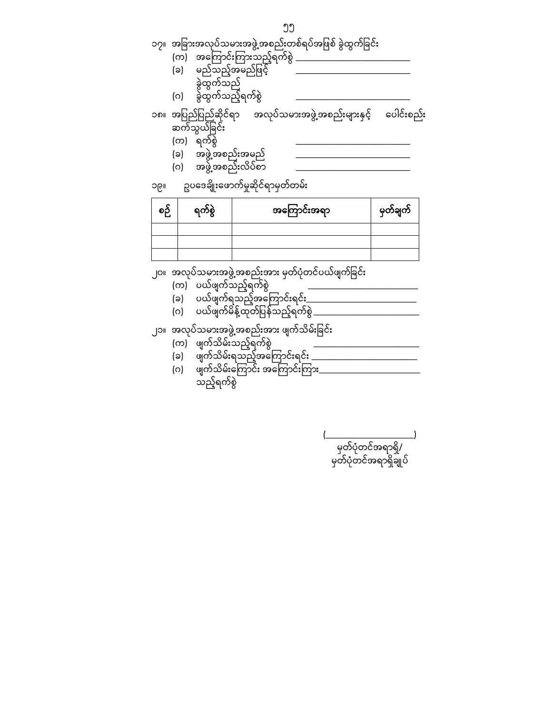$(\underline{\hspace{15em}})$ မှတ်ပုံတင်အရာရှိ/ မှတ်ပုံတင်အရာရှိချုပ်

သည့်ရက်စွဲ

- (ဂ) ဖျက်သိမ်းကြောင်း အကြောင်းကြား\_\_\_\_\_\_\_\_\_\_\_\_\_\_\_\_\_\_\_\_\_\_\_\_\_\_
- (ခ) ဖျက်သိမ်းရသည့်အကြောင်းရင်း \_\_\_\_\_\_\_\_\_\_\_\_\_\_\_\_\_\_\_\_\_\_\_\_\_\_
- (က) ဖျက်သိမ်းသည့်ရက်စွဲ
- ၂၁။ အလုပ်သမားအဖွဲ့အစည်းအား ဖျက်သိမ်းခြင်း
- (ဂ) ပယ်ဖျက်မိန့်ထုတ်ပြန်သည့်ရက်စွဲ \_\_\_\_\_\_\_\_\_\_\_\_\_\_\_\_\_\_\_\_\_\_\_\_\_\_\_
- (ခ) ပယ်ဖျက်ရသည့်အကြောင်းရင်<u>း \_\_\_\_\_\_\_\_\_\_\_\_\_\_\_\_\_\_\_\_</u>\_\_\_\_\_\_\_
- (က) ပယ်ဖျက်သည့်ရက်စွဲ
- ၂၀။ အလုပ်သမားအဖွဲ့အစည်းအား မှတ်ပုံတင်ပယ်ဖျက်ခြင်း

| ໑∂ | ရက်စွဲ | အကြောင်းအရာ | မှတ်ချက် |
|----|--------|-------------|----------|
|    |        |             |          |
|    |        |             |          |
|    |        |             |          |

၁၉။ ဥပေဒချိုးေဖာက်မှုဆိုင်ရာမှတ်တမ်း

- (ဂ) အဖွဲ့အစည်းလိပ်စာ
- (ခ) အဖွဲ့အစည်းအမည်
- 
- (က) \_ရက်စွဲ
- ၁၈။ အပြ ည်ပြ ည်ဆိုင်ရာ အလုပ်သမားအဖွဲ့အစည်းများနှင့် ေပါင်းစည်း ဆက်သွယ်ခြင်း
- (ခ) မည်သည့်အမည်ဖြင့် ခွဲထွက်သည် (ဂ) ခွဲထွက်သည့်ရက်စွဲ \_\_\_\_\_\_\_\_\_\_\_\_\_\_\_\_\_\_\_\_\_\_\_\_\_\_\_\_\_\_\_\_
- (က) အကြောင်းကြားသည့်ရက်စွဲ
- ၅၅ ၁၇။ အခြားအလုပ်သမားအဖွဲ့အစည်းတစ်ရပ်အဖြစ် ခွဲထွက်ခြင်း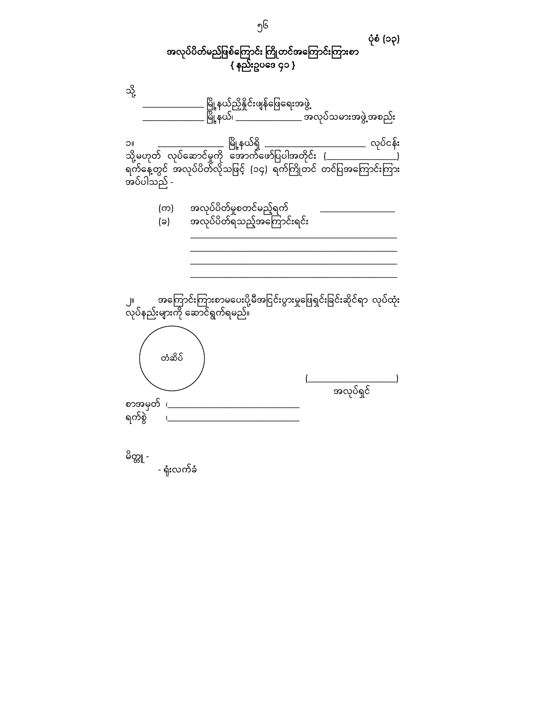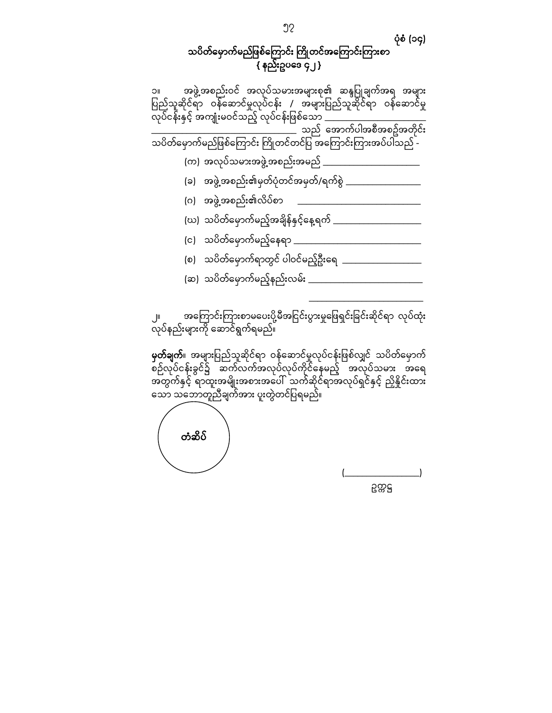#### ပုံစံ (၁၄) သပိတ်မှောက်မည်ဖြစ်ကြောင်း ကြိုတင်အကြောင်းကြားစာ { နည်းဥပေဒ ၄၂ }

၁။ အဖွဲ့အစည ်းဝင် အလုပ်သမားအများစု၏ ဆန္ဒပြ ုချက်အရ အများ ပြည်သူဆိုင်ရာ ဝန်ဆောင်မှုလုပ်ငန်း / အများပြည်သူဆိုင်ရာ ဝန်ဆောင်မှု လုပ်ငန်းနှင့် အကျုံးမဝင်သည့် လုပ်ငန်းဖြစ်သော \_\_\_\_\_\_\_\_\_\_\_\_\_\_\_\_\_\_\_\_\_\_\_\_\_\_\_\_\_ \_<br>\_ သည် အောက်ပါအစီအစဥ်အတိုင်း သပိတ်ေမှာက်မည်ဖြ စ်ေကြ ာင်း y ိုတင်တင်ပ က ြ အေကြ ာင်းကြ ားအပ်ပါသည် - (က) အလုပ်သမားအဖွဲ့အစည်းအမည်  $\_$ (ခ) အဖွဲ့အစည်း၏မှတ်ပုံတင်အမှတ်/ရက်စွဲ \_\_\_\_\_\_\_\_\_\_\_\_\_\_\_\_\_\_ (ဂ) အဖွဲ့အစည်း၏လိပ်စာ (ဃ) သပိတ်မှောက်မည့်အချိန်နှင့်နေ့ရက် \_\_\_\_\_\_\_\_\_\_\_\_\_\_\_\_\_\_\_\_\_\_\_\_ (င) သပိတ်ေမှာက်မည့်ေနရာ \_\_\_\_\_\_\_\_\_\_\_\_\_\_\_\_\_\_\_\_\_\_\_\_\_\_\_\_\_ (စ) သပိတ်ေမှာက်ရာတွင် ပါဝင်မည့်ဦးေရ \_\_\_\_\_\_\_\_\_\_\_\_\_\_\_\_\_\_ (ဆ) သပိတ်ေမှာက်မည့်နည်းလမ်း \_\_\_\_\_\_\_\_\_\_\_\_\_\_\_\_\_\_\_\_\_\_\_\_\_\_  $\mathcal{L}_\text{max}$  and  $\mathcal{L}_\text{max}$  and  $\mathcal{L}_\text{max}$  are the set of  $\mathcal{L}_\text{max}$ 

၂။ အကြောင်းကြားစာမပေးပို့မီအငြင်းပွားမှုဖြေရှင်းခြင်းဆိုင်ရာ လုပ်ထုံး လုပ်နည်းများကို ေဆာင်ရွက်ရမည်။

**မှတ်ချက်**။ အများပြည်သူဆိုင်ရာ ဝန်ဆောင်မှုလုပ်ငန်းဖြစ်လျှင် သပိတ်မှောက် စဉ်လုပ်ငန်းခွင်၌ ဆက်လက်အလုပ်လုပ်ကိုင်နေမည့် အလုပ်သမား အရေ အတွက်နှင့် ရာထူးအမျိုးအစားအေပါ် သက်ဆိုင်ရာအလုပ်ရှင်နှင့် ညှိနိှုင်းထား သော သဘောတူညီချက်အား ပူးတွဲတင်ပြရမည်။

တံဆိပ်

 $(\underline{\hspace{1.5cm}})$ ဥက္ကဋ္ဌ